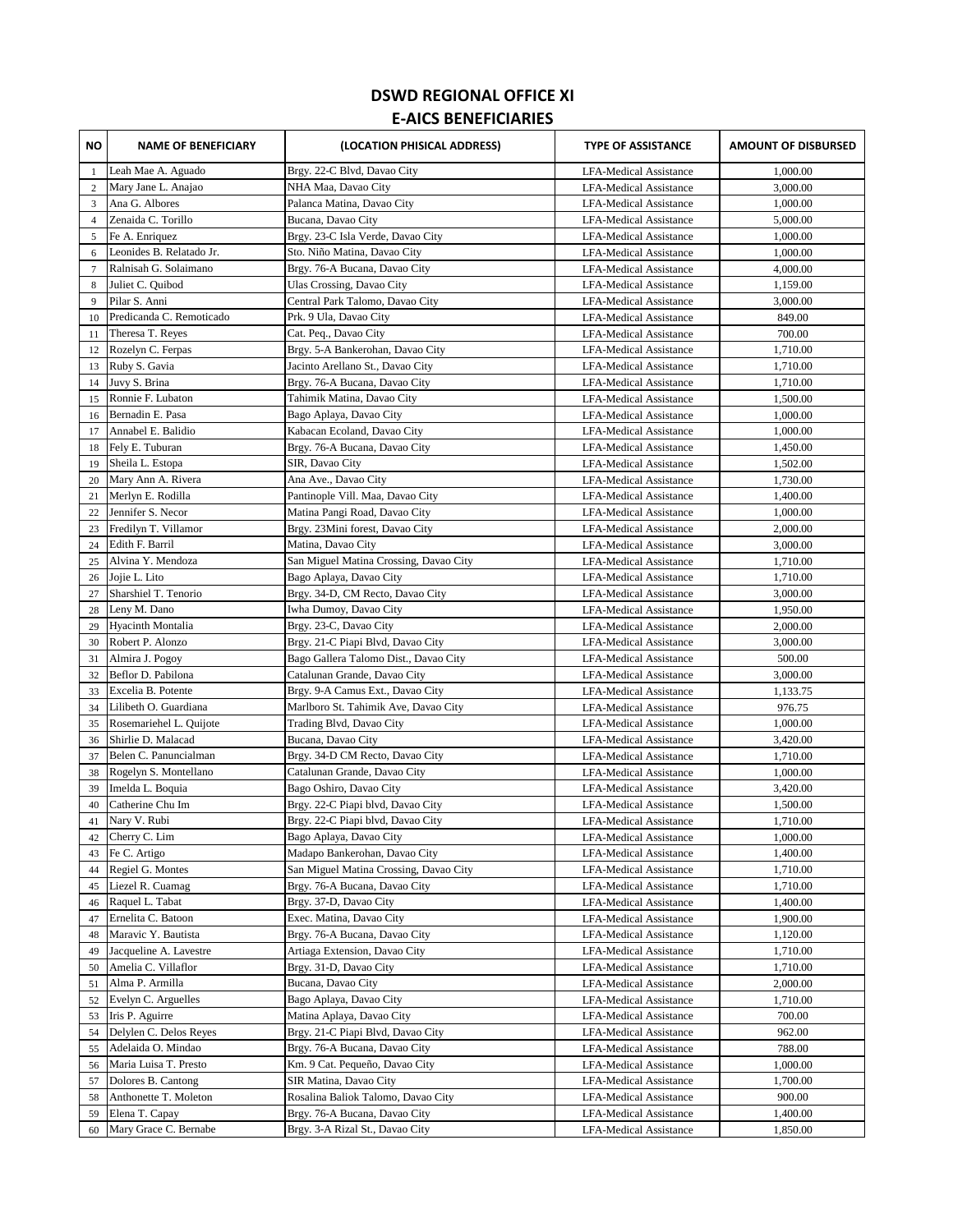## **DSWD REGIONAL OFFICE XI E-AICS BENEFICIARIES**

| ΝO              | <b>NAME OF BENEFICIARY</b>                  | (LOCATION PHISICAL ADDRESS)                                     | <b>TYPE OF ASSISTANCE</b>                                      | <b>AMOUNT OF DISBURSED</b> |
|-----------------|---------------------------------------------|-----------------------------------------------------------------|----------------------------------------------------------------|----------------------------|
| 1               | Leah Mae A. Aguado                          | Brgy. 22-C Blvd, Davao City                                     | <b>LFA-Medical Assistance</b>                                  | 1,000.00                   |
| $\mathbf{2}$    | Mary Jane L. Anajao                         | NHA Maa, Davao City                                             | <b>LFA-Medical Assistance</b>                                  | 3,000.00                   |
| 3               | Ana G. Albores                              | Palanca Matina, Davao City                                      | <b>LFA-Medical Assistance</b>                                  | 1,000.00                   |
| $\overline{4}$  | Zenaida C. Torillo                          | Bucana, Davao City                                              | <b>LFA-Medical Assistance</b>                                  | 5,000.00                   |
| 5               | Fe A. Enriquez                              | Brgy. 23-C Isla Verde, Davao City                               | <b>LFA-Medical Assistance</b>                                  | 1,000.00                   |
| 6               | Leonides B. Relatado Jr.                    | Sto. Niño Matina, Davao City                                    | <b>LFA-Medical Assistance</b>                                  | 1,000.00                   |
| $7\phantom{.0}$ | Ralnisah G. Solaimano                       | Brgy. 76-A Bucana, Davao City                                   | <b>LFA-Medical Assistance</b>                                  | 4,000.00                   |
| 8               | Juliet C. Quibod                            | Ulas Crossing, Davao City                                       | <b>LFA-Medical Assistance</b>                                  | 1,159.00                   |
| 9               | Pilar S. Anni                               | Central Park Talomo, Davao City                                 | <b>LFA-Medical Assistance</b>                                  | 3,000.00                   |
| 10              | Predicanda C. Remoticado                    | Prk. 9 Ula, Davao City                                          | <b>LFA-Medical Assistance</b>                                  | 849.00                     |
| 11              | Theresa T. Reyes                            | Cat. Peq., Davao City                                           | <b>LFA-Medical Assistance</b>                                  | 700.00                     |
| 12              | Rozelyn C. Ferpas                           | Brgy. 5-A Bankerohan, Davao City                                | LFA-Medical Assistance                                         | 1,710.00                   |
| 13              | Ruby S. Gavia                               | Jacinto Arellano St., Davao City                                | <b>LFA-Medical Assistance</b>                                  | 1,710.00                   |
| 14              | Juvy S. Brina                               | Brgy. 76-A Bucana, Davao City                                   | <b>LFA-Medical Assistance</b>                                  | 1,710.00                   |
| 15              | Ronnie F. Lubaton                           | Tahimik Matina, Davao City                                      | <b>LFA-Medical Assistance</b>                                  | 1,500.00                   |
| 16              | Bernadin E. Pasa                            | Bago Aplaya, Davao City                                         | <b>LFA-Medical Assistance</b>                                  | 1,000.00                   |
| 17              | Annabel E. Balidio                          | Kabacan Ecoland, Davao City                                     | <b>LFA-Medical Assistance</b>                                  | 1,000.00                   |
| 18              | Fely E. Tuburan                             | Brgy. 76-A Bucana, Davao City                                   | <b>LFA-Medical Assistance</b>                                  | 1,450.00                   |
| 19              | Sheila L. Estopa                            | SIR, Davao City                                                 | <b>LFA-Medical Assistance</b>                                  | 1,502.00                   |
| 20<br>21        | Mary Ann A. Rivera<br>Merlyn E. Rodilla     | Ana Ave., Davao City<br>Pantinople Vill. Maa, Davao City        | <b>LFA-Medical Assistance</b><br><b>LFA-Medical Assistance</b> | 1,730.00<br>1,400.00       |
| 22              | Jennifer S. Necor                           | Matina Pangi Road, Davao City                                   | <b>LFA-Medical Assistance</b>                                  | 1,000.00                   |
| 23              | Fredilyn T. Villamor                        | Brgy. 23Mini forest, Davao City                                 | <b>LFA-Medical Assistance</b>                                  | 2,000.00                   |
| 24              | Edith F. Barril                             | Matina, Davao City                                              | <b>LFA-Medical Assistance</b>                                  | 3,000.00                   |
| 25              | Alvina Y. Mendoza                           | San Miguel Matina Crossing, Davao City                          | <b>LFA-Medical Assistance</b>                                  | 1,710.00                   |
| 26              | Jojie L. Lito                               | Bago Aplaya, Davao City                                         | <b>LFA-Medical Assistance</b>                                  | 1,710.00                   |
| 27              | Sharshiel T. Tenorio                        | Brgy. 34-D, CM Recto, Davao City                                | <b>LFA-Medical Assistance</b>                                  | 3,000.00                   |
| 28              | Leny M. Dano                                | Iwha Dumoy, Davao City                                          | <b>LFA-Medical Assistance</b>                                  | 1,950.00                   |
| 29              | Hyacinth Montalia                           | Brgy. 23-C, Davao City                                          | <b>LFA-Medical Assistance</b>                                  | 2,000.00                   |
| 30              | Robert P. Alonzo                            | Brgy. 21-C Piapi Blvd, Davao City                               | LFA-Medical Assistance                                         | 3,000.00                   |
| 31              | Almira J. Pogoy                             | Bago Gallera Talomo Dist., Davao City                           | <b>LFA-Medical Assistance</b>                                  | 500.00                     |
| 32              | Beflor D. Pabilona                          | Catalunan Grande, Davao City                                    | <b>LFA-Medical Assistance</b>                                  | 3,000.00                   |
| 33              | Excelia B. Potente                          | Brgy. 9-A Camus Ext., Davao City                                | <b>LFA-Medical Assistance</b>                                  | 1,133.75                   |
| 34              | Lilibeth O. Guardiana                       | Marlboro St. Tahimik Ave, Davao City                            | <b>LFA-Medical Assistance</b>                                  | 976.75                     |
| 35              | Rosemariehel L. Quijote                     | Trading Blvd, Davao City                                        | <b>LFA-Medical Assistance</b>                                  | 1,000.00                   |
| 36              | Shirlie D. Malacad                          | Bucana, Davao City                                              | <b>LFA-Medical Assistance</b>                                  | 3,420.00                   |
| 37              | Belen C. Panuncialman                       | Brgy. 34-D CM Recto, Davao City                                 | LFA-Medical Assistance                                         | 1,710.00                   |
| 38              | Rogelyn S. Montellano<br>Imelda L. Boquia   | Catalunan Grande, Davao City                                    | <b>LFA-Medical Assistance</b>                                  | 1,000.00                   |
| 39<br>40        | Catherine Chu Im                            | Bago Oshiro, Davao City<br>Brgy. 22-C Piapi blvd, Davao City    | <b>LFA-Medical Assistance</b><br><b>LFA-Medical Assistance</b> | 3,420.00<br>1,500.00       |
| 41              | Nary V. Rubi                                | Brgy. 22-C Piapi blvd, Davao City                               | <b>LFA-Medical Assistance</b>                                  | 1,710.00                   |
| 42              | Cherry C. Lim                               | Bago Aplaya, Davao City                                         | LFA-Medical Assistance                                         | 1,000.00                   |
| 43              | Fe C. Artigo                                | Madapo Bankerohan, Davao City                                   | LFA-Medical Assistance                                         | 1,400.00                   |
| 44              | Regiel G. Montes                            | San Miguel Matina Crossing, Davao City                          | <b>LFA-Medical Assistance</b>                                  | 1,710.00                   |
| 45              | Liezel R. Cuamag                            | Brgy. 76-A Bucana, Davao City                                   | LFA-Medical Assistance                                         | 1,710.00                   |
| 46              | Raquel L. Tabat                             | Brgy. 37-D, Davao City                                          | LFA-Medical Assistance                                         | 1,400.00                   |
| 47              | Ernelita C. Batoon                          | Exec. Matina, Davao City                                        | LFA-Medical Assistance                                         | 1,900.00                   |
| 48              | Maravic Y. Bautista                         | Brgy. 76-A Bucana, Davao City                                   | LFA-Medical Assistance                                         | 1,120.00                   |
| 49              | Jacqueline A. Lavestre                      | Artiaga Extension, Davao City                                   | <b>LFA-Medical Assistance</b>                                  | 1,710.00                   |
| 50              | Amelia C. Villaflor                         | Brgy. 31-D, Davao City                                          | LFA-Medical Assistance                                         | 1,710.00                   |
| 51              | Alma P. Armilla                             | Bucana, Davao City                                              | <b>LFA-Medical Assistance</b>                                  | 2,000.00                   |
| 52              | Evelyn C. Arguelles                         | Bago Aplaya, Davao City                                         | LFA-Medical Assistance                                         | 1,710.00                   |
| 53              | Iris P. Aguirre                             | Matina Aplaya, Davao City                                       | LFA-Medical Assistance                                         | 700.00                     |
| 54              | Delylen C. Delos Reyes                      | Brgy. 21-C Piapi Blvd, Davao City                               | LFA-Medical Assistance                                         | 962.00                     |
| 55              | Adelaida O. Mindao<br>Maria Luisa T. Presto | Brgy. 76-A Bucana, Davao City<br>Km. 9 Cat. Pequeño, Davao City | LFA-Medical Assistance                                         | 788.00<br>1,000.00         |
| 56<br>57        | Dolores B. Cantong                          | SIR Matina, Davao City                                          | LFA-Medical Assistance<br>LFA-Medical Assistance               | 1,700.00                   |
| 58              | Anthonette T. Moleton                       | Rosalina Baliok Talomo, Davao City                              | LFA-Medical Assistance                                         | 900.00                     |
| 59              | Elena T. Capay                              | Brgy. 76-A Bucana, Davao City                                   | <b>LFA-Medical Assistance</b>                                  | 1,400.00                   |
| 60              | Mary Grace C. Bernabe                       | Brgy. 3-A Rizal St., Davao City                                 | LFA-Medical Assistance                                         | 1,850.00                   |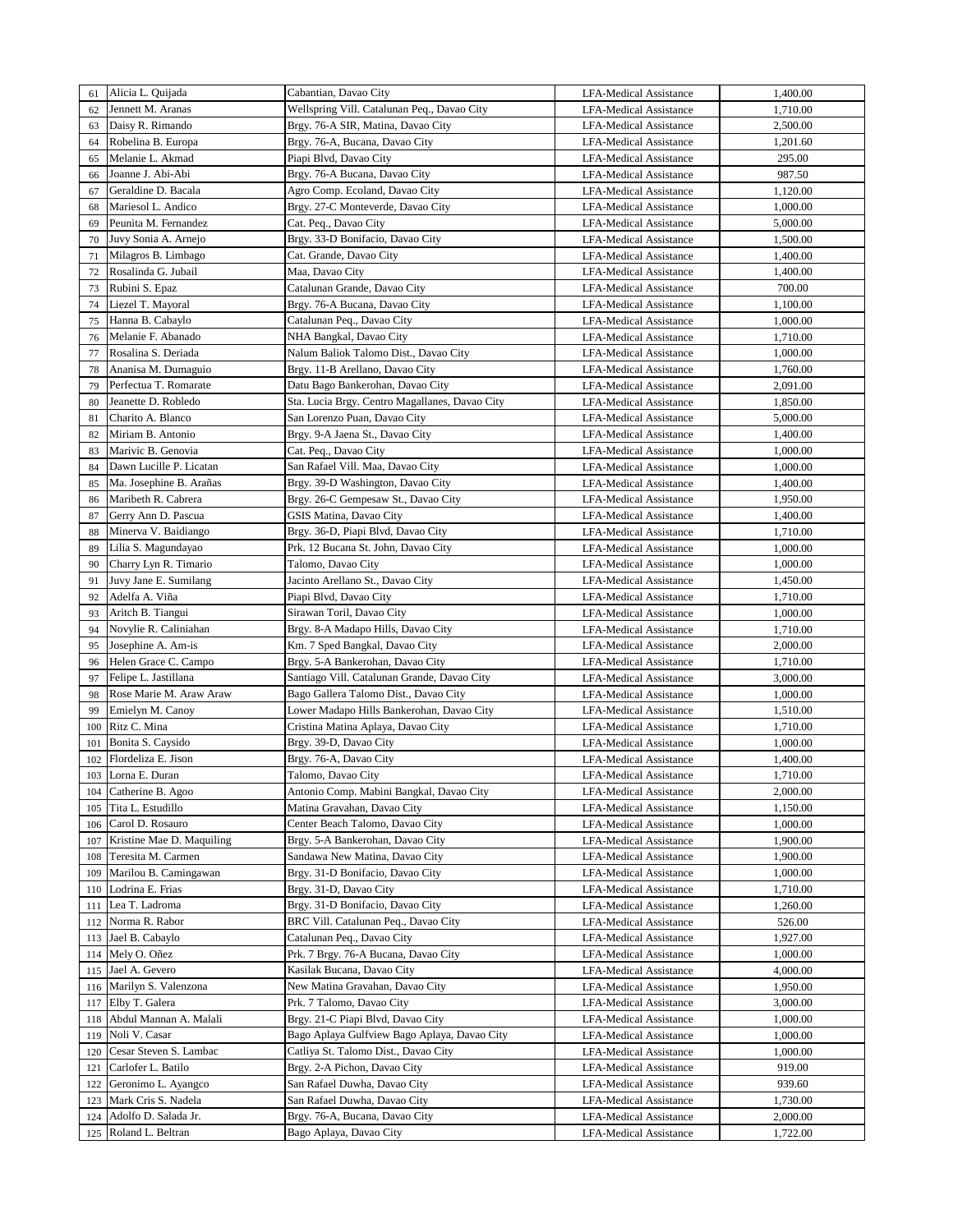| 61      | Alicia L. Quijada         | Cabantian, Davao City                          | <b>LFA-Medical Assistance</b> | 1,400.00 |
|---------|---------------------------|------------------------------------------------|-------------------------------|----------|
| 62      | Jennett M. Aranas         | Wellspring Vill. Catalunan Peq., Davao City    | <b>LFA-Medical Assistance</b> | 1,710.00 |
| 63      | Daisy R. Rimando          | Brgy. 76-A SIR, Matina, Davao City             | <b>LFA-Medical Assistance</b> | 2,500.00 |
|         |                           |                                                |                               |          |
| 64      | Robelina B. Europa        | Brgy. 76-A, Bucana, Davao City                 | <b>LFA-Medical Assistance</b> | 1,201.60 |
| 65      | Melanie L. Akmad          | Piapi Blvd, Davao City                         | <b>LFA-Medical Assistance</b> | 295.00   |
| 66      | Joanne J. Abi-Abi         | Brgy. 76-A Bucana, Davao City                  | <b>LFA-Medical Assistance</b> | 987.50   |
| 67      | Geraldine D. Bacala       | Agro Comp. Ecoland, Davao City                 | <b>LFA-Medical Assistance</b> | 1,120.00 |
| 68      | Mariesol L. Andico        | Brgy. 27-C Monteverde, Davao City              | <b>LFA-Medical Assistance</b> | 1,000.00 |
| 69      | Peunita M. Fernandez      | Cat. Peq., Davao City                          | <b>LFA-Medical Assistance</b> | 5,000.00 |
| 70      | Juvy Sonia A. Arnejo      | Brgy. 33-D Bonifacio, Davao City               | <b>LFA-Medical Assistance</b> | 1,500.00 |
| 71      | Milagros B. Limbago       | Cat. Grande, Davao City                        | <b>LFA-Medical Assistance</b> | 1,400.00 |
| 72      | Rosalinda G. Jubail       | Maa, Davao City                                | <b>LFA-Medical Assistance</b> | 1,400.00 |
| 73      | Rubini S. Epaz            | Catalunan Grande, Davao City                   | <b>LFA-Medical Assistance</b> | 700.00   |
| 74      | Liezel T. Mayoral         | Brgy. 76-A Bucana, Davao City                  | <b>LFA-Medical Assistance</b> | 1,100.00 |
| 75      | Hanna B. Cabaylo          | Catalunan Peq., Davao City                     | <b>LFA-Medical Assistance</b> | 1,000.00 |
| 76      | Melanie F. Abanado        | NHA Bangkal, Davao City                        | <b>LFA-Medical Assistance</b> | 1,710.00 |
|         |                           |                                                |                               |          |
| 77      | Rosalina S. Deriada       | Nalum Baliok Talomo Dist., Davao City          | LFA-Medical Assistance        | 1,000.00 |
| 78      | Ananisa M. Dumaguio       | Brgy. 11-B Arellano, Davao City                | <b>LFA-Medical Assistance</b> | 1,760.00 |
| 79      | Perfectua T. Romarate     | Datu Bago Bankerohan, Davao City               | <b>LFA-Medical Assistance</b> | 2,091.00 |
| 80      | Jeanette D. Robledo       | Sta. Lucia Brgy. Centro Magallanes, Davao City | <b>LFA-Medical Assistance</b> | 1,850.00 |
| 81      | Charito A. Blanco         | San Lorenzo Puan, Davao City                   | LFA-Medical Assistance        | 5,000.00 |
| 82      | Miriam B. Antonio         | Brgy. 9-A Jaena St., Davao City                | <b>LFA-Medical Assistance</b> | 1,400.00 |
| 83      | Marivic B. Genovia        | Cat. Peq., Davao City                          | <b>LFA-Medical Assistance</b> | 1,000.00 |
| 84      | Dawn Lucille P. Licatan   | San Rafael Vill. Maa, Davao City               | <b>LFA-Medical Assistance</b> | 1,000.00 |
| 85      | Ma. Josephine B. Arañas   | Brgy. 39-D Washington, Davao City              | <b>LFA-Medical Assistance</b> | 1,400.00 |
| 86      | Maribeth R. Cabrera       | Brgy. 26-C Gempesaw St., Davao City            | <b>LFA-Medical Assistance</b> | 1,950.00 |
| 87      | Gerry Ann D. Pascua       | GSIS Matina, Davao City                        | <b>LFA-Medical Assistance</b> | 1,400.00 |
| 88      | Minerva V. Baidiango      | Brgy. 36-D, Piapi Blvd, Davao City             | <b>LFA-Medical Assistance</b> | 1,710.00 |
| 89      | Lilia S. Magundayao       | Prk. 12 Bucana St. John, Davao City            | <b>LFA-Medical Assistance</b> | 1,000.00 |
| 90      | Charry Lyn R. Timario     | Talomo, Davao City                             | <b>LFA-Medical Assistance</b> | 1,000.00 |
|         |                           |                                                |                               |          |
| 91      | Juvy Jane E. Sumilang     | Jacinto Arellano St., Davao City               | <b>LFA-Medical Assistance</b> | 1,450.00 |
| 92      | Adelfa A. Viña            | Piapi Blvd, Davao City                         | <b>LFA-Medical Assistance</b> | 1,710.00 |
| 93      | Aritch B. Tiangui         | Sirawan Toril, Davao City                      | <b>LFA-Medical Assistance</b> | 1,000.00 |
| 94      | Novylie R. Caliniahan     | Brgy. 8-A Madapo Hills, Davao City             | <b>LFA-Medical Assistance</b> | 1,710.00 |
| 95      | Josephine A. Am-is        | Km. 7 Sped Bangkal, Davao City                 | <b>LFA-Medical Assistance</b> | 2,000.00 |
| 96      | Helen Grace C. Campo      | Brgy. 5-A Bankerohan, Davao City               | <b>LFA-Medical Assistance</b> | 1,710.00 |
| 97      | Felipe L. Jastillana      | Santiago Vill. Catalunan Grande, Davao City    | <b>LFA-Medical Assistance</b> | 3,000.00 |
| 98      | Rose Marie M. Araw Araw   | Bago Gallera Talomo Dist., Davao City          | <b>LFA-Medical Assistance</b> | 1,000.00 |
| 99      | Emielyn M. Canoy          | Lower Madapo Hills Bankerohan, Davao City      | <b>LFA-Medical Assistance</b> | 1,510.00 |
| 100     | Ritz C. Mina              | Cristina Matina Aplaya, Davao City             | <b>LFA-Medical Assistance</b> | 1,710.00 |
| 101     | Bonita S. Caysido         | Brgy. 39-D, Davao City                         | <b>LFA-Medical Assistance</b> | 1,000.00 |
| 102     | Flordeliza E. Jison       | Brgy. 76-A, Davao City                         | <b>LFA-Medical Assistance</b> | 1,400.00 |
| $103\,$ | Lorna E. Duran            | Talomo, Davao City                             | <b>LFA-Medical Assistance</b> | 1,710.00 |
| 104     | Catherine B. Agoo         | Antonio Comp. Mabini Bangkal, Davao City       | <b>LFA-Medical Assistance</b> | 2,000.00 |
| 105     | Tita L. Estudillo         | Matina Gravahan, Davao City                    | <b>LFA-Medical Assistance</b> | 1,150.00 |
| 106     | Carol D. Rosauro          | Center Beach Talomo, Davao City                | <b>LFA-Medical Assistance</b> | 1,000.00 |
|         | Kristine Mae D. Maquiling |                                                |                               |          |
| 107     |                           | Brgy. 5-A Bankerohan, Davao City               | <b>LFA-Medical Assistance</b> | 1,900.00 |
| 108     | Teresita M. Carmen        | Sandawa New Matina, Davao City                 | LFA-Medical Assistance        | 1,900.00 |
| 109     | Marilou B. Camingawan     | Brgy. 31-D Bonifacio, Davao City               | LFA-Medical Assistance        | 1,000.00 |
| 110     | Lodrina E. Frias          | Brgy. 31-D, Davao City                         | <b>LFA-Medical Assistance</b> | 1,710.00 |
| 111     | Lea T. Ladroma            | Brgy. 31-D Bonifacio, Davao City               | <b>LFA-Medical Assistance</b> | 1,260.00 |
| 112     | Norma R. Rabor            | BRC Vill. Catalunan Peq., Davao City           | LFA-Medical Assistance        | 526.00   |
| 113     | Jael B. Cabaylo           | Catalunan Peq., Davao City                     | LFA-Medical Assistance        | 1,927.00 |
| 114     | Mely O. Oñez              | Prk. 7 Brgy. 76-A Bucana, Davao City           | LFA-Medical Assistance        | 1,000.00 |
| 115     | Jael A. Gevero            | Kasilak Bucana, Davao City                     | LFA-Medical Assistance        | 4,000.00 |
| 116     | Marilyn S. Valenzona      | New Matina Gravahan, Davao City                | LFA-Medical Assistance        | 1,950.00 |
| 117     | Elby T. Galera            | Prk. 7 Talomo, Davao City                      | <b>LFA-Medical Assistance</b> | 3,000.00 |
| 118     | Abdul Mannan A. Malali    | Brgy. 21-C Piapi Blvd, Davao City              | LFA-Medical Assistance        | 1,000.00 |
| 119     | Noli V. Casar             | Bago Aplaya Gulfview Bago Aplaya, Davao City   | <b>LFA-Medical Assistance</b> | 1,000.00 |
| 120     | Cesar Steven S. Lambac    | Catliya St. Talomo Dist., Davao City           | LFA-Medical Assistance        | 1,000.00 |
| 121     | Carlofer L. Batilo        | Brgy. 2-A Pichon, Davao City                   | <b>LFA-Medical Assistance</b> | 919.00   |
| 122     | Geronimo L. Ayangco       | San Rafael Duwha, Davao City                   | <b>LFA-Medical Assistance</b> | 939.60   |
| 123     | Mark Cris S. Nadela       | San Rafael Duwha, Davao City                   | <b>LFA-Medical Assistance</b> | 1,730.00 |
|         | Adolfo D. Salada Jr.      | Brgy. 76-A, Bucana, Davao City                 |                               |          |
| 124     |                           |                                                | <b>LFA-Medical Assistance</b> | 2,000.00 |
| 125     | Roland L. Beltran         | Bago Aplaya, Davao City                        | <b>LFA-Medical Assistance</b> | 1,722.00 |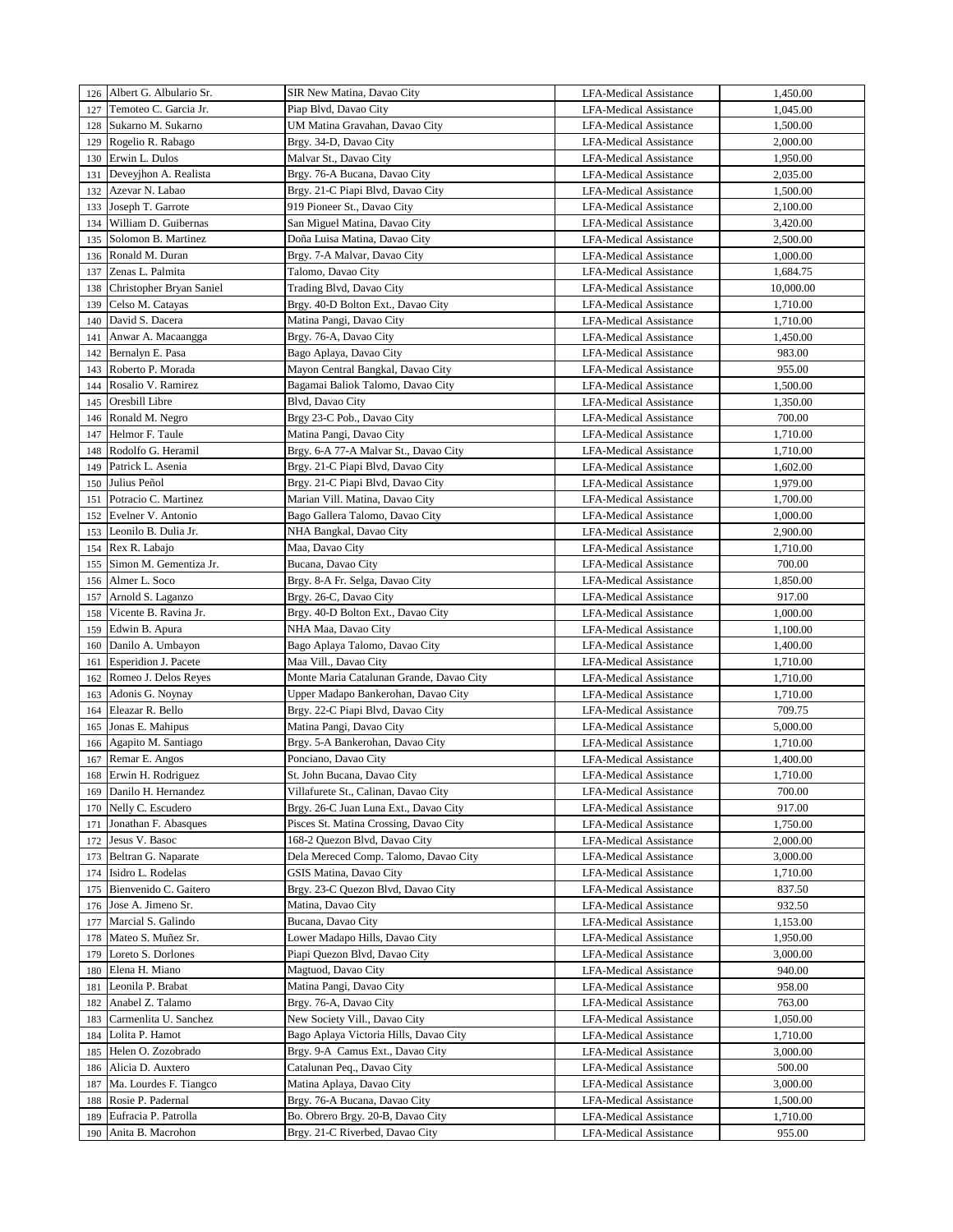|     | 126 Albert G. Albulario Sr.           | SIR New Matina, Davao City                                             | <b>LFA-Medical Assistance</b> | 1,450.00             |
|-----|---------------------------------------|------------------------------------------------------------------------|-------------------------------|----------------------|
| 127 | Temoteo C. Garcia Jr.                 | Piap Blvd, Davao City                                                  | <b>LFA-Medical Assistance</b> | 1,045.00             |
| 128 | Sukarno M. Sukarno                    | UM Matina Gravahan, Davao City                                         | <b>LFA-Medical Assistance</b> | 1,500.00             |
| 129 | Rogelio R. Rabago                     | Brgy. 34-D, Davao City                                                 | <b>LFA-Medical Assistance</b> | 2,000.00             |
| 130 | Erwin L. Dulos                        | Malvar St., Davao City                                                 | <b>LFA-Medical Assistance</b> | 1,950.00             |
| 131 | Deveyjhon A. Realista                 | Brgy. 76-A Bucana, Davao City                                          | <b>LFA-Medical Assistance</b> | 2,035.00             |
| 132 | Azevar N. Labao                       | Brgy. 21-C Piapi Blvd, Davao City                                      | <b>LFA-Medical Assistance</b> | 1,500.00             |
| 133 | Joseph T. Garrote                     | 919 Pioneer St., Davao City                                            | <b>LFA-Medical Assistance</b> | 2,100.00             |
| 134 | William D. Guibernas                  | San Miguel Matina, Davao City                                          | LFA-Medical Assistance        | 3,420.00             |
| 135 | Solomon B. Martinez                   | Doña Luisa Matina, Davao City                                          | <b>LFA-Medical Assistance</b> | 2,500.00             |
| 136 | Ronald M. Duran                       | Brgy. 7-A Malvar, Davao City                                           | <b>LFA-Medical Assistance</b> | 1,000.00             |
| 137 | Zenas L. Palmita                      | Talomo, Davao City                                                     | <b>LFA-Medical Assistance</b> | 1,684.75             |
| 138 | Christopher Bryan Saniel              | Trading Blvd, Davao City                                               | LFA-Medical Assistance        | 10,000.00            |
|     |                                       | Brgy. 40-D Bolton Ext., Davao City                                     | <b>LFA-Medical Assistance</b> |                      |
| 139 | Celso M. Catayas<br>David S. Dacera   | Matina Pangi, Davao City                                               |                               | 1,710.00             |
| 140 | Anwar A. Macaangga                    |                                                                        | LFA-Medical Assistance        | 1,710.00<br>1,450.00 |
| 141 |                                       | Brgy. 76-A, Davao City                                                 | LFA-Medical Assistance        |                      |
| 142 | Bernalyn E. Pasa<br>Roberto P. Morada | Bago Aplaya, Davao City                                                | LFA-Medical Assistance        | 983.00               |
| 143 | Rosalio V. Ramirez                    | Mayon Central Bangkal, Davao City<br>Bagamai Baliok Talomo, Davao City | LFA-Medical Assistance        | 955.00               |
| 144 |                                       |                                                                        | <b>LFA-Medical Assistance</b> | 1,500.00             |
| 145 | Oresbill Libre                        | Blvd, Davao City                                                       | <b>LFA-Medical Assistance</b> | 1,350.00             |
| 146 | Ronald M. Negro                       | Brgy 23-C Pob., Davao City                                             | <b>LFA-Medical Assistance</b> | 700.00               |
| 147 | Helmor F. Taule                       | Matina Pangi, Davao City                                               | <b>LFA-Medical Assistance</b> | 1,710.00             |
| 148 | Rodolfo G. Heramil                    | Brgy. 6-A 77-A Malvar St., Davao City                                  | <b>LFA-Medical Assistance</b> | 1,710.00             |
| 149 | Patrick L. Asenia                     | Brgy. 21-C Piapi Blvd, Davao City                                      | <b>LFA-Medical Assistance</b> | 1,602.00             |
| 150 | Julius Peñol                          | Brgy. 21-C Piapi Blvd, Davao City                                      | <b>LFA-Medical Assistance</b> | 1,979.00             |
| 151 | Potracio C. Martinez                  | Marian Vill. Matina, Davao City                                        | <b>LFA-Medical Assistance</b> | 1,700.00             |
| 152 | Evelner V. Antonio                    | Bago Gallera Talomo, Davao City                                        | <b>LFA-Medical Assistance</b> | 1,000.00             |
| 153 | Leonilo B. Dulia Jr.                  | NHA Bangkal, Davao City                                                | <b>LFA-Medical Assistance</b> | 2,900.00             |
| 154 | Rex R. Labajo                         | Maa, Davao City                                                        | <b>LFA-Medical Assistance</b> | 1,710.00             |
| 155 | Simon M. Gementiza Jr.                | Bucana, Davao City                                                     | <b>LFA-Medical Assistance</b> | 700.00               |
| 156 | Almer L. Soco                         | Brgy. 8-A Fr. Selga, Davao City                                        | <b>LFA-Medical Assistance</b> | 1,850.00             |
| 157 | Arnold S. Laganzo                     | Brgy. 26-C, Davao City                                                 | <b>LFA-Medical Assistance</b> | 917.00               |
| 158 | Vicente B. Ravina Jr.                 | Brgy. 40-D Bolton Ext., Davao City                                     | <b>LFA-Medical Assistance</b> | 1,000.00             |
| 159 | Edwin B. Apura                        | NHA Maa, Davao City                                                    | <b>LFA-Medical Assistance</b> | 1,100.00             |
| 160 | Danilo A. Umbayon                     | Bago Aplaya Talomo, Davao City                                         | <b>LFA-Medical Assistance</b> | 1,400.00             |
| 161 | Esperidion J. Pacete                  | Maa Vill., Davao City                                                  | LFA-Medical Assistance        | 1,710.00             |
| 162 | Romeo J. Delos Reyes                  | Monte Maria Catalunan Grande, Davao City                               | <b>LFA-Medical Assistance</b> | 1,710.00             |
| 163 | Adonis G. Noynay                      | Upper Madapo Bankerohan, Davao City                                    | <b>LFA-Medical Assistance</b> | 1,710.00             |
| 164 | Eleazar R. Bello                      | Brgy. 22-C Piapi Blvd, Davao City                                      | <b>LFA-Medical Assistance</b> | 709.75               |
| 165 | Jonas E. Mahipus                      | Matina Pangi, Davao City                                               | LFA-Medical Assistance        | 5,000.00             |
| 166 | Agapito M. Santiago                   | Brgy. 5-A Bankerohan, Davao City                                       | <b>LFA-Medical Assistance</b> | 1,710.00             |
| 167 | Remar E. Angos                        | Ponciano, Davao City                                                   | <b>LFA-Medical Assistance</b> | 1,400.00             |
| 168 | Erwin H. Rodriguez                    | St. John Bucana, Davao City                                            | <b>LFA-Medical Assistance</b> | 1,710.00             |
| 169 | Danilo H. Hernandez                   | Villafurete St., Calinan, Davao City                                   | LFA-Medical Assistance        | 700.00               |
| 170 | Nelly C. Escudero                     | Brgy. 26-C Juan Luna Ext., Davao City                                  | <b>LFA-Medical Assistance</b> | 917.00               |
| 171 | Jonathan F. Abasques                  | Pisces St. Matina Crossing, Davao City                                 | LFA-Medical Assistance        | 1,750.00             |
| 172 | Jesus V. Basoc                        | 168-2 Quezon Blvd, Davao City                                          | LFA-Medical Assistance        | 2,000.00             |
| 173 | Beltran G. Naparate                   | Dela Mereced Comp. Talomo, Davao City                                  | LFA-Medical Assistance        | 3,000.00             |
| 174 | Isidro L. Rodelas                     | GSIS Matina, Davao City                                                | LFA-Medical Assistance        | 1,710.00             |
| 175 | Bienvenido C. Gaitero                 | Brgy. 23-C Quezon Blvd, Davao City                                     | LFA-Medical Assistance        | 837.50               |
| 176 | Jose A. Jimeno Sr.                    | Matina, Davao City                                                     | <b>LFA-Medical Assistance</b> | 932.50               |
| 177 | Marcial S. Galindo                    | Bucana, Davao City                                                     | LFA-Medical Assistance        | 1,153.00             |
| 178 | Mateo S. Muñez Sr.                    | Lower Madapo Hills, Davao City                                         | LFA-Medical Assistance        | 1,950.00             |
| 179 | Loreto S. Dorlones                    | Piapi Quezon Blvd, Davao City                                          | LFA-Medical Assistance        | 3,000.00             |
| 180 | Elena H. Miano                        | Magtuod, Davao City                                                    | LFA-Medical Assistance        | 940.00               |
| 181 | Leonila P. Brabat                     | Matina Pangi, Davao City                                               | LFA-Medical Assistance        | 958.00               |
| 182 | Anabel Z. Talamo                      | Brgy. 76-A, Davao City                                                 | LFA-Medical Assistance        | 763.00               |
| 183 | Carmenlita U. Sanchez                 | New Society Vill., Davao City                                          | LFA-Medical Assistance        | 1,050.00             |
| 184 | Lolita P. Hamot                       | Bago Aplaya Victoria Hills, Davao City                                 | LFA-Medical Assistance        | 1,710.00             |
| 185 | Helen O. Zozobrado                    | Brgy. 9-A Camus Ext., Davao City                                       | <b>LFA-Medical Assistance</b> | 3,000.00             |
| 186 | Alicia D. Auxtero                     | Catalunan Peq., Davao City                                             | LFA-Medical Assistance        | 500.00               |
| 187 | Ma. Lourdes F. Tiangco                | Matina Aplaya, Davao City                                              | LFA-Medical Assistance        | 3,000.00             |
| 188 | Rosie P. Padernal                     | Brgy. 76-A Bucana, Davao City                                          | LFA-Medical Assistance        | 1,500.00             |
| 189 | Eufracia P. Patrolla                  | Bo. Obrero Brgy. 20-B, Davao City                                      | <b>LFA-Medical Assistance</b> | 1,710.00             |
| 190 | Anita B. Macrohon                     | Brgy. 21-C Riverbed, Davao City                                        | LFA-Medical Assistance        | 955.00               |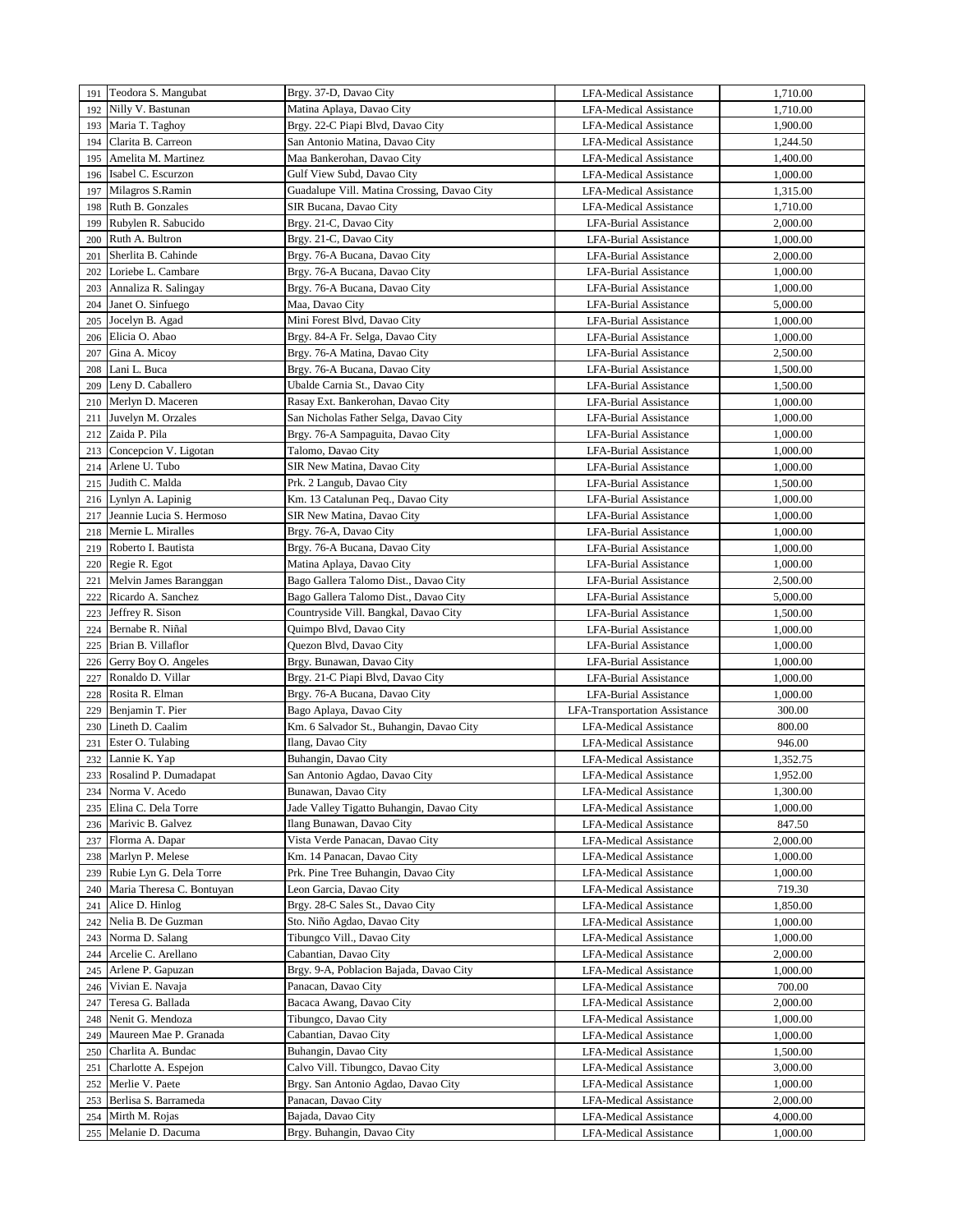| 191 | Teodora S. Mangubat       | Brgy. 37-D, Davao City                      | <b>LFA-Medical Assistance</b> | 1,710.00 |
|-----|---------------------------|---------------------------------------------|-------------------------------|----------|
| 192 | Nilly V. Bastunan         | Matina Aplaya, Davao City                   | <b>LFA-Medical Assistance</b> | 1,710.00 |
| 193 | Maria T. Taghoy           | Brgy. 22-C Piapi Blvd, Davao City           | <b>LFA-Medical Assistance</b> | 1,900.00 |
| 194 | Clarita B. Carreon        | San Antonio Matina, Davao City              | <b>LFA-Medical Assistance</b> | 1,244.50 |
| 195 | Amelita M. Martinez       | Maa Bankerohan, Davao City                  | LFA-Medical Assistance        | 1,400.00 |
| 196 | Isabel C. Escurzon        | Gulf View Subd, Davao City                  | <b>LFA-Medical Assistance</b> | 1,000.00 |
| 197 | Milagros S.Ramin          | Guadalupe Vill. Matina Crossing, Davao City | <b>LFA-Medical Assistance</b> | 1,315.00 |
| 198 | Ruth B. Gonzales          | SIR Bucana, Davao City                      | <b>LFA-Medical Assistance</b> | 1,710.00 |
| 199 | Rubylen R. Sabucido       | Brgy. 21-C, Davao City                      | LFA-Burial Assistance         | 2,000.00 |
| 200 | Ruth A. Bultron           | Brgy. 21-C, Davao City                      | <b>LFA-Burial Assistance</b>  | 1,000.00 |
| 201 | Sherlita B. Cahinde       | Brgy. 76-A Bucana, Davao City               | LFA-Burial Assistance         | 2,000.00 |
| 202 | Loriebe L. Cambare        | Brgy. 76-A Bucana, Davao City               |                               |          |
|     |                           |                                             | LFA-Burial Assistance         | 1,000.00 |
| 203 | Annaliza R. Salingay      | Brgy. 76-A Bucana, Davao City               | <b>LFA-Burial Assistance</b>  | 1,000.00 |
| 204 | Janet O. Sinfuego         | Maa, Davao City                             | <b>LFA-Burial Assistance</b>  | 5,000.00 |
| 205 | Jocelyn B. Agad           | Mini Forest Blvd, Davao City                | LFA-Burial Assistance         | 1,000.00 |
| 206 | Elicia O. Abao            | Brgy. 84-A Fr. Selga, Davao City            | <b>LFA-Burial Assistance</b>  | 1,000.00 |
| 207 | Gina A. Micoy             | Brgy. 76-A Matina, Davao City               | <b>LFA-Burial Assistance</b>  | 2,500.00 |
| 208 | Lani L. Buca              | Brgy. 76-A Bucana, Davao City               | <b>LFA-Burial Assistance</b>  | 1,500.00 |
| 209 | Leny D. Caballero         | Ubalde Carnia St., Davao City               | <b>LFA-Burial Assistance</b>  | 1,500.00 |
| 210 | Merlyn D. Maceren         | Rasay Ext. Bankerohan, Davao City           | <b>LFA-Burial Assistance</b>  | 1,000.00 |
| 211 | Juvelyn M. Orzales        | San Nicholas Father Selga, Davao City       | <b>LFA-Burial Assistance</b>  | 1,000.00 |
| 212 | Zaida P. Pila             | Brgy. 76-A Sampaguita, Davao City           | LFA-Burial Assistance         | 1,000.00 |
| 213 | Concepcion V. Ligotan     | Talomo, Davao City                          | <b>LFA-Burial Assistance</b>  | 1,000.00 |
| 214 | Arlene U. Tubo            | SIR New Matina, Davao City                  | <b>LFA-Burial Assistance</b>  | 1,000.00 |
| 215 | Judith C. Malda           | Prk. 2 Langub, Davao City                   | <b>LFA-Burial Assistance</b>  | 1,500.00 |
| 216 | Lynlyn A. Lapinig         | Km. 13 Catalunan Peq., Davao City           | <b>LFA-Burial Assistance</b>  | 1,000.00 |
| 217 | Jeannie Lucia S. Hermoso  | SIR New Matina, Davao City                  | LFA-Burial Assistance         | 1,000.00 |
| 218 | Mernie L. Miralles        | Brgy. 76-A, Davao City                      | <b>LFA-Burial Assistance</b>  | 1,000.00 |
| 219 | Roberto I. Bautista       | Brgy. 76-A Bucana, Davao City               | LFA-Burial Assistance         | 1,000.00 |
| 220 | Regie R. Egot             | Matina Aplaya, Davao City                   | <b>LFA-Burial Assistance</b>  | 1,000.00 |
| 221 | Melvin James Baranggan    | Bago Gallera Talomo Dist., Davao City       | LFA-Burial Assistance         | 2,500.00 |
| 222 | Ricardo A. Sanchez        | Bago Gallera Talomo Dist., Davao City       | <b>LFA-Burial Assistance</b>  | 5,000.00 |
| 223 | Jeffrey R. Sison          | Countryside Vill. Bangkal, Davao City       | <b>LFA-Burial Assistance</b>  | 1,500.00 |
| 224 | Bernabe R. Niñal          | Quimpo Blvd, Davao City                     | LFA-Burial Assistance         | 1,000.00 |
| 225 | Brian B. Villaflor        | Quezon Blvd, Davao City                     | LFA-Burial Assistance         | 1,000.00 |
|     |                           |                                             |                               |          |
| 226 | Gerry Boy O. Angeles      | Brgy. Bunawan, Davao City                   | LFA-Burial Assistance         | 1,000.00 |
| 227 | Ronaldo D. Villar         | Brgy. 21-C Piapi Blvd, Davao City           | <b>LFA-Burial Assistance</b>  | 1,000.00 |
| 228 | Rosita R. Elman           | Brgy. 76-A Bucana, Davao City               | LFA-Burial Assistance         | 1,000.00 |
| 229 | Benjamin T. Pier          | Bago Aplaya, Davao City                     | LFA-Transportation Assistance | 300.00   |
| 230 | Lineth D. Caalim          | Km. 6 Salvador St., Buhangin, Davao City    | <b>LFA-Medical Assistance</b> | 800.00   |
| 231 | Ester O. Tulabing         | Ilang, Davao City                           | LFA-Medical Assistance        | 946.00   |
| 232 | Lannie K. Yap             | Buhangin, Davao City                        | <b>LFA-Medical Assistance</b> | 1,352.75 |
| 233 | Rosalind P. Dumadapat     | San Antonio Agdao, Davao City               | <b>LFA-Medical Assistance</b> | 1,952.00 |
| 234 | Norma V. Acedo            | Bunawan, Davao City                         | LFA-Medical Assistance        | 1,300.00 |
| 235 | Elina C. Dela Torre       | Jade Valley Tigatto Buhangin, Davao City    | <b>LFA-Medical Assistance</b> | 1,000.00 |
| 236 | Marivic B. Galvez         | Ilang Bunawan, Davao City                   | <b>LFA-Medical Assistance</b> | 847.50   |
| 237 | Florma A. Dapar           | Vista Verde Panacan, Davao City             | <b>LFA-Medical Assistance</b> | 2,000.00 |
| 238 | Marlyn P. Melese          | Km. 14 Panacan, Davao City                  | LFA-Medical Assistance        | 1,000.00 |
| 239 | Rubie Lyn G. Dela Torre   | Prk. Pine Tree Buhangin, Davao City         | LFA-Medical Assistance        | 1,000.00 |
| 240 | Maria Theresa C. Bontuyan | Leon Garcia, Davao City                     | LFA-Medical Assistance        | 719.30   |
| 241 | Alice D. Hinlog           | Brgy. 28-C Sales St., Davao City            | LFA-Medical Assistance        | 1,850.00 |
| 242 | Nelia B. De Guzman        | Sto. Niño Agdao, Davao City                 | <b>LFA-Medical Assistance</b> | 1,000.00 |
| 243 | Norma D. Salang           | Tibungco Vill., Davao City                  | LFA-Medical Assistance        | 1,000.00 |
| 244 | Arcelie C. Arellano       | Cabantian, Davao City                       | <b>LFA-Medical Assistance</b> | 2,000.00 |
| 245 | Arlene P. Gapuzan         | Brgy. 9-A, Poblacion Bajada, Davao City     | LFA-Medical Assistance        | 1,000.00 |
| 246 | Vivian E. Navaja          | Panacan, Davao City                         | LFA-Medical Assistance        | 700.00   |
| 247 | Teresa G. Ballada         | Bacaca Awang, Davao City                    | LFA-Medical Assistance        | 2,000.00 |
| 248 | Nenit G. Mendoza          | Tibungco, Davao City                        | LFA-Medical Assistance        | 1,000.00 |
| 249 | Maureen Mae P. Granada    | Cabantian, Davao City                       | LFA-Medical Assistance        | 1,000.00 |
| 250 | Charlita A. Bundac        | Buhangin, Davao City                        | <b>LFA-Medical Assistance</b> | 1,500.00 |
| 251 | Charlotte A. Espejon      | Calvo Vill. Tibungco, Davao City            | LFA-Medical Assistance        | 3,000.00 |
|     | Merlie V. Paete           | Brgy. San Antonio Agdao, Davao City         |                               | 1,000.00 |
| 252 | Berlisa S. Barrameda      |                                             | LFA-Medical Assistance        |          |
| 253 |                           | Panacan, Davao City                         | LFA-Medical Assistance        | 2,000.00 |
| 254 | Mirth M. Rojas            | Bajada, Davao City                          | LFA-Medical Assistance        | 4,000.00 |
| 255 | Melanie D. Dacuma         | Brgy. Buhangin, Davao City                  | LFA-Medical Assistance        | 1,000.00 |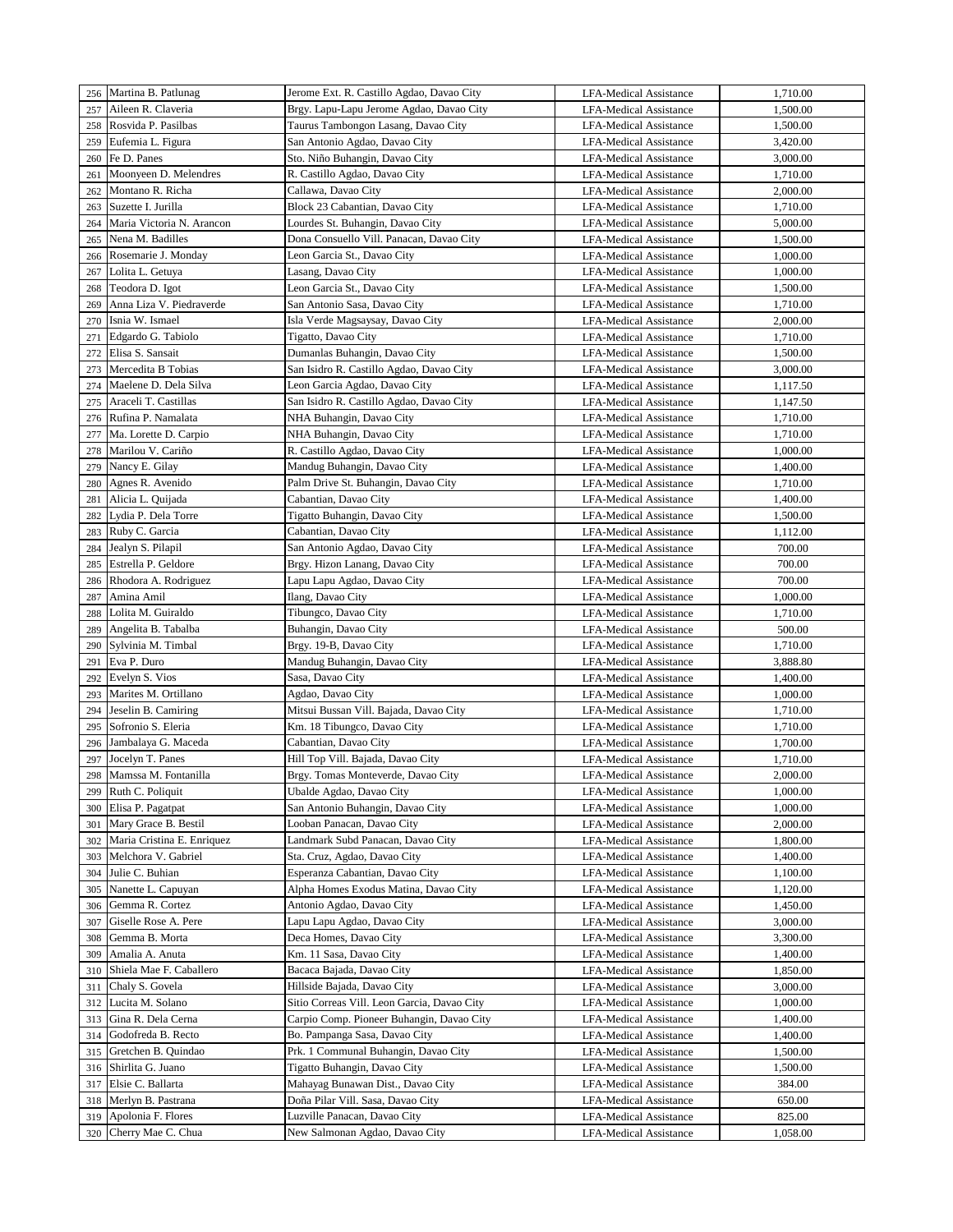|     | 256 Martina B. Patlunag    | Jerome Ext. R. Castillo Agdao, Davao City   | <b>LFA-Medical Assistance</b> | 1,710.00 |
|-----|----------------------------|---------------------------------------------|-------------------------------|----------|
| 257 | Aileen R. Claveria         | Brgy. Lapu-Lapu Jerome Agdao, Davao City    | <b>LFA-Medical Assistance</b> | 1,500.00 |
| 258 | Rosvida P. Pasilbas        | Taurus Tambongon Lasang, Davao City         | LFA-Medical Assistance        | 1,500.00 |
| 259 | Eufemia L. Figura          | San Antonio Agdao, Davao City               | <b>LFA-Medical Assistance</b> | 3,420.00 |
| 260 | Fe D. Panes                | Sto. Niño Buhangin, Davao City              | <b>LFA-Medical Assistance</b> | 3,000.00 |
| 261 | Moonyeen D. Melendres      | R. Castillo Agdao, Davao City               | <b>LFA-Medical Assistance</b> | 1,710.00 |
| 262 | Montano R. Richa           | Callawa, Davao City                         | <b>LFA-Medical Assistance</b> | 2,000.00 |
| 263 | Suzette I. Jurilla         | Block 23 Cabantian, Davao City              | <b>LFA-Medical Assistance</b> | 1,710.00 |
| 264 | Maria Victoria N. Arancon  | Lourdes St. Buhangin, Davao City            | LFA-Medical Assistance        | 5,000.00 |
| 265 | Nena M. Badilles           | Dona Consuello Vill. Panacan, Davao City    | <b>LFA-Medical Assistance</b> | 1,500.00 |
| 266 | Rosemarie J. Monday        | Leon Garcia St., Davao City                 | <b>LFA-Medical Assistance</b> | 1,000.00 |
| 267 | Lolita L. Getuya           | Lasang, Davao City                          | <b>LFA-Medical Assistance</b> | 1,000.00 |
| 268 | Teodora D. Igot            | Leon Garcia St., Davao City                 | LFA-Medical Assistance        | 1,500.00 |
| 269 | Anna Liza V. Piedraverde   | San Antonio Sasa, Davao City                | <b>LFA-Medical Assistance</b> | 1,710.00 |
| 270 | Isnia W. Ismael            | Isla Verde Magsaysay, Davao City            | LFA-Medical Assistance        | 2,000.00 |
| 271 | Edgardo G. Tabiolo         | Tigatto, Davao City                         | LFA-Medical Assistance        | 1,710.00 |
| 272 | Elisa S. Sansait           |                                             |                               | 1,500.00 |
|     | Mercedita B Tobias         | Dumanlas Buhangin, Davao City               | LFA-Medical Assistance        |          |
| 273 | Maelene D. Dela Silva      | San Isidro R. Castillo Agdao, Davao City    | LFA-Medical Assistance        | 3,000.00 |
| 274 |                            | Leon Garcia Agdao, Davao City               | LFA-Medical Assistance        | 1,117.50 |
| 275 | Araceli T. Castillas       | San Isidro R. Castillo Agdao, Davao City    | <b>LFA-Medical Assistance</b> | 1,147.50 |
| 276 | Rufina P. Namalata         | NHA Buhangin, Davao City                    | LFA-Medical Assistance        | 1,710.00 |
| 277 | Ma. Lorette D. Carpio      | NHA Buhangin, Davao City                    | LFA-Medical Assistance        | 1,710.00 |
| 278 | Marilou V. Cariño          | R. Castillo Agdao, Davao City               | <b>LFA-Medical Assistance</b> | 1,000.00 |
| 279 | Nancy E. Gilay             | Mandug Buhangin, Davao City                 | LFA-Medical Assistance        | 1,400.00 |
| 280 | Agnes R. Avenido           | Palm Drive St. Buhangin, Davao City         | <b>LFA-Medical Assistance</b> | 1,710.00 |
| 281 | Alicia L. Quijada          | Cabantian, Davao City                       | <b>LFA-Medical Assistance</b> | 1,400.00 |
| 282 | Lydia P. Dela Torre        | Tigatto Buhangin, Davao City                | <b>LFA-Medical Assistance</b> | 1,500.00 |
| 283 | Ruby C. Garcia             | Cabantian, Davao City                       | <b>LFA-Medical Assistance</b> | 1,112.00 |
| 284 | Jealyn S. Pilapil          | San Antonio Agdao, Davao City               | <b>LFA-Medical Assistance</b> | 700.00   |
| 285 | Estrella P. Geldore        | Brgy. Hizon Lanang, Davao City              | LFA-Medical Assistance        | 700.00   |
| 286 | Rhodora A. Rodriguez       | Lapu Lapu Agdao, Davao City                 | <b>LFA-Medical Assistance</b> | 700.00   |
| 287 | Amina Amil                 | Ilang, Davao City                           | <b>LFA-Medical Assistance</b> | 1,000.00 |
| 288 | Lolita M. Guiraldo         | Tibungco, Davao City                        | <b>LFA-Medical Assistance</b> | 1,710.00 |
| 289 | Angelita B. Tabalba        | Buhangin, Davao City                        | <b>LFA-Medical Assistance</b> | 500.00   |
| 290 | Sylvinia M. Timbal         | Brgy. 19-B, Davao City                      | <b>LFA-Medical Assistance</b> | 1,710.00 |
| 291 | Eva P. Duro                | Mandug Buhangin, Davao City                 | LFA-Medical Assistance        | 3,888.80 |
| 292 | Evelyn S. Vios             | Sasa, Davao City                            | <b>LFA-Medical Assistance</b> | 1,400.00 |
| 293 | Marites M. Ortillano       | Agdao, Davao City                           | <b>LFA-Medical Assistance</b> | 1,000.00 |
| 294 | Jeselin B. Camiring        | Mitsui Bussan Vill. Bajada, Davao City      | <b>LFA-Medical Assistance</b> | 1,710.00 |
| 295 | Sofronio S. Eleria         | Km. 18 Tibungco, Davao City                 | <b>LFA-Medical Assistance</b> | 1,710.00 |
| 296 | Jambalaya G. Maceda        | Cabantian, Davao City                       | <b>LFA-Medical Assistance</b> | 1,700.00 |
| 297 | Jocelyn T. Panes           | Hill Top Vill. Bajada, Davao City           | LFA-Medical Assistance        | 1,710.00 |
| 298 | Mamssa M. Fontanilla       | Brgy. Tomas Monteverde, Davao City          | LFA-Medical Assistance        | 2,000.00 |
| 299 | Ruth C. Poliquit           | Ubalde Agdao, Davao City                    | <b>LFA-Medical Assistance</b> | 1,000.00 |
| 300 | Elisa P. Pagatpat          | San Antonio Buhangin, Davao City            | <b>LFA-Medical Assistance</b> | 1,000.00 |
| 301 | Mary Grace B. Bestil       | Looban Panacan, Davao City                  | LFA-Medical Assistance        | 2,000.00 |
| 302 | Maria Cristina E. Enriquez | Landmark Subd Panacan, Davao City           | <b>LFA-Medical Assistance</b> | 1,800.00 |
| 303 | Melchora V. Gabriel        | Sta. Cruz, Agdao, Davao City                | LFA-Medical Assistance        | 1,400.00 |
| 304 | Julie C. Buhian            | Esperanza Cabantian, Davao City             | LFA-Medical Assistance        | 1,100.00 |
| 305 | Nanette L. Capuyan         | Alpha Homes Exodus Matina, Davao City       | <b>LFA-Medical Assistance</b> | 1,120.00 |
| 306 | Gemma R. Cortez            | Antonio Agdao, Davao City                   | LFA-Medical Assistance        | 1,450.00 |
| 307 | Giselle Rose A. Pere       | Lapu Lapu Agdao, Davao City                 | LFA-Medical Assistance        | 3,000.00 |
| 308 | Gemma B. Morta             | Deca Homes, Davao City                      | <b>LFA-Medical Assistance</b> | 3,300.00 |
| 309 | Amalia A. Anuta            | Km. 11 Sasa, Davao City                     | <b>LFA-Medical Assistance</b> | 1,400.00 |
| 310 | Shiela Mae F. Caballero    | Bacaca Bajada, Davao City                   | <b>LFA-Medical Assistance</b> | 1,850.00 |
| 311 | Chaly S. Govela            | Hillside Bajada, Davao City                 | LFA-Medical Assistance        | 3,000.00 |
| 312 | Lucita M. Solano           | Sitio Correas Vill. Leon Garcia, Davao City | LFA-Medical Assistance        | 1,000.00 |
| 313 | Gina R. Dela Cerna         | Carpio Comp. Pioneer Buhangin, Davao City   | LFA-Medical Assistance        | 1,400.00 |
| 314 | Godofreda B. Recto         | Bo. Pampanga Sasa, Davao City               | LFA-Medical Assistance        | 1,400.00 |
| 315 | Gretchen B. Quindao        | Prk. 1 Communal Buhangin, Davao City        | <b>LFA-Medical Assistance</b> | 1,500.00 |
| 316 | Shirlita G. Juano          | Tigatto Buhangin, Davao City                | LFA-Medical Assistance        | 1,500.00 |
| 317 | Elsie C. Ballarta          | Mahayag Bunawan Dist., Davao City           | LFA-Medical Assistance        | 384.00   |
| 318 | Merlyn B. Pastrana         | Doña Pilar Vill. Sasa, Davao City           | LFA-Medical Assistance        | 650.00   |
| 319 | Apolonia F. Flores         | Luzville Panacan, Davao City                | <b>LFA-Medical Assistance</b> | 825.00   |
| 320 | Cherry Mae C. Chua         | New Salmonan Agdao, Davao City              | LFA-Medical Assistance        | 1,058.00 |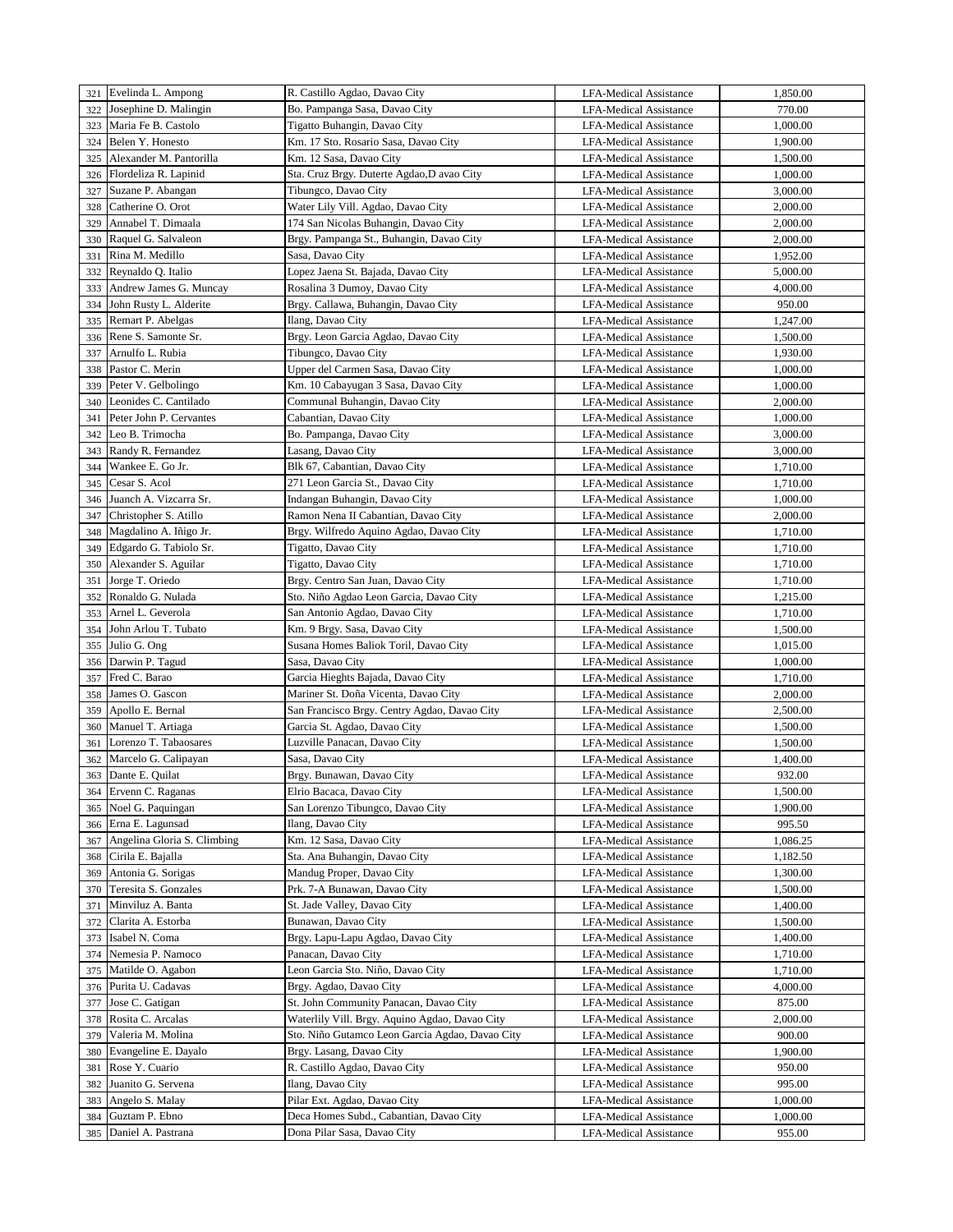|     | 321 Evelinda L. Ampong      | R. Castillo Agdao, Davao City                                             | <b>LFA-Medical Assistance</b> | 1,850.00 |
|-----|-----------------------------|---------------------------------------------------------------------------|-------------------------------|----------|
| 322 | Josephine D. Malingin       | Bo. Pampanga Sasa, Davao City                                             | <b>LFA-Medical Assistance</b> | 770.00   |
| 323 | Maria Fe B. Castolo         | Tigatto Buhangin, Davao City                                              | <b>LFA-Medical Assistance</b> | 1,000.00 |
| 324 | Belen Y. Honesto            | Km. 17 Sto. Rosario Sasa, Davao City                                      | <b>LFA-Medical Assistance</b> | 1,900.00 |
| 325 | Alexander M. Pantorilla     | Km. 12 Sasa, Davao City                                                   | <b>LFA-Medical Assistance</b> | 1,500.00 |
| 326 | Flordeliza R. Lapinid       | Sta. Cruz Brgy. Duterte Agdao, D avao City                                | <b>LFA-Medical Assistance</b> | 1,000.00 |
| 327 | Suzane P. Abangan           | Tibungco, Davao City                                                      | <b>LFA-Medical Assistance</b> | 3,000.00 |
| 328 | Catherine O. Orot           | Water Lily Vill. Agdao, Davao City                                        | <b>LFA-Medical Assistance</b> | 2,000.00 |
| 329 | Annabel T. Dimaala          | 174 San Nicolas Buhangin, Davao City                                      | LFA-Medical Assistance        | 2,000.00 |
| 330 | Raquel G. Salvaleon         | Brgy. Pampanga St., Buhangin, Davao City                                  | <b>LFA-Medical Assistance</b> | 2,000.00 |
| 331 | Rina M. Medillo             | Sasa, Davao City                                                          | <b>LFA-Medical Assistance</b> | 1,952.00 |
|     | Reynaldo O. Italio          |                                                                           |                               |          |
| 332 |                             | Lopez Jaena St. Bajada, Davao City                                        | <b>LFA-Medical Assistance</b> | 5,000.00 |
| 333 | Andrew James G. Muncay      | Rosalina 3 Dumoy, Davao City                                              | <b>LFA-Medical Assistance</b> | 4,000.00 |
| 334 | John Rusty L. Alderite      | Brgy. Callawa, Buhangin, Davao City                                       | <b>LFA-Medical Assistance</b> | 950.00   |
| 335 | Remart P. Abelgas           | Ilang, Davao City                                                         | LFA-Medical Assistance        | 1,247.00 |
| 336 | Rene S. Samonte Sr.         | Brgy. Leon Garcia Agdao, Davao City                                       | LFA-Medical Assistance        | 1,500.00 |
| 337 | Arnulfo L. Rubia            | Tibungco, Davao City                                                      | LFA-Medical Assistance        | 1,930.00 |
| 338 | Pastor C. Merin             | Upper del Carmen Sasa, Davao City                                         | LFA-Medical Assistance        | 1,000.00 |
| 339 | Peter V. Gelbolingo         | Km. 10 Cabayugan 3 Sasa, Davao City                                       | <b>LFA-Medical Assistance</b> | 1,000.00 |
| 340 | Leonides C. Cantilado       | Communal Buhangin, Davao City                                             | <b>LFA-Medical Assistance</b> | 2,000.00 |
| 341 | Peter John P. Cervantes     | Cabantian, Davao City                                                     | LFA-Medical Assistance        | 1,000.00 |
| 342 | Leo B. Trimocha             | Bo. Pampanga, Davao City                                                  | <b>LFA-Medical Assistance</b> | 3,000.00 |
| 343 | Randy R. Fernandez          | Lasang, Davao City                                                        | <b>LFA-Medical Assistance</b> | 3,000.00 |
| 344 | Wankee E. Go Jr.            | Blk 67, Cabantian, Davao City                                             | <b>LFA-Medical Assistance</b> | 1,710.00 |
| 345 | Cesar S. Acol               | 271 Leon Garcia St., Davao City                                           | <b>LFA-Medical Assistance</b> | 1,710.00 |
| 346 | Juanch A. Vizcarra Sr.      | Indangan Buhangin, Davao City                                             | <b>LFA-Medical Assistance</b> | 1,000.00 |
| 347 | Christopher S. Atillo       | Ramon Nena II Cabantian, Davao City                                       | <b>LFA-Medical Assistance</b> | 2,000.00 |
| 348 | Magdalino A. Iñigo Jr.      | Brgy. Wilfredo Aquino Agdao, Davao City                                   | <b>LFA-Medical Assistance</b> | 1,710.00 |
| 349 | Edgardo G. Tabiolo Sr.      | Tigatto, Davao City                                                       | <b>LFA-Medical Assistance</b> | 1,710.00 |
| 350 | Alexander S. Aguilar        | Tigatto, Davao City                                                       | <b>LFA-Medical Assistance</b> | 1,710.00 |
| 351 | Jorge T. Oriedo             | Brgy. Centro San Juan, Davao City                                         | <b>LFA-Medical Assistance</b> | 1,710.00 |
| 352 | Ronaldo G. Nulada           | Sto. Niño Agdao Leon Garcia, Davao City                                   | <b>LFA-Medical Assistance</b> | 1,215.00 |
| 353 | Arnel L. Geverola           | San Antonio Agdao, Davao City                                             | <b>LFA-Medical Assistance</b> | 1,710.00 |
| 354 | John Arlou T. Tubato        | Km. 9 Brgy. Sasa, Davao City                                              | <b>LFA-Medical Assistance</b> | 1,500.00 |
| 355 | Julio G. Ong                | Susana Homes Baliok Toril, Davao City                                     | <b>LFA-Medical Assistance</b> | 1,015.00 |
|     |                             |                                                                           |                               |          |
| 356 | Darwin P. Tagud             | Sasa, Davao City                                                          | LFA-Medical Assistance        | 1,000.00 |
| 357 | Fred C. Barao               | Garcia Hieghts Bajada, Davao City<br>Mariner St. Doña Vicenta, Davao City | <b>LFA-Medical Assistance</b> | 1,710.00 |
| 358 | James O. Gascon             |                                                                           | <b>LFA-Medical Assistance</b> | 2,000.00 |
| 359 | Apollo E. Bernal            | San Francisco Brgy. Centry Agdao, Davao City                              | <b>LFA-Medical Assistance</b> | 2,500.00 |
| 360 | Manuel T. Artiaga           | Garcia St. Agdao, Davao City                                              | LFA-Medical Assistance        | 1,500.00 |
| 361 | Lorenzo T. Tabaosares       | Luzville Panacan, Davao City                                              | <b>LFA-Medical Assistance</b> | 1,500.00 |
| 362 | Marcelo G. Calipayan        | Sasa, Davao City                                                          | <b>LFA-Medical Assistance</b> | 1,400.00 |
| 363 | Dante E. Quilat             | Brgy. Bunawan, Davao City                                                 | <b>LFA-Medical Assistance</b> | 932.00   |
| 364 | Ervenn C. Raganas           | Elrio Bacaca, Davao City                                                  | LFA-Medical Assistance        | 1,500.00 |
| 365 | Noel G. Paquingan           | San Lorenzo Tibungco, Davao City                                          | <b>LFA-Medical Assistance</b> | 1,900.00 |
| 366 | Erna E. Lagunsad            | Ilang, Davao City                                                         | LFA-Medical Assistance        | 995.50   |
| 367 | Angelina Gloria S. Climbing | Km. 12 Sasa, Davao City                                                   | <b>LFA-Medical Assistance</b> | 1,086.25 |
| 368 | Cirila E. Bajalla           | Sta. Ana Buhangin, Davao City                                             | LFA-Medical Assistance        | 1,182.50 |
| 369 | Antonia G. Sorigas          | Mandug Proper, Davao City                                                 | LFA-Medical Assistance        | 1,300.00 |
| 370 | Teresita S. Gonzales        | Prk. 7-A Bunawan, Davao City                                              | <b>LFA-Medical Assistance</b> | 1,500.00 |
| 371 | Minviluz A. Banta           | St. Jade Valley, Davao City                                               | <b>LFA-Medical Assistance</b> | 1,400.00 |
| 372 | Clarita A. Estorba          | Bunawan, Davao City                                                       | LFA-Medical Assistance        | 1,500.00 |
| 373 | Isabel N. Coma              | Brgy. Lapu-Lapu Agdao, Davao City                                         | LFA-Medical Assistance        | 1,400.00 |
| 374 | Nemesia P. Namoco           | Panacan, Davao City                                                       | LFA-Medical Assistance        | 1,710.00 |
| 375 | Matilde O. Agabon           | Leon Garcia Sto. Niño, Davao City                                         | LFA-Medical Assistance        | 1,710.00 |
| 376 | Purita U. Cadavas           | Brgy. Agdao, Davao City                                                   | LFA-Medical Assistance        | 4,000.00 |
| 377 | Jose C. Gatigan             | St. John Community Panacan, Davao City                                    | LFA-Medical Assistance        | 875.00   |
| 378 | Rosita C. Arcalas           | Waterlily Vill. Brgy. Aquino Agdao, Davao City                            | LFA-Medical Assistance        | 2,000.00 |
| 379 | Valeria M. Molina           | Sto. Niño Gutamco Leon Garcia Agdao, Davao City                           | LFA-Medical Assistance        | 900.00   |
| 380 | Evangeline E. Dayalo        | Brgy. Lasang, Davao City                                                  | <b>LFA-Medical Assistance</b> | 1,900.00 |
| 381 | Rose Y. Cuario              | R. Castillo Agdao, Davao City                                             | LFA-Medical Assistance        | 950.00   |
| 382 | Juanito G. Servena          | Ilang, Davao City                                                         | LFA-Medical Assistance        | 995.00   |
| 383 | Angelo S. Malay             | Pilar Ext. Agdao, Davao City                                              | LFA-Medical Assistance        | 1,000.00 |
| 384 | Guztam P. Ebno              | Deca Homes Subd., Cabantian, Davao City                                   | <b>LFA-Medical Assistance</b> | 1,000.00 |
| 385 | Daniel A. Pastrana          | Dona Pilar Sasa, Davao City                                               | LFA-Medical Assistance        | 955.00   |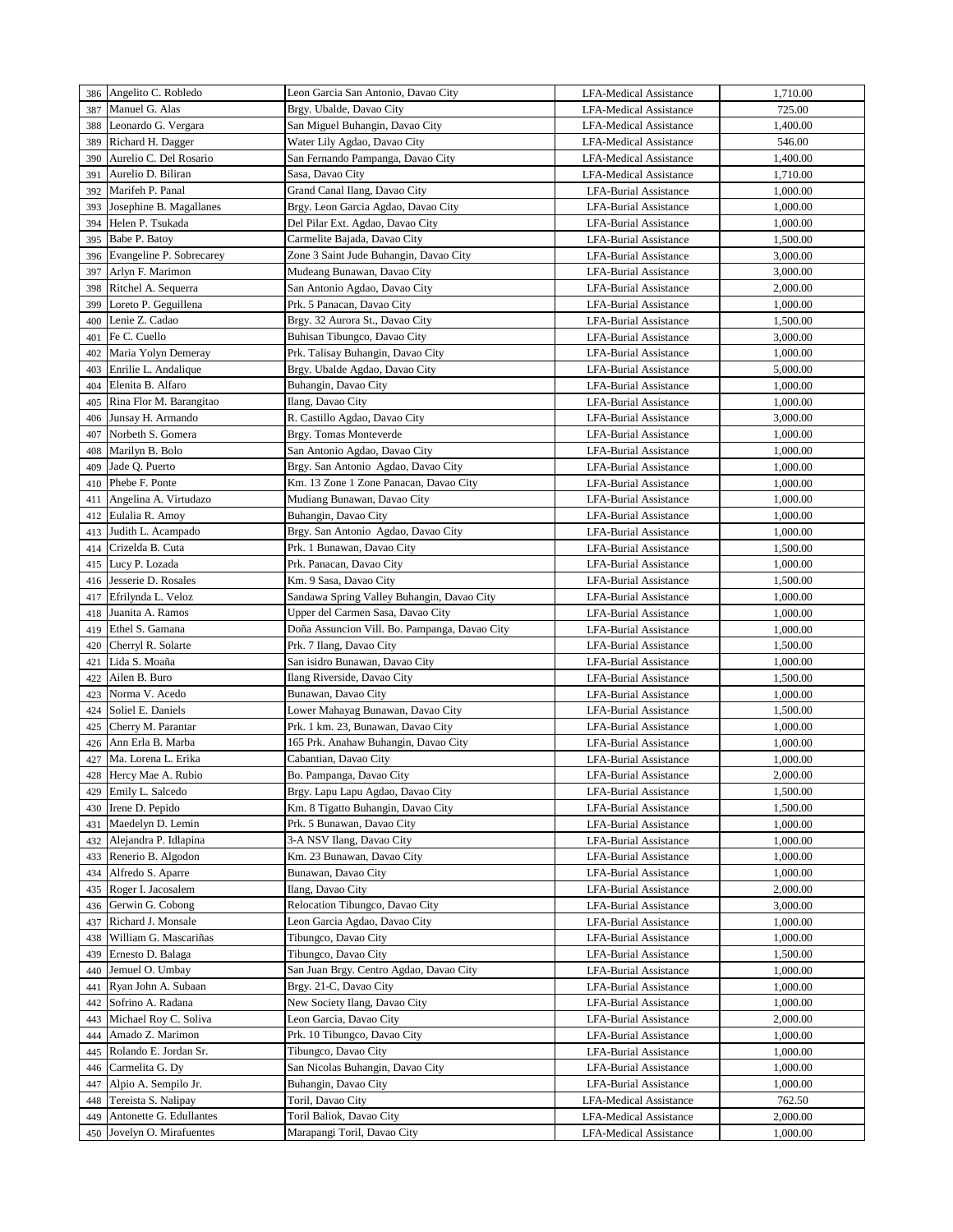| 386 | Angelito C. Robledo                               | Leon Garcia San Antonio, Davao City                     | <b>LFA-Medical Assistance</b> | 1,710.00 |
|-----|---------------------------------------------------|---------------------------------------------------------|-------------------------------|----------|
| 387 | Manuel G. Alas                                    | Brgy. Ubalde, Davao City                                | <b>LFA-Medical Assistance</b> | 725.00   |
| 388 | Leonardo G. Vergara                               | San Miguel Buhangin, Davao City                         | <b>LFA-Medical Assistance</b> | 1,400.00 |
| 389 | Richard H. Dagger                                 | Water Lily Agdao, Davao City                            | <b>LFA-Medical Assistance</b> | 546.00   |
| 390 | Aurelio C. Del Rosario                            | San Fernando Pampanga, Davao City                       | <b>LFA-Medical Assistance</b> | 1,400.00 |
| 391 | Aurelio D. Biliran                                | Sasa, Davao City                                        | <b>LFA-Medical Assistance</b> | 1,710.00 |
| 392 | Marifeh P. Panal                                  | Grand Canal Ilang, Davao City                           | <b>LFA-Burial Assistance</b>  | 1,000.00 |
| 393 | Josephine B. Magallanes                           | Brgy. Leon Garcia Agdao, Davao City                     | <b>LFA-Burial Assistance</b>  | 1,000.00 |
| 394 | Helen P. Tsukada                                  | Del Pilar Ext. Agdao, Davao City                        | <b>LFA-Burial Assistance</b>  | 1,000.00 |
| 395 | Babe P. Batoy                                     | Carmelite Bajada, Davao City                            | <b>LFA-Burial Assistance</b>  | 1,500.00 |
| 396 | Evangeline P. Sobrecarey                          | Zone 3 Saint Jude Buhangin, Davao City                  | <b>LFA-Burial Assistance</b>  | 3,000.00 |
| 397 | Arlyn F. Marimon                                  | Mudeang Bunawan, Davao City                             | <b>LFA-Burial Assistance</b>  | 3,000.00 |
| 398 | Ritchel A. Sequerra                               | San Antonio Agdao, Davao City                           | LFA-Burial Assistance         | 2,000.00 |
| 399 | Loreto P. Geguillena                              | Prk. 5 Panacan, Davao City                              | <b>LFA-Burial Assistance</b>  | 1,000.00 |
| 400 | Lenie Z. Cadao                                    | Brgy. 32 Aurora St., Davao City                         | <b>LFA-Burial Assistance</b>  | 1,500.00 |
| 401 | Fe C. Cuello                                      | Buhisan Tibungco, Davao City                            | <b>LFA-Burial Assistance</b>  | 3,000.00 |
| 402 | Maria Yolyn Demeray                               | Prk. Talisay Buhangin, Davao City                       | <b>LFA-Burial Assistance</b>  | 1,000.00 |
| 403 | Enrilie L. Andalique                              | Brgy. Ubalde Agdao, Davao City                          | LFA-Burial Assistance         | 5,000.00 |
| 404 | Elenita B. Alfaro                                 | Buhangin, Davao City                                    | LFA-Burial Assistance         | 1,000.00 |
| 405 | Rina Flor M. Barangitao                           | Ilang, Davao City                                       | <b>LFA-Burial Assistance</b>  | 1,000.00 |
| 406 | Junsay H. Armando                                 | R. Castillo Agdao, Davao City                           | <b>LFA-Burial Assistance</b>  | 3,000.00 |
| 407 | Norbeth S. Gomera                                 | Brgy. Tomas Monteverde                                  | <b>LFA-Burial Assistance</b>  | 1,000.00 |
| 408 | Marilyn B. Bolo                                   | San Antonio Agdao, Davao City                           | <b>LFA-Burial Assistance</b>  | 1,000.00 |
| 409 | Jade Q. Puerto                                    | Brgy. San Antonio Agdao, Davao City                     | <b>LFA-Burial Assistance</b>  | 1,000.00 |
| 410 | Phebe F. Ponte                                    | Km. 13 Zone 1 Zone Panacan, Davao City                  | <b>LFA-Burial Assistance</b>  | 1,000.00 |
| 411 | Angelina A. Virtudazo                             | Mudiang Bunawan, Davao City                             | <b>LFA-Burial Assistance</b>  | 1,000.00 |
| 412 | Eulalia R. Amoy                                   | Buhangin, Davao City                                    | <b>LFA-Burial Assistance</b>  | 1,000.00 |
| 413 | Judith L. Acampado                                | Brgy. San Antonio Agdao, Davao City                     | <b>LFA-Burial Assistance</b>  | 1,000.00 |
| 414 | Crizelda B. Cuta                                  | Prk. 1 Bunawan, Davao City                              | <b>LFA-Burial Assistance</b>  | 1,500.00 |
| 415 | Lucy P. Lozada                                    | Prk. Panacan, Davao City                                | <b>LFA-Burial Assistance</b>  | 1,000.00 |
| 416 | Jesserie D. Rosales                               | Km. 9 Sasa, Davao City                                  | <b>LFA-Burial Assistance</b>  | 1,500.00 |
| 417 | Efrilynda L. Veloz                                | Sandawa Spring Valley Buhangin, Davao City              | <b>LFA-Burial Assistance</b>  | 1,000.00 |
| 418 | Juanita A. Ramos                                  | Upper del Carmen Sasa, Davao City                       | <b>LFA-Burial Assistance</b>  | 1,000.00 |
| 419 | Ethel S. Gamana                                   | Doña Assuncion Vill. Bo. Pampanga, Davao City           | <b>LFA-Burial Assistance</b>  | 1,000.00 |
| 420 | Cherryl R. Solarte                                | Prk. 7 Ilang, Davao City                                | <b>LFA-Burial Assistance</b>  | 1,500.00 |
| 421 | Lida S. Moaña                                     | San isidro Bunawan, Davao City                          | LFA-Burial Assistance         | 1,000.00 |
| 422 | Ailen B. Buro                                     | Ilang Riverside, Davao City                             | <b>LFA-Burial Assistance</b>  | 1,500.00 |
| 423 | Norma V. Acedo                                    | Bunawan, Davao City                                     | <b>LFA-Burial Assistance</b>  | 1,000.00 |
| 424 | Soliel E. Daniels                                 | Lower Mahayag Bunawan, Davao City                       | <b>LFA-Burial Assistance</b>  | 1,500.00 |
| 425 | Cherry M. Parantar                                | Prk. 1 km. 23, Bunawan, Davao City                      | <b>LFA-Burial Assistance</b>  | 1,000.00 |
| 426 | Ann Erla B. Marba                                 | 165 Prk. Anahaw Buhangin, Davao City                    | <b>LFA-Burial Assistance</b>  | 1,000.00 |
| 427 | Ma. Lorena L. Erika                               | Cabantian, Davao City                                   | <b>LFA-Burial Assistance</b>  | 1,000.00 |
| 428 | Hercy Mae A. Rubio                                | Bo. Pampanga, Davao City                                | LFA-Burial Assistance         | 2,000.00 |
| 429 | Emily L. Salcedo                                  | Brgy. Lapu Lapu Agdao, Davao City                       | LFA-Burial Assistance         | 1,500.00 |
| 430 | Irene D. Pepido                                   | Km. 8 Tigatto Buhangin, Davao City                      | <b>LFA-Burial Assistance</b>  | 1,500.00 |
| 431 | Maedelyn D. Lemin                                 | Prk. 5 Bunawan, Davao City                              | <b>LFA-Burial Assistance</b>  | 1,000.00 |
| 432 | Alejandra P. Idlapina                             | 3-A NSV Ilang, Davao City                               | <b>LFA-Burial Assistance</b>  | 1,000.00 |
| 433 | Renerio B. Algodon                                | Km. 23 Bunawan, Davao City                              | LFA-Burial Assistance         | 1,000.00 |
| 434 | Alfredo S. Aparre                                 | Bunawan, Davao City                                     | LFA-Burial Assistance         | 1,000.00 |
| 435 | Roger I. Jacosalem                                | Ilang, Davao City                                       | LFA-Burial Assistance         | 2,000.00 |
| 436 | Gerwin G. Cobong                                  | Relocation Tibungco, Davao City                         | LFA-Burial Assistance         | 3,000.00 |
| 437 | Richard J. Monsale                                | Leon Garcia Agdao, Davao City                           | LFA-Burial Assistance         | 1,000.00 |
| 438 | William G. Mascariñas                             | Tibungco, Davao City                                    | LFA-Burial Assistance         | 1,000.00 |
| 439 | Ernesto D. Balaga                                 | Tibungco, Davao City                                    | <b>LFA-Burial Assistance</b>  | 1,500.00 |
| 440 | Jemuel O. Umbay                                   | San Juan Brgy. Centro Agdao, Davao City                 | LFA-Burial Assistance         | 1,000.00 |
| 441 | Ryan John A. Subaan                               | Brgy. 21-C, Davao City                                  | LFA-Burial Assistance         | 1,000.00 |
| 442 | Sofrino A. Radana                                 | New Society Ilang, Davao City                           | LFA-Burial Assistance         | 1,000.00 |
| 443 | Michael Roy C. Soliva                             | Leon Garcia, Davao City                                 | LFA-Burial Assistance         | 2,000.00 |
| 444 | Amado Z. Marimon                                  | Prk. 10 Tibungco, Davao City                            | LFA-Burial Assistance         | 1,000.00 |
| 445 | Rolando E. Jordan Sr.                             | Tibungco, Davao City                                    | LFA-Burial Assistance         | 1,000.00 |
| 446 | Carmelita G. Dy                                   | San Nicolas Buhangin, Davao City                        | LFA-Burial Assistance         | 1,000.00 |
| 447 | Alpio A. Sempilo Jr.                              | Buhangin, Davao City                                    | LFA-Burial Assistance         | 1,000.00 |
| 448 | Tereista S. Nalipay                               | Toril, Davao City                                       | <b>LFA-Medical Assistance</b> | 762.50   |
| 449 | Antonette G. Edullantes<br>Jovelyn O. Mirafuentes | Toril Baliok, Davao City<br>Marapangi Toril, Davao City | <b>LFA-Medical Assistance</b> | 2,000.00 |
| 450 |                                                   |                                                         | <b>LFA-Medical Assistance</b> | 1,000.00 |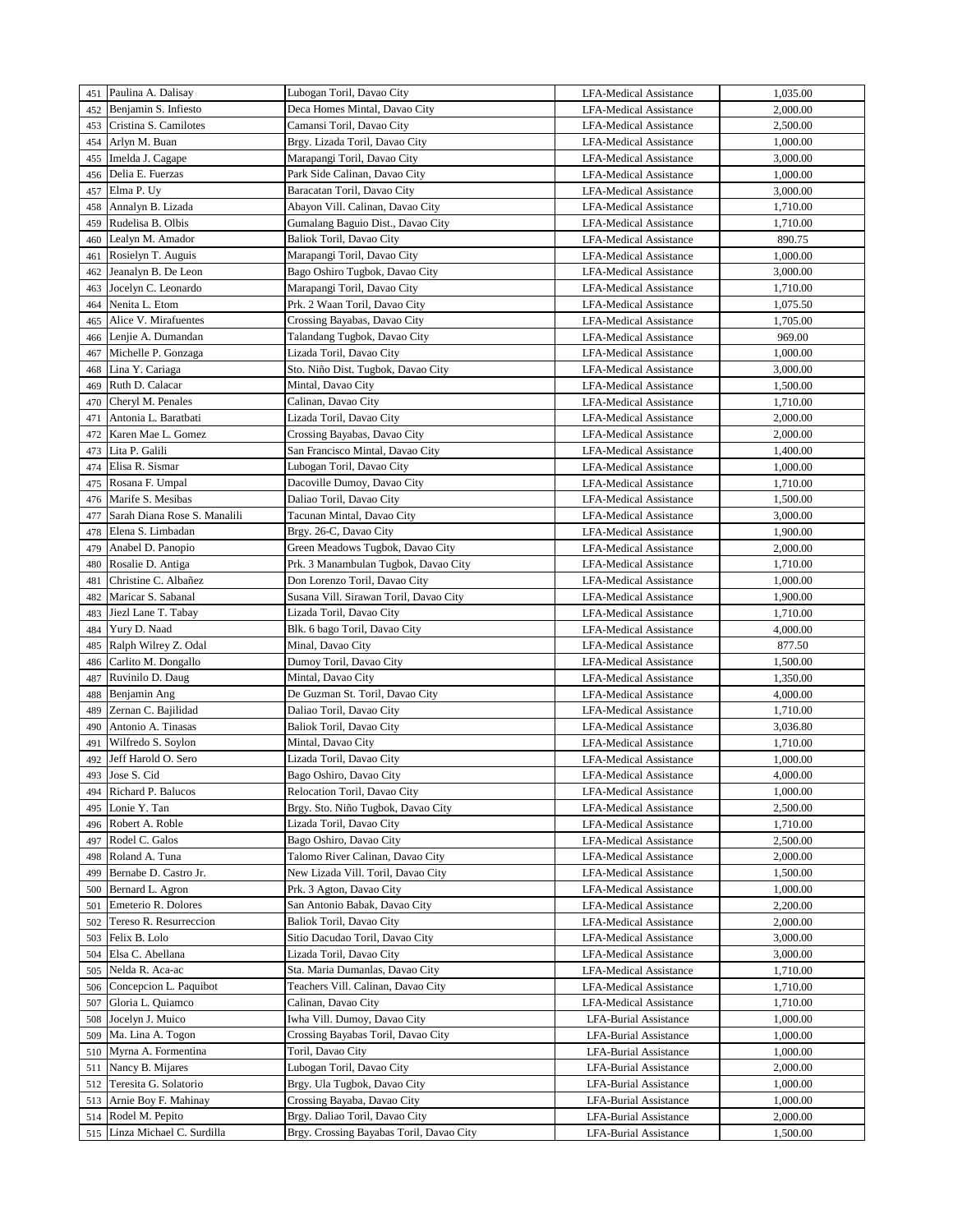|     | 451 Paulina A. Dalisay       | Lubogan Toril, Davao City                | <b>LFA-Medical Assistance</b> | 1,035.00 |
|-----|------------------------------|------------------------------------------|-------------------------------|----------|
| 452 | Benjamin S. Infiesto         | Deca Homes Mintal, Davao City            | <b>LFA-Medical Assistance</b> | 2,000.00 |
| 453 | Cristina S. Camilotes        | Camansi Toril, Davao City                | <b>LFA-Medical Assistance</b> | 2,500.00 |
| 454 | Arlyn M. Buan                | Brgy. Lizada Toril, Davao City           | <b>LFA-Medical Assistance</b> | 1,000.00 |
| 455 | Imelda J. Cagape             | Marapangi Toril, Davao City              | <b>LFA-Medical Assistance</b> | 3,000.00 |
| 456 | Delia E. Fuerzas             | Park Side Calinan, Davao City            | <b>LFA-Medical Assistance</b> | 1,000.00 |
| 457 | Elma P. Uy                   | Baracatan Toril, Davao City              | <b>LFA-Medical Assistance</b> | 3,000.00 |
| 458 | Annalyn B. Lizada            | Abayon Vill. Calinan, Davao City         | <b>LFA-Medical Assistance</b> | 1,710.00 |
| 459 | Rudelisa B. Olbis            | Gumalang Baguio Dist., Davao City        | LFA-Medical Assistance        | 1,710.00 |
| 460 | Lealyn M. Amador             | Baliok Toril, Davao City                 | <b>LFA-Medical Assistance</b> | 890.75   |
|     |                              | Marapangi Toril, Davao City              | <b>LFA-Medical Assistance</b> | 1,000.00 |
| 461 | Rosielyn T. Auguis           |                                          |                               |          |
| 462 | Jeanalyn B. De Leon          | Bago Oshiro Tugbok, Davao City           | <b>LFA-Medical Assistance</b> | 3,000.00 |
| 463 | Jocelyn C. Leonardo          | Marapangi Toril, Davao City              | LFA-Medical Assistance        | 1,710.00 |
| 464 | Nenita L. Etom               | Prk. 2 Waan Toril, Davao City            | <b>LFA-Medical Assistance</b> | 1,075.50 |
| 465 | Alice V. Mirafuentes         | Crossing Bayabas, Davao City             | <b>LFA-Medical Assistance</b> | 1,705.00 |
| 466 | Lenjie A. Dumandan           | Talandang Tugbok, Davao City             | <b>LFA-Medical Assistance</b> | 969.00   |
| 467 | Michelle P. Gonzaga          | Lizada Toril, Davao City                 | LFA-Medical Assistance        | 1,000.00 |
| 468 | Lina Y. Cariaga              | Sto. Niño Dist. Tugbok, Davao City       | LFA-Medical Assistance        | 3,000.00 |
| 469 | Ruth D. Calacar              | Mintal, Davao City                       | <b>LFA-Medical Assistance</b> | 1,500.00 |
| 470 | Cheryl M. Penales            | Calinan, Davao City                      | <b>LFA-Medical Assistance</b> | 1,710.00 |
| 471 | Antonia L. Baratbati         | Lizada Toril, Davao City                 | <b>LFA-Medical Assistance</b> | 2,000.00 |
| 472 | Karen Mae L. Gomez           | Crossing Bayabas, Davao City             | <b>LFA-Medical Assistance</b> | 2,000.00 |
| 473 | Lita P. Galili               | San Francisco Mintal, Davao City         | <b>LFA-Medical Assistance</b> | 1,400.00 |
| 474 | Elisa R. Sismar              | Lubogan Toril, Davao City                | <b>LFA-Medical Assistance</b> | 1,000.00 |
| 475 | Rosana F. Umpal              | Dacoville Dumoy, Davao City              | <b>LFA-Medical Assistance</b> | 1,710.00 |
| 476 | Marife S. Mesibas            | Daliao Toril, Davao City                 | <b>LFA-Medical Assistance</b> | 1,500.00 |
| 477 | Sarah Diana Rose S. Manalili | Tacunan Mintal, Davao City               | <b>LFA-Medical Assistance</b> | 3,000.00 |
| 478 | Elena S. Limbadan            | Brgy. 26-C, Davao City                   | <b>LFA-Medical Assistance</b> | 1,900.00 |
| 479 | Anabel D. Panopio            | Green Meadows Tugbok, Davao City         | <b>LFA-Medical Assistance</b> | 2,000.00 |
| 480 | Rosalie D. Antiga            | Prk. 3 Manambulan Tugbok, Davao City     | <b>LFA-Medical Assistance</b> | 1,710.00 |
| 481 | Christine C. Albañez         | Don Lorenzo Toril, Davao City            | <b>LFA-Medical Assistance</b> | 1,000.00 |
| 482 | Maricar S. Sabanal           | Susana Vill. Sirawan Toril, Davao City   | <b>LFA-Medical Assistance</b> | 1,900.00 |
|     | Jiezl Lane T. Tabay          | Lizada Toril, Davao City                 |                               |          |
| 483 |                              |                                          | <b>LFA-Medical Assistance</b> | 1,710.00 |
| 484 | Yury D. Naad                 | Blk. 6 bago Toril, Davao City            | <b>LFA-Medical Assistance</b> | 4,000.00 |
| 485 | Ralph Wilrey Z. Odal         | Minal, Davao City                        | <b>LFA-Medical Assistance</b> | 877.50   |
| 486 | Carlito M. Dongallo          | Dumoy Toril, Davao City                  | LFA-Medical Assistance        | 1,500.00 |
| 487 | Ruvinilo D. Daug             | Mintal, Davao City                       | <b>LFA-Medical Assistance</b> | 1,350.00 |
| 488 | Benjamin Ang                 | De Guzman St. Toril, Davao City          | <b>LFA-Medical Assistance</b> | 4,000.00 |
| 489 | Zernan C. Bajilidad          | Daliao Toril, Davao City                 | <b>LFA-Medical Assistance</b> | 1,710.00 |
| 490 | Antonio A. Tinasas           | Baliok Toril, Davao City                 | LFA-Medical Assistance        | 3,036.80 |
| 491 | Wilfredo S. Soylon           | Mintal, Davao City                       | <b>LFA-Medical Assistance</b> | 1,710.00 |
| 492 | Jeff Harold O. Sero          | Lizada Toril, Davao City                 | <b>LFA-Medical Assistance</b> | 1,000.00 |
| 493 | Jose S. Cid                  | Bago Oshiro, Davao City                  | <b>LFA-Medical Assistance</b> | 4,000.00 |
| 494 | Richard P. Balucos           | Relocation Toril, Davao City             | LFA-Medical Assistance        | 1,000.00 |
| 495 | Lonie Y. Tan                 | Brgy. Sto. Niño Tugbok, Davao City       | <b>LFA-Medical Assistance</b> | 2,500.00 |
| 496 | Robert A. Roble              | Lizada Toril, Davao City                 | LFA-Medical Assistance        | 1,710.00 |
| 497 | Rodel C. Galos               | Bago Oshiro, Davao City                  | <b>LFA-Medical Assistance</b> | 2,500.00 |
| 498 | Roland A. Tuna               | Talomo River Calinan, Davao City         | LFA-Medical Assistance        | 2,000.00 |
| 499 | Bernabe D. Castro Jr.        | New Lizada Vill. Toril, Davao City       | <b>LFA-Medical Assistance</b> | 1,500.00 |
| 500 | Bernard L. Agron             | Prk. 3 Agton, Davao City                 | LFA-Medical Assistance        | 1,000.00 |
| 501 | Emeterio R. Dolores          | San Antonio Babak, Davao City            | LFA-Medical Assistance        | 2,200.00 |
| 502 | Tereso R. Resurreccion       | Baliok Toril, Davao City                 | LFA-Medical Assistance        | 2,000.00 |
| 503 | Felix B. Lolo                | Sitio Dacudao Toril, Davao City          | LFA-Medical Assistance        | 3,000.00 |
| 504 | Elsa C. Abellana             | Lizada Toril, Davao City                 | LFA-Medical Assistance        | 3,000.00 |
| 505 | Nelda R. Aca-ac              | Sta. Maria Dumanlas, Davao City          | LFA-Medical Assistance        | 1,710.00 |
| 506 | Concepcion L. Paquibot       | Teachers Vill. Calinan, Davao City       | LFA-Medical Assistance        | 1,710.00 |
| 507 | Gloria L. Quiamco            | Calinan, Davao City                      | LFA-Medical Assistance        | 1,710.00 |
| 508 | Jocelyn J. Muico             | Iwha Vill. Dumoy, Davao City             | LFA-Burial Assistance         | 1,000.00 |
| 509 | Ma. Lina A. Togon            | Crossing Bayabas Toril, Davao City       | LFA-Burial Assistance         | 1,000.00 |
| 510 | Myrna A. Formentina          | Toril, Davao City                        | LFA-Burial Assistance         | 1,000.00 |
|     |                              |                                          |                               |          |
| 511 | Nancy B. Mijares             | Lubogan Toril, Davao City                | LFA-Burial Assistance         | 2,000.00 |
| 512 | Teresita G. Solatorio        | Brgy. Ula Tugbok, Davao City             | LFA-Burial Assistance         | 1,000.00 |
| 513 | Arnie Boy F. Mahinay         | Crossing Bayaba, Davao City              | LFA-Burial Assistance         | 1,000.00 |
| 514 | Rodel M. Pepito              | Brgy. Daliao Toril, Davao City           | LFA-Burial Assistance         | 2,000.00 |
| 515 | Linza Michael C. Surdilla    | Brgy. Crossing Bayabas Toril, Davao City | LFA-Burial Assistance         | 1,500.00 |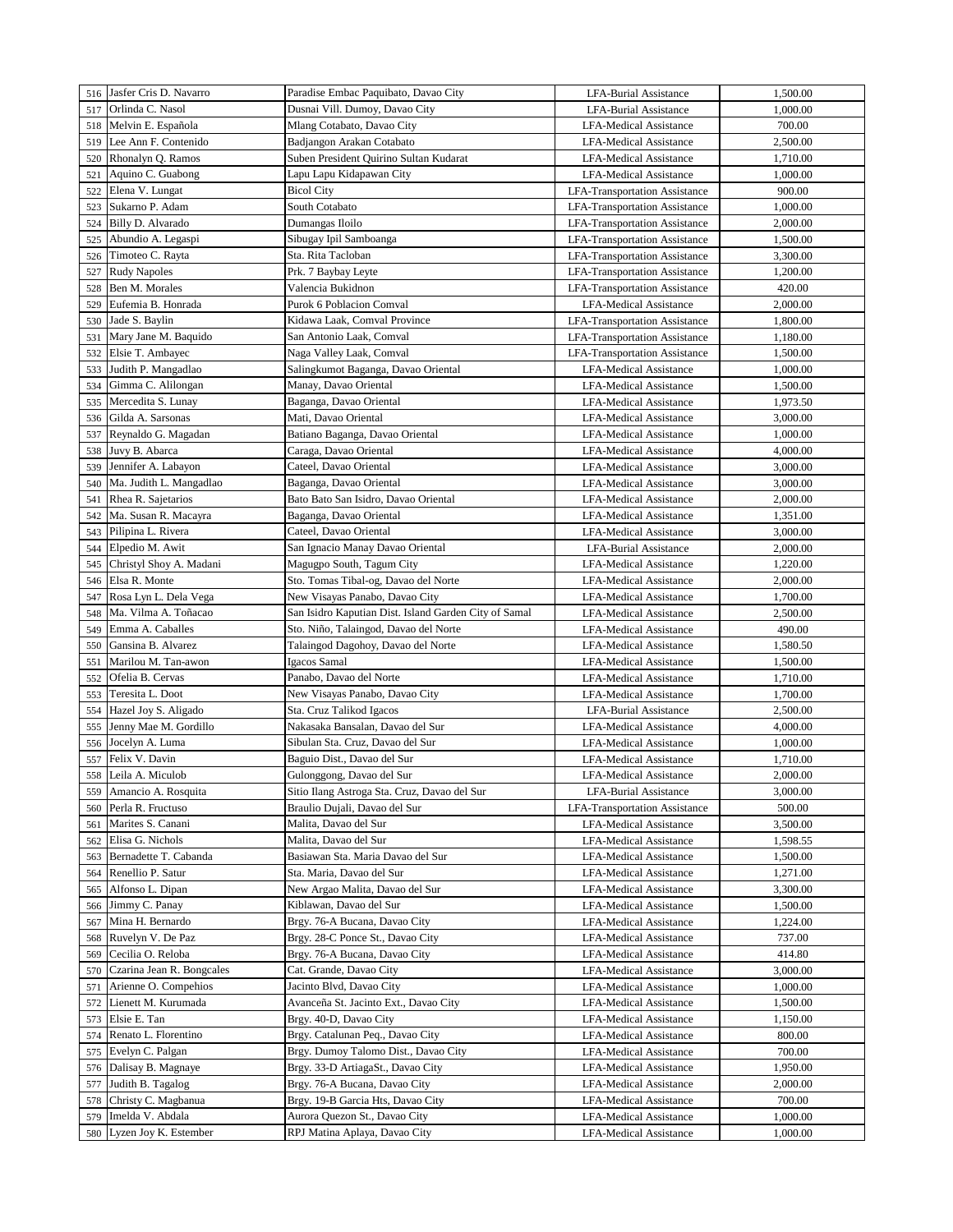|     | 516 Jasfer Cris D. Navarro | Paradise Embac Paquibato, Davao City                  | <b>LFA-Burial Assistance</b>         | 1,500.00 |
|-----|----------------------------|-------------------------------------------------------|--------------------------------------|----------|
|     | Orlinda C. Nasol           | Dusnai Vill. Dumoy, Davao City                        | <b>LFA-Burial Assistance</b>         | 1,000.00 |
| 517 |                            |                                                       |                                      |          |
| 518 | Melvin E. Española         | Mlang Cotabato, Davao City                            | <b>LFA-Medical Assistance</b>        | 700.00   |
| 519 | Lee Ann F. Contenido       | Badjangon Arakan Cotabato                             | <b>LFA-Medical Assistance</b>        | 2,500.00 |
| 520 | Rhonalyn Q. Ramos          | Suben President Quirino Sultan Kudarat                | <b>LFA-Medical Assistance</b>        | 1,710.00 |
| 521 | Aquino C. Guabong          | Lapu Lapu Kidapawan City                              | <b>LFA-Medical Assistance</b>        | 1,000.00 |
| 522 | Elena V. Lungat            | <b>Bicol City</b>                                     | <b>LFA-Transportation Assistance</b> | 900.00   |
| 523 | Sukarno P. Adam            | South Cotabato                                        | LFA-Transportation Assistance        | 1,000.00 |
| 524 | Billy D. Alvarado          | Dumangas Iloilo                                       | <b>LFA-Transportation Assistance</b> | 2,000.00 |
| 525 | Abundio A. Legaspi         | Sibugay Ipil Samboanga                                | <b>LFA-Transportation Assistance</b> | 1,500.00 |
| 526 | Timoteo C. Rayta           | Sta. Rita Tacloban                                    | <b>LFA-Transportation Assistance</b> | 3,300.00 |
|     |                            |                                                       |                                      |          |
| 527 | <b>Rudy Napoles</b>        | Prk. 7 Baybay Leyte                                   | LFA-Transportation Assistance        | 1,200.00 |
| 528 | Ben M. Morales             | Valencia Bukidnon                                     | <b>LFA-Transportation Assistance</b> | 420.00   |
| 529 | Eufemia B. Honrada         | <b>Purok 6 Poblacion Comval</b>                       | <b>LFA-Medical Assistance</b>        | 2,000.00 |
| 530 | Jade S. Baylin             | Kidawa Laak, Comval Province                          | <b>LFA-Transportation Assistance</b> | 1,800.00 |
| 531 | Mary Jane M. Baquido       | San Antonio Laak, Comval                              | <b>LFA-Transportation Assistance</b> | 1,180.00 |
| 532 | Elsie T. Ambayec           | Naga Valley Laak, Comval                              | <b>LFA-Transportation Assistance</b> | 1,500.00 |
| 533 | Judith P. Mangadlao        | Salingkumot Baganga, Davao Oriental                   | <b>LFA-Medical Assistance</b>        | 1,000.00 |
| 534 | Gimma C. Alilongan         | Manay, Davao Oriental                                 | <b>LFA-Medical Assistance</b>        | 1,500.00 |
| 535 | Mercedita S. Lunay         | Baganga, Davao Oriental                               | <b>LFA-Medical Assistance</b>        | 1,973.50 |
| 536 | Gilda A. Sarsonas          | Mati, Davao Oriental                                  | <b>LFA-Medical Assistance</b>        | 3,000.00 |
| 537 | Reynaldo G. Magadan        | Batiano Baganga, Davao Oriental                       | <b>LFA-Medical Assistance</b>        | 1,000.00 |
|     |                            |                                                       |                                      |          |
| 538 | Juvy B. Abarca             | Caraga, Davao Oriental                                | <b>LFA-Medical Assistance</b>        | 4,000.00 |
| 539 | Jennifer A. Labayon        | Cateel, Davao Oriental                                | <b>LFA-Medical Assistance</b>        | 3,000.00 |
| 540 | Ma. Judith L. Mangadlao    | Baganga, Davao Oriental                               | <b>LFA-Medical Assistance</b>        | 3,000.00 |
| 541 | Rhea R. Sajetarios         | Bato Bato San Isidro, Davao Oriental                  | <b>LFA-Medical Assistance</b>        | 2,000.00 |
| 542 | Ma. Susan R. Macayra       | Baganga, Davao Oriental                               | <b>LFA-Medical Assistance</b>        | 1,351.00 |
| 543 | Pilipina L. Rivera         | Cateel, Davao Oriental                                | <b>LFA-Medical Assistance</b>        | 3,000.00 |
| 544 | Elpedio M. Awit            | San Ignacio Manay Davao Oriental                      | LFA-Burial Assistance                | 2,000.00 |
| 545 | Christyl Shoy A. Madani    | Magugpo South, Tagum City                             | <b>LFA-Medical Assistance</b>        | 1,220.00 |
| 546 | Elsa R. Monte              | Sto. Tomas Tibal-og, Davao del Norte                  | <b>LFA-Medical Assistance</b>        | 2,000.00 |
| 547 | Rosa Lyn L. Dela Vega      | New Visayas Panabo, Davao City                        | <b>LFA-Medical Assistance</b>        | 1,700.00 |
| 548 | Ma. Vilma A. Toñacao       | San Isidro Kaputian Dist. Island Garden City of Samal | <b>LFA-Medical Assistance</b>        | 2,500.00 |
| 549 | Emma A. Caballes           | Sto. Niño, Talaingod, Davao del Norte                 | <b>LFA-Medical Assistance</b>        | 490.00   |
| 550 | Gansina B. Alvarez         |                                                       |                                      |          |
|     |                            | Talaingod Dagohoy, Davao del Norte                    | LFA-Medical Assistance               | 1,580.50 |
| 551 | Marilou M. Tan-awon        | Igacos Samal                                          | LFA-Medical Assistance               | 1,500.00 |
| 552 | Ofelia B. Cervas           | Panabo, Davao del Norte                               | LFA-Medical Assistance               | 1,710.00 |
| 553 | Teresita L. Doot           | New Visayas Panabo, Davao City                        | <b>LFA-Medical Assistance</b>        | 1,700.00 |
| 554 | Hazel Joy S. Aligado       | Sta. Cruz Talikod Igacos                              | LFA-Burial Assistance                | 2,500.00 |
| 555 | Jenny Mae M. Gordillo      | Nakasaka Bansalan, Davao del Sur                      | <b>LFA-Medical Assistance</b>        | 4,000.00 |
| 556 | Jocelyn A. Luma            | Sibulan Sta. Cruz, Davao del Sur                      | <b>LFA-Medical Assistance</b>        | 1,000.00 |
| 557 | Felix V. Davin             | Baguio Dist., Davao del Sur                           | <b>LFA-Medical Assistance</b>        | 1,710.00 |
| 558 | Leila A. Miculob           | Gulonggong, Davao del Sur                             | <b>LFA-Medical Assistance</b>        | 2,000.00 |
| 559 | Amancio A. Rosquita        | Sitio Ilang Astroga Sta. Cruz, Davao del Sur          | LFA-Burial Assistance                | 3,000.00 |
| 560 | Perla R. Fructuso          | Braulio Dujali, Davao del Sur                         | <b>LFA-Transportation Assistance</b> | 500.00   |
| 561 | Marites S. Canani          | Malita, Davao del Sur                                 | LFA-Medical Assistance               | 3,500.00 |
| 562 | Elisa G. Nichols           | Malita, Davao del Sur                                 | LFA-Medical Assistance               | 1,598.55 |
|     | Bernadette T. Cabanda      | Basiawan Sta. Maria Davao del Sur                     | LFA-Medical Assistance               | 1,500.00 |
| 563 |                            |                                                       |                                      |          |
| 564 | Renellio P. Satur          | Sta. Maria, Davao del Sur                             | LFA-Medical Assistance               | 1,271.00 |
| 565 | Alfonso L. Dipan           | New Argao Malita, Davao del Sur                       | <b>LFA-Medical Assistance</b>        | 3,300.00 |
| 566 | Jimmy C. Panay             | Kiblawan, Davao del Sur                               | <b>LFA-Medical Assistance</b>        | 1,500.00 |
| 567 | Mina H. Bernardo           | Brgy. 76-A Bucana, Davao City                         | <b>LFA-Medical Assistance</b>        | 1,224.00 |
| 568 | Ruvelyn V. De Paz          | Brgy. 28-C Ponce St., Davao City                      | LFA-Medical Assistance               | 737.00   |
| 569 | Cecilia O. Reloba          | Brgy. 76-A Bucana, Davao City                         | LFA-Medical Assistance               | 414.80   |
| 570 | Czarina Jean R. Bongcales  | Cat. Grande, Davao City                               | LFA-Medical Assistance               | 3,000.00 |
| 571 | Arienne O. Compehios       | Jacinto Blvd, Davao City                              | LFA-Medical Assistance               | 1,000.00 |
| 572 | Lienett M. Kurumada        | Avanceña St. Jacinto Ext., Davao City                 | LFA-Medical Assistance               | 1,500.00 |
| 573 | Elsie E. Tan               | Brgy. 40-D, Davao City                                | LFA-Medical Assistance               | 1,150.00 |
| 574 | Renato L. Florentino       | Brgy. Catalunan Peq., Davao City                      | LFA-Medical Assistance               | 800.00   |
| 575 | Evelyn C. Palgan           | Brgy. Dumoy Talomo Dist., Davao City                  | <b>LFA-Medical Assistance</b>        | 700.00   |
|     |                            |                                                       |                                      |          |
| 576 | Dalisay B. Magnaye         | Brgy. 33-D ArtiagaSt., Davao City                     | LFA-Medical Assistance               | 1,950.00 |
| 577 | Judith B. Tagalog          | Brgy. 76-A Bucana, Davao City                         | LFA-Medical Assistance               | 2,000.00 |
| 578 | Christy C. Magbanua        | Brgy. 19-B Garcia Hts, Davao City                     | LFA-Medical Assistance               | 700.00   |
| 579 | Imelda V. Abdala           | Aurora Quezon St., Davao City                         | LFA-Medical Assistance               | 1,000.00 |
| 580 | Lyzen Joy K. Estember      | RPJ Matina Aplaya, Davao City                         | LFA-Medical Assistance               | 1,000.00 |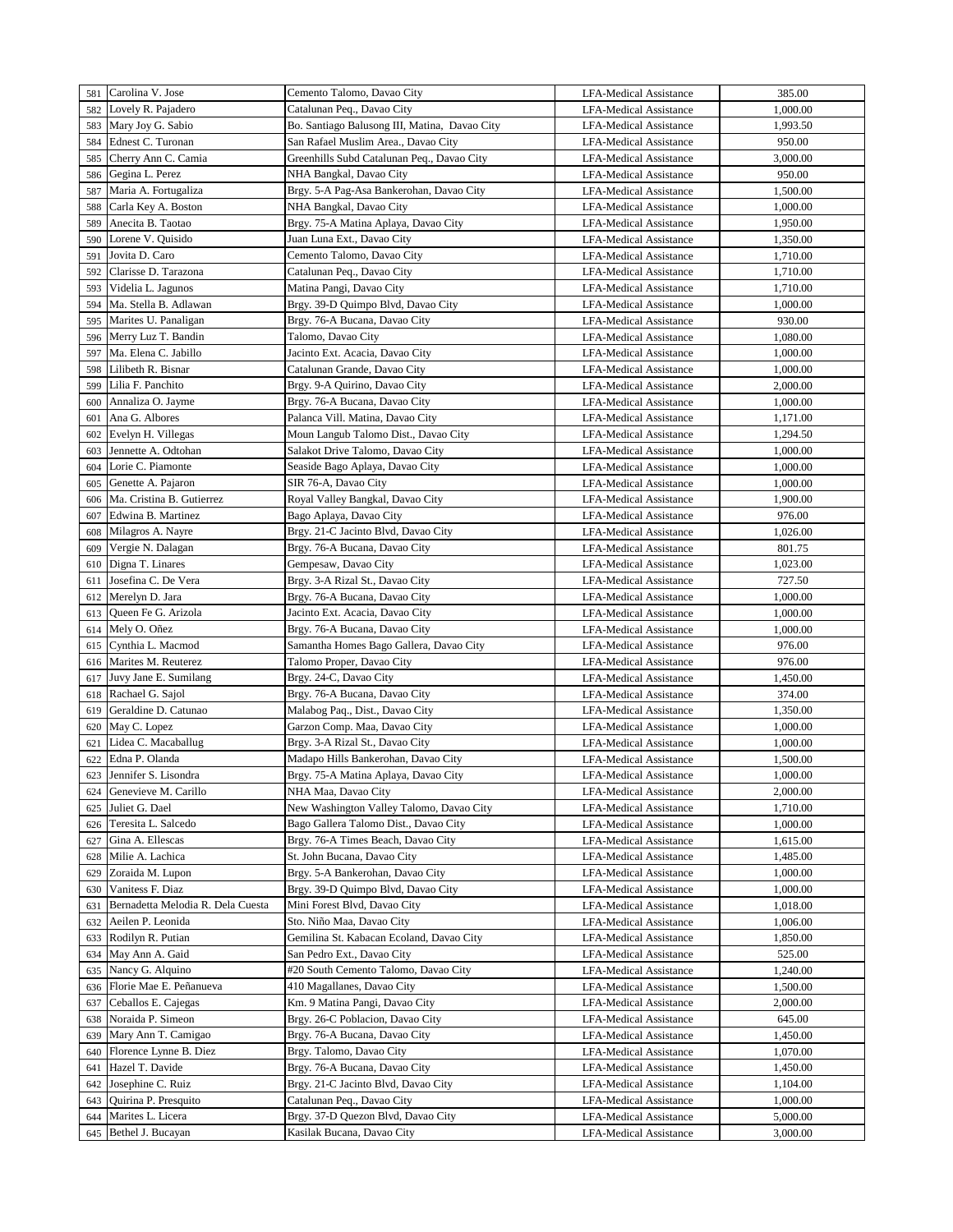|     | 581 Carolina V. Jose              | Cemento Talomo, Davao City                    | LFA-Medical Assistance        | 385.00   |
|-----|-----------------------------------|-----------------------------------------------|-------------------------------|----------|
| 582 | Lovely R. Pajadero                | Catalunan Peq., Davao City                    | <b>LFA-Medical Assistance</b> | 1,000.00 |
| 583 | Mary Joy G. Sabio                 | Bo. Santiago Balusong III, Matina, Davao City | LFA-Medical Assistance        | 1,993.50 |
| 584 | Ednest C. Turonan                 | San Rafael Muslim Area., Davao City           | <b>LFA-Medical Assistance</b> | 950.00   |
| 585 | Cherry Ann C. Camia               | Greenhills Subd Catalunan Peq., Davao City    | <b>LFA-Medical Assistance</b> | 3,000.00 |
| 586 | Gegina L. Perez                   | NHA Bangkal, Davao City                       | <b>LFA-Medical Assistance</b> | 950.00   |
| 587 | Maria A. Fortugaliza              | Brgy. 5-A Pag-Asa Bankerohan, Davao City      | <b>LFA-Medical Assistance</b> | 1,500.00 |
| 588 | Carla Key A. Boston               | NHA Bangkal, Davao City                       | <b>LFA-Medical Assistance</b> | 1,000.00 |
| 589 | Anecita B. Taotao                 | Brgy. 75-A Matina Aplaya, Davao City          | LFA-Medical Assistance        | 1,950.00 |
| 590 | Lorene V. Quisido                 | Juan Luna Ext., Davao City                    | <b>LFA-Medical Assistance</b> | 1,350.00 |
| 591 | Jovita D. Caro                    | Cemento Talomo, Davao City                    | <b>LFA-Medical Assistance</b> | 1,710.00 |
| 592 | Clarisse D. Tarazona              | Catalunan Peq., Davao City                    | <b>LFA-Medical Assistance</b> | 1,710.00 |
| 593 | Videlia L. Jagunos                | Matina Pangi, Davao City                      | LFA-Medical Assistance        | 1,710.00 |
| 594 | Ma. Stella B. Adlawan             | Brgy. 39-D Quimpo Blvd, Davao City            | <b>LFA-Medical Assistance</b> | 1,000.00 |
| 595 | Marites U. Panaligan              | Brgy. 76-A Bucana, Davao City                 | LFA-Medical Assistance        | 930.00   |
| 596 | Merry Luz T. Bandin               | Talomo, Davao City                            | LFA-Medical Assistance        | 1,080.00 |
| 597 | Ma. Elena C. Jabillo              | Jacinto Ext. Acacia, Davao City               | LFA-Medical Assistance        | 1,000.00 |
| 598 | Lilibeth R. Bisnar                | Catalunan Grande, Davao City                  | LFA-Medical Assistance        | 1,000.00 |
| 599 | Lilia F. Panchito                 | Brgy. 9-A Quirino, Davao City                 | <b>LFA-Medical Assistance</b> | 2,000.00 |
| 600 | Annaliza O. Jayme                 | Brgy. 76-A Bucana, Davao City                 | <b>LFA-Medical Assistance</b> | 1,000.00 |
| 601 | Ana G. Albores                    | Palanca Vill. Matina, Davao City              | LFA-Medical Assistance        | 1,171.00 |
| 602 | Evelyn H. Villegas                | Moun Langub Talomo Dist., Davao City          | LFA-Medical Assistance        | 1,294.50 |
| 603 | Jennette A. Odtohan               | Salakot Drive Talomo, Davao City              | <b>LFA-Medical Assistance</b> | 1,000.00 |
| 604 | Lorie C. Piamonte                 | Seaside Bago Aplaya, Davao City               | LFA-Medical Assistance        | 1,000.00 |
| 605 | Genette A. Pajaron                | SIR 76-A, Davao City                          | <b>LFA-Medical Assistance</b> | 1,000.00 |
| 606 | Ma. Cristina B. Gutierrez         | Royal Valley Bangkal, Davao City              | LFA-Medical Assistance        | 1,900.00 |
| 607 | Edwina B. Martinez                | Bago Aplaya, Davao City                       | <b>LFA-Medical Assistance</b> | 976.00   |
| 608 | Milagros A. Nayre                 | Brgy. 21-C Jacinto Blvd, Davao City           | LFA-Medical Assistance        | 1,026.00 |
| 609 | Vergie N. Dalagan                 | Brgy. 76-A Bucana, Davao City                 | <b>LFA-Medical Assistance</b> | 801.75   |
| 610 | Digna T. Linares                  | Gempesaw, Davao City                          | LFA-Medical Assistance        | 1,023.00 |
| 611 | Josefina C. De Vera               | Brgy. 3-A Rizal St., Davao City               | <b>LFA-Medical Assistance</b> | 727.50   |
| 612 | Merelyn D. Jara                   | Brgy. 76-A Bucana, Davao City                 | <b>LFA-Medical Assistance</b> | 1,000.00 |
| 613 | Queen Fe G. Arizola               | Jacinto Ext. Acacia, Davao City               | <b>LFA-Medical Assistance</b> | 1,000.00 |
| 614 | Mely O. Oñez                      | Brgy. 76-A Bucana, Davao City                 | <b>LFA-Medical Assistance</b> | 1,000.00 |
| 615 | Cynthia L. Macmod                 | Samantha Homes Bago Gallera, Davao City       | <b>LFA-Medical Assistance</b> | 976.00   |
| 616 | Marites M. Reuterez               | Talomo Proper, Davao City                     | LFA-Medical Assistance        | 976.00   |
| 617 | Juvy Jane E. Sumilang             | Brgy. 24-C, Davao City                        | <b>LFA-Medical Assistance</b> | 1,450.00 |
| 618 | Rachael G. Sajol                  | Brgy. 76-A Bucana, Davao City                 | <b>LFA-Medical Assistance</b> | 374.00   |
| 619 | Geraldine D. Catunao              | Malabog Paq., Dist., Davao City               | <b>LFA-Medical Assistance</b> | 1,350.00 |
| 620 | May C. Lopez                      | Garzon Comp. Maa, Davao City                  | <b>LFA-Medical Assistance</b> | 1,000.00 |
| 621 | Lidea C. Macaballug               | Brgy. 3-A Rizal St., Davao City               | <b>LFA-Medical Assistance</b> | 1,000.00 |
| 622 | Edna P. Olanda                    | Madapo Hills Bankerohan, Davao City           | LFA-Medical Assistance        | 1,500.00 |
| 623 | Jennifer S. Lisondra              | Brgy. 75-A Matina Aplaya, Davao City          | LFA-Medical Assistance        | 1,000.00 |
| 624 | Genevieve M. Carillo              | NHA Maa, Davao City                           | LFA-Medical Assistance        | 2,000.00 |
| 625 | Juliet G. Dael                    | New Washington Valley Talomo, Davao City      | <b>LFA-Medical Assistance</b> | 1,710.00 |
| 626 | Teresita L. Salcedo               | Bago Gallera Talomo Dist., Davao City         | LFA-Medical Assistance        | 1,000.00 |
| 627 | Gina A. Ellescas                  | Brgy. 76-A Times Beach, Davao City            | <b>LFA-Medical Assistance</b> | 1,615.00 |
| 628 | Milie A. Lachica                  | St. John Bucana, Davao City                   | <b>LFA-Medical Assistance</b> | 1,485.00 |
| 629 | Zoraida M. Lupon                  | Brgy. 5-A Bankerohan, Davao City              | LFA-Medical Assistance        | 1,000.00 |
| 630 | Vanitess F. Diaz                  | Brgy. 39-D Quimpo Blvd, Davao City            | LFA-Medical Assistance        | 1,000.00 |
| 631 | Bernadetta Melodia R. Dela Cuesta | Mini Forest Blvd, Davao City                  | <b>LFA-Medical Assistance</b> | 1,018.00 |
| 632 | Aeilen P. Leonida                 | Sto. Niño Maa, Davao City                     | LFA-Medical Assistance        | 1,006.00 |
| 633 | Rodilyn R. Putian                 | Gemilina St. Kabacan Ecoland, Davao City      | <b>LFA-Medical Assistance</b> | 1,850.00 |
| 634 | May Ann A. Gaid                   | San Pedro Ext., Davao City                    | LFA-Medical Assistance        | 525.00   |
| 635 | Nancy G. Alquino                  | #20 South Cemento Talomo, Davao City          | LFA-Medical Assistance        | 1,240.00 |
| 636 | Florie Mae E. Peñanueva           | 410 Magallanes, Davao City                    | LFA-Medical Assistance        | 1,500.00 |
| 637 | Ceballos E. Cajegas               | Km. 9 Matina Pangi, Davao City                | LFA-Medical Assistance        | 2,000.00 |
| 638 | Noraida P. Simeon                 | Brgy. 26-C Poblacion, Davao City              | LFA-Medical Assistance        | 645.00   |
| 639 | Mary Ann T. Camigao               | Brgy. 76-A Bucana, Davao City                 | LFA-Medical Assistance        | 1,450.00 |
| 640 | Florence Lynne B. Diez            | Brgy. Talomo, Davao City                      | <b>LFA-Medical Assistance</b> | 1,070.00 |
| 641 | Hazel T. Davide                   | Brgy. 76-A Bucana, Davao City                 | LFA-Medical Assistance        | 1,450.00 |
| 642 | Josephine C. Ruiz                 | Brgy. 21-C Jacinto Blvd, Davao City           | LFA-Medical Assistance        | 1,104.00 |
| 643 | Quirina P. Presquito              | Catalunan Peq., Davao City                    | LFA-Medical Assistance        | 1,000.00 |
| 644 | Marites L. Licera                 | Brgy. 37-D Quezon Blvd, Davao City            | <b>LFA-Medical Assistance</b> | 5,000.00 |
| 645 | Bethel J. Bucayan                 | Kasilak Bucana, Davao City                    | LFA-Medical Assistance        | 3,000.00 |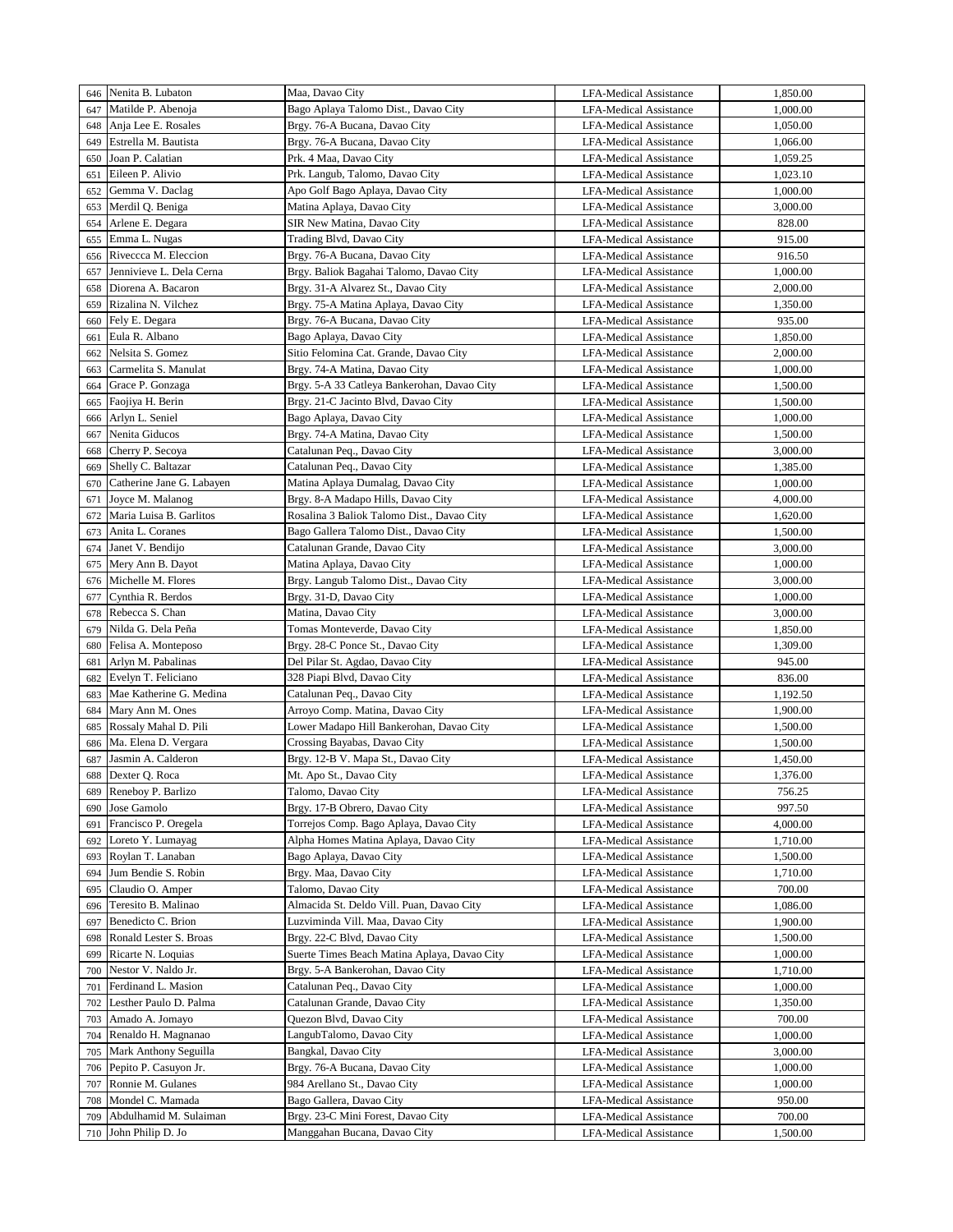| 646 | Nenita B. Lubaton                       | Maa, Davao City                                                       | <b>LFA-Medical Assistance</b>                           | 1,850.00 |
|-----|-----------------------------------------|-----------------------------------------------------------------------|---------------------------------------------------------|----------|
| 647 | Matilde P. Abenoja                      | Bago Aplaya Talomo Dist., Davao City                                  | <b>LFA-Medical Assistance</b>                           | 1,000.00 |
| 648 | Anja Lee E. Rosales                     | Brgy. 76-A Bucana, Davao City                                         | <b>LFA-Medical Assistance</b>                           | 1,050.00 |
| 649 | Estrella M. Bautista                    | Brgy. 76-A Bucana, Davao City                                         | <b>LFA-Medical Assistance</b>                           | 1,066.00 |
| 650 | Joan P. Calatian                        | Prk. 4 Maa, Davao City                                                | <b>LFA-Medical Assistance</b>                           | 1,059.25 |
| 651 | Eileen P. Alivio                        | Prk. Langub, Talomo, Davao City                                       | <b>LFA-Medical Assistance</b>                           | 1,023.10 |
| 652 | Gemma V. Daclag                         | Apo Golf Bago Aplaya, Davao City                                      | <b>LFA-Medical Assistance</b>                           | 1,000.00 |
| 653 | Merdil Q. Beniga                        | Matina Aplaya, Davao City                                             | <b>LFA-Medical Assistance</b>                           | 3,000.00 |
| 654 | Arlene E. Degara                        | SIR New Matina, Davao City                                            | LFA-Medical Assistance                                  | 828.00   |
| 655 | Emma L. Nugas                           | Trading Blvd, Davao City                                              | <b>LFA-Medical Assistance</b>                           | 915.00   |
| 656 | Riveccca M. Eleccion                    | Brgy. 76-A Bucana, Davao City                                         | <b>LFA-Medical Assistance</b>                           | 916.50   |
| 657 | Jennivieve L. Dela Cerna                | Brgy. Baliok Bagahai Talomo, Davao City                               | <b>LFA-Medical Assistance</b>                           | 1,000.00 |
| 658 | Diorena A. Bacaron                      | Brgy. 31-A Alvarez St., Davao City                                    | <b>LFA-Medical Assistance</b>                           | 2,000.00 |
| 659 | Rizalina N. Vilchez                     | Brgy. 75-A Matina Aplaya, Davao City                                  | <b>LFA-Medical Assistance</b>                           | 1,350.00 |
| 660 | Fely E. Degara                          | Brgy. 76-A Bucana, Davao City                                         | <b>LFA-Medical Assistance</b>                           | 935.00   |
| 661 | Eula R. Albano                          | Bago Aplaya, Davao City                                               | LFA-Medical Assistance                                  | 1,850.00 |
| 662 | Nelsita S. Gomez                        | Sitio Felomina Cat. Grande, Davao City                                | LFA-Medical Assistance                                  | 2,000.00 |
| 663 | Carmelita S. Manulat                    | Brgy. 74-A Matina, Davao City                                         | LFA-Medical Assistance                                  | 1,000.00 |
| 664 | Grace P. Gonzaga                        | Brgy. 5-A 33 Catleya Bankerohan, Davao City                           | <b>LFA-Medical Assistance</b>                           | 1,500.00 |
| 665 | Faojiya H. Berin                        | Brgy. 21-C Jacinto Blvd, Davao City                                   | <b>LFA-Medical Assistance</b>                           | 1,500.00 |
| 666 | Arlyn L. Seniel                         | Bago Aplaya, Davao City                                               |                                                         | 1,000.00 |
| 667 | Nenita Giducos                          | Brgy. 74-A Matina, Davao City                                         | LFA-Medical Assistance<br><b>LFA-Medical Assistance</b> | 1,500.00 |
| 668 | Cherry P. Secoya                        | Catalunan Peq., Davao City                                            | <b>LFA-Medical Assistance</b>                           | 3,000.00 |
| 669 | Shelly C. Baltazar                      | Catalunan Peq., Davao City                                            | <b>LFA-Medical Assistance</b>                           | 1,385.00 |
| 670 | Catherine Jane G. Labayen               | Matina Aplaya Dumalag, Davao City                                     | <b>LFA-Medical Assistance</b>                           | 1,000.00 |
|     | Joyce M. Malanog                        | Brgy. 8-A Madapo Hills, Davao City                                    | <b>LFA-Medical Assistance</b>                           |          |
| 671 | Maria Luisa B. Garlitos                 | Rosalina 3 Baliok Talomo Dist., Davao City                            |                                                         | 4,000.00 |
| 672 |                                         |                                                                       | <b>LFA-Medical Assistance</b>                           | 1,620.00 |
| 673 | Anita L. Coranes                        | Bago Gallera Talomo Dist., Davao City<br>Catalunan Grande, Davao City | <b>LFA-Medical Assistance</b>                           | 1,500.00 |
| 674 | Janet V. Bendijo                        |                                                                       | <b>LFA-Medical Assistance</b>                           | 3,000.00 |
| 675 | Mery Ann B. Dayot<br>Michelle M. Flores | Matina Aplaya, Davao City                                             | <b>LFA-Medical Assistance</b>                           | 1,000.00 |
| 676 |                                         | Brgy. Langub Talomo Dist., Davao City                                 | <b>LFA-Medical Assistance</b>                           | 3,000.00 |
| 677 | Cynthia R. Berdos                       | Brgy. 31-D, Davao City                                                | <b>LFA-Medical Assistance</b>                           | 1,000.00 |
| 678 | Rebecca S. Chan                         | Matina, Davao City                                                    | <b>LFA-Medical Assistance</b>                           | 3,000.00 |
| 679 | Nilda G. Dela Peña                      | Tomas Monteverde, Davao City                                          | <b>LFA-Medical Assistance</b>                           | 1,850.00 |
| 680 | Felisa A. Monteposo                     | Brgy. 28-C Ponce St., Davao City                                      | <b>LFA-Medical Assistance</b>                           | 1,309.00 |
| 681 | Arlyn M. Pabalinas                      | Del Pilar St. Agdao, Davao City                                       | LFA-Medical Assistance                                  | 945.00   |
| 682 | Evelyn T. Feliciano                     | 328 Piapi Blvd, Davao City                                            | <b>LFA-Medical Assistance</b>                           | 836.00   |
| 683 | Mae Katherine G. Medina                 | Catalunan Peq., Davao City                                            | <b>LFA-Medical Assistance</b>                           | 1,192.50 |
| 684 | Mary Ann M. Ones                        | Arroyo Comp. Matina, Davao City                                       | <b>LFA-Medical Assistance</b>                           | 1,900.00 |
| 685 | Rossaly Mahal D. Pili                   | Lower Madapo Hill Bankerohan, Davao City                              | LFA-Medical Assistance                                  | 1,500.00 |
| 686 | Ma. Elena D. Vergara                    | Crossing Bayabas, Davao City                                          | <b>LFA-Medical Assistance</b>                           | 1,500.00 |
| 687 | Jasmin A. Calderon                      | Brgy. 12-B V. Mapa St., Davao City                                    | <b>LFA-Medical Assistance</b>                           | 1,450.00 |
| 688 | Dexter Q. Roca                          | Mt. Apo St., Davao City                                               | LFA-Medical Assistance                                  | 1,376.00 |
| 689 | Reneboy P. Barlizo                      | Talomo, Davao City                                                    | LFA-Medical Assistance                                  | 756.25   |
| 690 | Jose Gamolo                             | Brgy. 17-B Obrero, Davao City                                         | <b>LFA-Medical Assistance</b>                           | 997.50   |
| 691 | Francisco P. Oregela                    | Torrejos Comp. Bago Aplaya, Davao City                                | LFA-Medical Assistance                                  | 4,000.00 |
| 692 | Loreto Y. Lumayag                       | Alpha Homes Matina Aplaya, Davao City                                 | <b>LFA-Medical Assistance</b>                           | 1,710.00 |
| 693 | Roylan T. Lanaban                       | Bago Aplaya, Davao City                                               | LFA-Medical Assistance                                  | 1,500.00 |
| 694 | Jum Bendie S. Robin                     | Brgy. Maa, Davao City                                                 | LFA-Medical Assistance                                  | 1,710.00 |
| 695 | Claudio O. Amper                        | Talomo, Davao City                                                    | LFA-Medical Assistance                                  | 700.00   |
| 696 | Teresito B. Malinao                     | Almacida St. Deldo Vill. Puan, Davao City                             | LFA-Medical Assistance                                  | 1,086.00 |
| 697 | Benedicto C. Brion                      | Luzviminda Vill. Maa, Davao City                                      | LFA-Medical Assistance                                  | 1,900.00 |
| 698 | Ronald Lester S. Broas                  | Brgy. 22-C Blvd, Davao City                                           | <b>LFA-Medical Assistance</b>                           | 1,500.00 |
| 699 | Ricarte N. Loquias                      | Suerte Times Beach Matina Aplaya, Davao City                          | LFA-Medical Assistance                                  | 1,000.00 |
| 700 | Nestor V. Naldo Jr.                     | Brgy. 5-A Bankerohan, Davao City                                      | LFA-Medical Assistance                                  | 1,710.00 |
| 701 | Ferdinand L. Masion                     | Catalunan Peq., Davao City                                            | LFA-Medical Assistance                                  | 1,000.00 |
| 702 | Lesther Paulo D. Palma                  | Catalunan Grande, Davao City                                          | LFA-Medical Assistance                                  | 1,350.00 |
| 703 | Amado A. Jomayo                         | Quezon Blvd, Davao City                                               | LFA-Medical Assistance                                  | 700.00   |
| 704 | Renaldo H. Magnanao                     | LangubTalomo, Davao City                                              | LFA-Medical Assistance                                  | 1,000.00 |
| 705 | Mark Anthony Seguilla                   | Bangkal, Davao City                                                   | <b>LFA-Medical Assistance</b>                           | 3,000.00 |
| 706 | Pepito P. Casuyon Jr.                   | Brgy. 76-A Bucana, Davao City                                         | LFA-Medical Assistance                                  | 1,000.00 |
| 707 | Ronnie M. Gulanes                       | 984 Arellano St., Davao City                                          | LFA-Medical Assistance                                  | 1,000.00 |
| 708 | Mondel C. Mamada                        | Bago Gallera, Davao City                                              | LFA-Medical Assistance                                  | 950.00   |
| 709 | Abdulhamid M. Sulaiman                  | Brgy. 23-C Mini Forest, Davao City                                    | <b>LFA-Medical Assistance</b>                           | 700.00   |
| 710 | John Philip D. Jo                       | Manggahan Bucana, Davao City                                          | LFA-Medical Assistance                                  | 1,500.00 |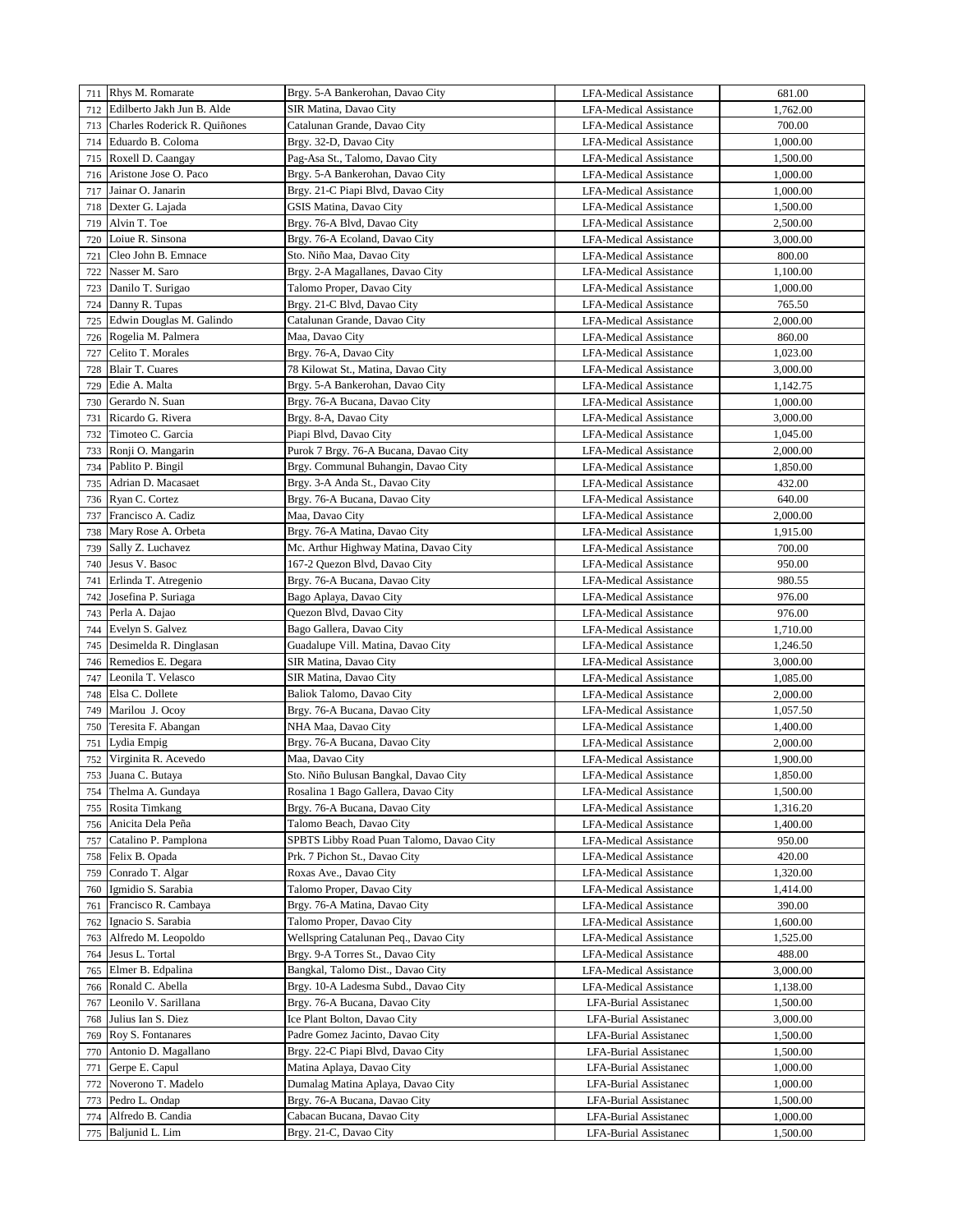|     | 711 Rhys M. Romarate         | Brgy. 5-A Bankerohan, Davao City         | <b>LFA-Medical Assistance</b> | 681.00   |
|-----|------------------------------|------------------------------------------|-------------------------------|----------|
| 712 | Edilberto Jakh Jun B. Alde   | SIR Matina, Davao City                   | <b>LFA-Medical Assistance</b> | 1,762.00 |
| 713 | Charles Roderick R. Quiñones | Catalunan Grande, Davao City             | LFA-Medical Assistance        | 700.00   |
|     |                              |                                          |                               |          |
| 714 | Eduardo B. Coloma            | Brgy. 32-D, Davao City                   | <b>LFA-Medical Assistance</b> | 1,000.00 |
| 715 | Roxell D. Caangay            | Pag-Asa St., Talomo, Davao City          | LFA-Medical Assistance        | 1,500.00 |
| 716 | Aristone Jose O. Paco        | Brgy. 5-A Bankerohan, Davao City         | <b>LFA-Medical Assistance</b> | 1,000.00 |
| 717 | Jainar O. Janarin            | Brgy. 21-C Piapi Blvd, Davao City        | <b>LFA-Medical Assistance</b> | 1,000.00 |
| 718 | Dexter G. Lajada             | GSIS Matina, Davao City                  | <b>LFA-Medical Assistance</b> | 1,500.00 |
| 719 | Alvin T. Toe                 | Brgy. 76-A Blvd, Davao City              | LFA-Medical Assistance        | 2,500.00 |
| 720 | Loiue R. Sinsona             | Brgy. 76-A Ecoland, Davao City           | <b>LFA-Medical Assistance</b> | 3,000.00 |
| 721 | Cleo John B. Emnace          | Sto. Niño Maa, Davao City                | LFA-Medical Assistance        | 800.00   |
| 722 | Nasser M. Saro               | Brgy. 2-A Magallanes, Davao City         | <b>LFA-Medical Assistance</b> | 1,100.00 |
| 723 | Danilo T. Surigao            | Talomo Proper, Davao City                | <b>LFA-Medical Assistance</b> | 1,000.00 |
| 724 | Danny R. Tupas               | Brgy. 21-C Blvd, Davao City              | <b>LFA-Medical Assistance</b> | 765.50   |
| 725 | Edwin Douglas M. Galindo     | Catalunan Grande, Davao City             | LFA-Medical Assistance        | 2,000.00 |
| 726 | Rogelia M. Palmera           | Maa, Davao City                          | <b>LFA-Medical Assistance</b> | 860.00   |
|     |                              |                                          |                               |          |
| 727 | Celito T. Morales            | Brgy. 76-A, Davao City                   | LFA-Medical Assistance        | 1,023.00 |
| 728 | Blair T. Cuares              | 78 Kilowat St., Matina, Davao City       | <b>LFA-Medical Assistance</b> | 3,000.00 |
| 729 | Edie A. Malta                | Brgy. 5-A Bankerohan, Davao City         | <b>LFA-Medical Assistance</b> | 1,142.75 |
| 730 | Gerardo N. Suan              | Brgy. 76-A Bucana, Davao City            | <b>LFA-Medical Assistance</b> | 1,000.00 |
| 731 | Ricardo G. Rivera            | Brgy. 8-A, Davao City                    | LFA-Medical Assistance        | 3,000.00 |
| 732 | Timoteo C. Garcia            | Piapi Blvd, Davao City                   | LFA-Medical Assistance        | 1,045.00 |
| 733 | Ronji O. Mangarin            | Purok 7 Brgy. 76-A Bucana, Davao City    | LFA-Medical Assistance        | 2,000.00 |
| 734 | Pablito P. Bingil            | Brgy. Communal Buhangin, Davao City      | LFA-Medical Assistance        | 1,850.00 |
| 735 | Adrian D. Macasaet           | Brgy. 3-A Anda St., Davao City           | LFA-Medical Assistance        | 432.00   |
| 736 | Ryan C. Cortez               | Brgy. 76-A Bucana, Davao City            | LFA-Medical Assistance        | 640.00   |
| 737 | Francisco A. Cadiz           | Maa, Davao City                          | <b>LFA-Medical Assistance</b> | 2,000.00 |
| 738 | Mary Rose A. Orbeta          | Brgy. 76-A Matina, Davao City            | <b>LFA-Medical Assistance</b> | 1,915.00 |
| 739 | Sally Z. Luchavez            | Mc. Arthur Highway Matina, Davao City    | LFA-Medical Assistance        | 700.00   |
|     |                              |                                          |                               |          |
| 740 | Jesus V. Basoc               | 167-2 Quezon Blvd, Davao City            | LFA-Medical Assistance        | 950.00   |
| 741 | Erlinda T. Atregenio         | Brgy. 76-A Bucana, Davao City            | <b>LFA-Medical Assistance</b> | 980.55   |
| 742 | Josefina P. Suriaga          | Bago Aplaya, Davao City                  | LFA-Medical Assistance        | 976.00   |
| 743 | Perla A. Dajao               | Quezon Blvd, Davao City                  | <b>LFA-Medical Assistance</b> | 976.00   |
| 744 | Evelyn S. Galvez             | Bago Gallera, Davao City                 | LFA-Medical Assistance        | 1,710.00 |
| 745 | Desimelda R. Dinglasan       | Guadalupe Vill. Matina, Davao City       | <b>LFA-Medical Assistance</b> | 1,246.50 |
| 746 | Remedios E. Degara           | SIR Matina, Davao City                   | LFA-Medical Assistance        | 3,000.00 |
| 747 | Leonila T. Velasco           | SIR Matina, Davao City                   | <b>LFA-Medical Assistance</b> | 1,085.00 |
| 748 | Elsa C. Dollete              | Baliok Talomo, Davao City                | <b>LFA-Medical Assistance</b> | 2,000.00 |
| 749 | Marilou J. Ocoy              | Brgy. 76-A Bucana, Davao City            | <b>LFA-Medical Assistance</b> | 1,057.50 |
| 750 | Teresita F. Abangan          | NHA Maa, Davao City                      | LFA-Medical Assistance        | 1,400.00 |
| 751 | Lydia Empig                  | Brgy. 76-A Bucana, Davao City            | <b>LFA-Medical Assistance</b> | 2,000.00 |
| 752 | Virginita R. Acevedo         | Maa, Davao City                          | <b>LFA-Medical Assistance</b> | 1,900.00 |
| 753 | Juana C. Butaya              | Sto. Niño Bulusan Bangkal, Davao City    | <b>LFA-Medical Assistance</b> | 1,850.00 |
|     |                              |                                          |                               |          |
| 754 | Thelma A. Gundaya            | Rosalina 1 Bago Gallera, Davao City      | <b>LFA-Medical Assistance</b> | 1,500.00 |
| 755 | Rosita Timkang               | Brgy. 76-A Bucana, Davao City            | <b>LFA-Medical Assistance</b> | 1,316.20 |
| 756 | Anicita Dela Peña            | Talomo Beach, Davao City                 | LFA-Medical Assistance        | 1,400.00 |
| 757 | Catalino P. Pamplona         | SPBTS Libby Road Puan Talomo, Davao City | <b>LFA-Medical Assistance</b> | 950.00   |
| 758 | Felix B. Opada               | Prk. 7 Pichon St., Davao City            | <b>LFA-Medical Assistance</b> | 420.00   |
| 759 | Conrado T. Algar             | Roxas Ave., Davao City                   | LFA-Medical Assistance        | 1,320.00 |
| 760 | Igmidio S. Sarabia           | Talomo Proper, Davao City                | LFA-Medical Assistance        | 1,414.00 |
| 761 | Francisco R. Cambaya         | Brgy. 76-A Matina, Davao City            | LFA-Medical Assistance        | 390.00   |
| 762 | Ignacio S. Sarabia           | Talomo Proper, Davao City                | LFA-Medical Assistance        | 1,600.00 |
| 763 | Alfredo M. Leopoldo          | Wellspring Catalunan Peq., Davao City    | <b>LFA-Medical Assistance</b> | 1,525.00 |
| 764 | Jesus L. Tortal              | Brgy. 9-A Torres St., Davao City         | <b>LFA-Medical Assistance</b> | 488.00   |
| 765 | Elmer B. Edpalina            | Bangkal, Talomo Dist., Davao City        | <b>LFA-Medical Assistance</b> | 3,000.00 |
| 766 | Ronald C. Abella             | Brgy. 10-A Ladesma Subd., Davao City     | LFA-Medical Assistance        | 1,138.00 |
| 767 | Leonilo V. Sarillana         | Brgy. 76-A Bucana, Davao City            | LFA-Burial Assistanec         | 1,500.00 |
| 768 | Julius Ian S. Diez           | Ice Plant Bolton, Davao City             | LFA-Burial Assistanec         | 3,000.00 |
| 769 | Roy S. Fontanares            | Padre Gomez Jacinto, Davao City          | LFA-Burial Assistanec         | 1,500.00 |
|     | Antonio D. Magallano         |                                          |                               |          |
| 770 |                              | Brgy. 22-C Piapi Blvd, Davao City        | LFA-Burial Assistanec         | 1,500.00 |
| 771 | Gerpe E. Capul               | Matina Aplaya, Davao City                | LFA-Burial Assistanec         | 1,000.00 |
| 772 | Noverono T. Madelo           | Dumalag Matina Aplaya, Davao City        | LFA-Burial Assistanec         | 1,000.00 |
| 773 | Pedro L. Ondap               | Brgy. 76-A Bucana, Davao City            | LFA-Burial Assistanec         | 1,500.00 |
| 774 | Alfredo B. Candia            | Cabacan Bucana, Davao City               | LFA-Burial Assistanec         | 1,000.00 |
| 775 | Baljunid L. Lim              | Brgy. 21-C, Davao City                   | LFA-Burial Assistanec         | 1,500.00 |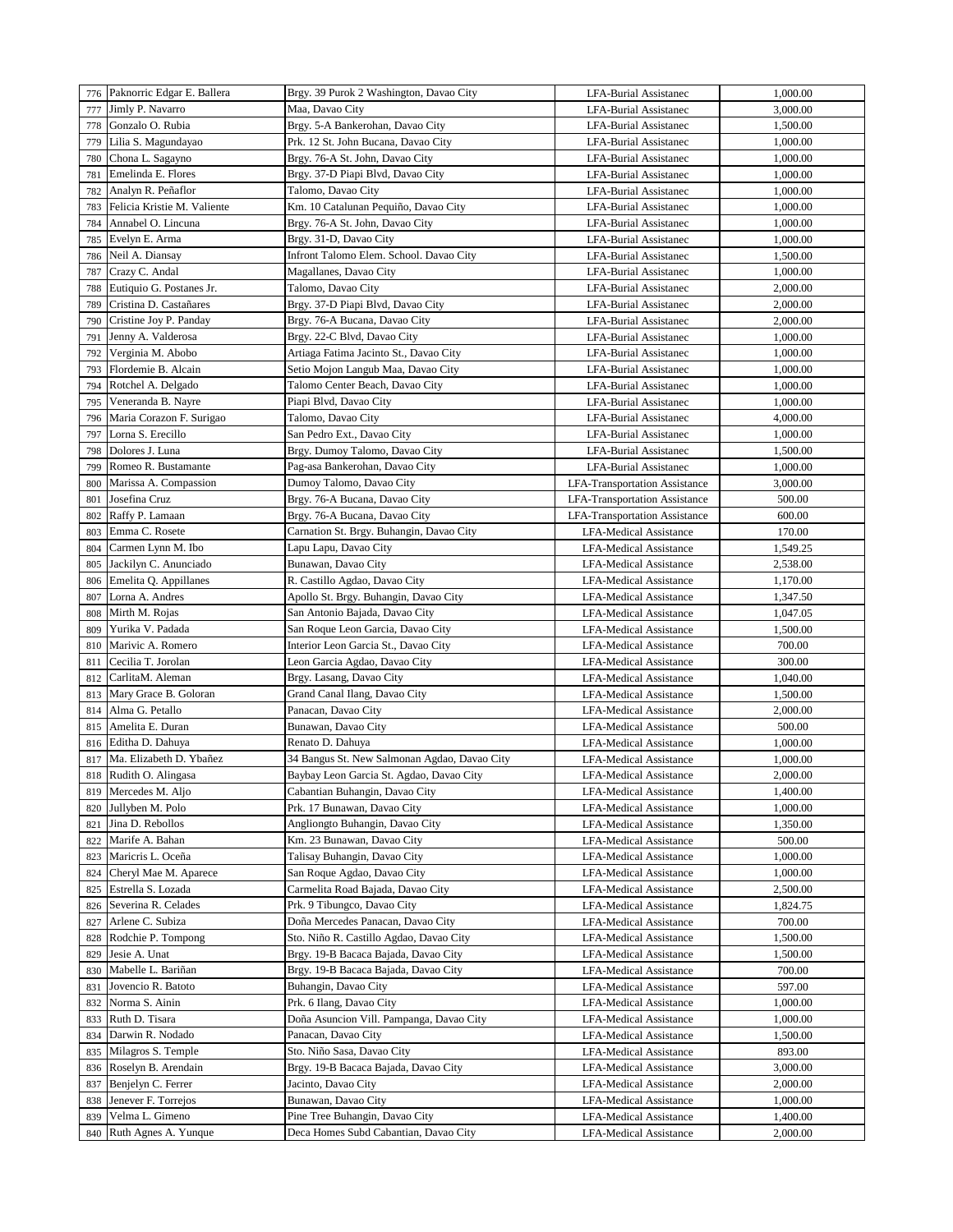|     | 776 Paknorric Edgar E. Ballera           | Brgy. 39 Purok 2 Washington, Davao City      | LFA-Burial Assistanec                | 1,000.00 |
|-----|------------------------------------------|----------------------------------------------|--------------------------------------|----------|
|     | Jimly P. Navarro                         | Maa, Davao City                              |                                      | 3,000.00 |
| 777 |                                          |                                              | LFA-Burial Assistanec                |          |
| 778 | Gonzalo O. Rubia                         | Brgy. 5-A Bankerohan, Davao City             | LFA-Burial Assistanec                | 1,500.00 |
| 779 | Lilia S. Magundayao                      | Prk. 12 St. John Bucana, Davao City          | LFA-Burial Assistanec                | 1,000.00 |
| 780 | Chona L. Sagayno                         | Brgy. 76-A St. John, Davao City              | LFA-Burial Assistanec                | 1,000.00 |
| 781 | Emelinda E. Flores                       | Brgy. 37-D Piapi Blvd, Davao City            | LFA-Burial Assistanec                | 1,000.00 |
| 782 | Analyn R. Peñaflor                       | Talomo, Davao City                           | LFA-Burial Assistanec                | 1,000.00 |
| 783 | Felicia Kristie M. Valiente              | Km. 10 Catalunan Pequiño, Davao City         | LFA-Burial Assistanec                | 1,000.00 |
| 784 | Annabel O. Lincuna                       | Brgy. 76-A St. John, Davao City              | LFA-Burial Assistanec                | 1,000.00 |
| 785 | Evelyn E. Arma                           | Brgy. 31-D, Davao City                       | LFA-Burial Assistanec                | 1,000.00 |
| 786 | Neil A. Diansay                          | Infront Talomo Elem. School. Davao City      | LFA-Burial Assistanec                | 1,500.00 |
|     |                                          |                                              |                                      |          |
| 787 | Crazy C. Andal                           | Magallanes, Davao City                       | LFA-Burial Assistanec                | 1,000.00 |
| 788 | Eutiquio G. Postanes Jr.                 | Talomo, Davao City                           | LFA-Burial Assistanec                | 2,000.00 |
| 789 | Cristina D. Castañares                   | Brgy. 37-D Piapi Blvd, Davao City            | LFA-Burial Assistanec                | 2,000.00 |
| 790 | Cristine Joy P. Panday                   | Brgy. 76-A Bucana, Davao City                | LFA-Burial Assistanec                | 2,000.00 |
| 791 | Jenny A. Valderosa                       | Brgy. 22-C Blvd, Davao City                  | LFA-Burial Assistanec                | 1,000.00 |
| 792 | Verginia M. Abobo                        | Artiaga Fatima Jacinto St., Davao City       | LFA-Burial Assistanec                | 1,000.00 |
| 793 | Flordemie B. Alcain                      | Setio Mojon Langub Maa, Davao City           | LFA-Burial Assistanec                | 1,000.00 |
| 794 | Rotchel A. Delgado                       | Talomo Center Beach, Davao City              | LFA-Burial Assistanec                | 1,000.00 |
| 795 | Veneranda B. Nayre                       | Piapi Blvd, Davao City                       | LFA-Burial Assistanec                | 1,000.00 |
| 796 | Maria Corazon F. Surigao                 | Talomo, Davao City                           | LFA-Burial Assistanec                | 4,000.00 |
| 797 | Lorna S. Erecillo                        | San Pedro Ext., Davao City                   | LFA-Burial Assistanec                | 1,000.00 |
| 798 | Dolores J. Luna                          | Brgy. Dumoy Talomo, Davao City               | LFA-Burial Assistanec                | 1,500.00 |
|     | Romeo R. Bustamante                      |                                              |                                      | 1,000.00 |
| 799 | Marissa A. Compassion                    | Pag-asa Bankerohan, Davao City               | LFA-Burial Assistanec                |          |
| 800 |                                          | Dumoy Talomo, Davao City                     | <b>LFA-Transportation Assistance</b> | 3,000.00 |
| 801 | Josefina Cruz                            | Brgy. 76-A Bucana, Davao City                | <b>LFA-Transportation Assistance</b> | 500.00   |
| 802 | Raffy P. Lamaan                          | Brgy. 76-A Bucana, Davao City                | <b>LFA-Transportation Assistance</b> | 600.00   |
| 803 | Emma C. Rosete                           | Carnation St. Brgy. Buhangin, Davao City     | <b>LFA-Medical Assistance</b>        | 170.00   |
| 804 | Carmen Lynn M. Ibo                       | Lapu Lapu, Davao City                        | <b>LFA-Medical Assistance</b>        | 1,549.25 |
| 805 | Jackilyn C. Anunciado                    | Bunawan, Davao City                          | <b>LFA-Medical Assistance</b>        | 2,538.00 |
| 806 | Emelita Q. Appillanes                    | R. Castillo Agdao, Davao City                | <b>LFA-Medical Assistance</b>        | 1,170.00 |
| 807 | Lorna A. Andres                          | Apollo St. Brgy. Buhangin, Davao City        | <b>LFA-Medical Assistance</b>        | 1,347.50 |
| 808 | Mirth M. Rojas                           | San Antonio Bajada, Davao City               | <b>LFA-Medical Assistance</b>        | 1,047.05 |
| 809 | Yurika V. Padada                         | San Roque Leon Garcia, Davao City            | <b>LFA-Medical Assistance</b>        | 1,500.00 |
| 810 | Marivic A. Romero                        | Interior Leon Garcia St., Davao City         | LFA-Medical Assistance               | 700.00   |
| 811 | Cecilia T. Jorolan                       | Leon Garcia Agdao, Davao City                | LFA-Medical Assistance               | 300.00   |
| 812 | CarlitaM. Aleman                         | Brgy. Lasang, Davao City                     | LFA-Medical Assistance               | 1,040.00 |
|     |                                          |                                              |                                      |          |
| 813 | Mary Grace B. Goloran<br>Alma G. Petallo | Grand Canal Ilang, Davao City                | <b>LFA-Medical Assistance</b>        | 1,500.00 |
| 814 |                                          | Panacan, Davao City                          | <b>LFA-Medical Assistance</b>        | 2,000.00 |
| 815 | Amelita E. Duran                         | Bunawan, Davao City                          | <b>LFA-Medical Assistance</b>        | 500.00   |
| 816 | Editha D. Dahuya                         | Renato D. Dahuya                             | <b>LFA-Medical Assistance</b>        | 1,000.00 |
| 817 | Ma. Elizabeth D. Ybañez                  | 34 Bangus St. New Salmonan Agdao, Davao City | <b>LFA-Medical Assistance</b>        | 1,000.00 |
| 818 | Rudith O. Alingasa                       | Baybay Leon Garcia St. Agdao, Davao City     | <b>LFA-Medical Assistance</b>        | 2,000.00 |
| 819 | Mercedes M. Aljo                         | Cabantian Buhangin, Davao City               | LFA-Medical Assistance               | 1,400.00 |
| 820 | Jullyben M. Polo                         | Prk. 17 Bunawan, Davao City                  | LFA-Medical Assistance               | 1,000.00 |
| 821 | Jina D. Rebollos                         | Angliongto Buhangin, Davao City              | LFA-Medical Assistance               | 1,350.00 |
| 822 | Marife A. Bahan                          | Km. 23 Bunawan, Davao City                   | LFA-Medical Assistance               | 500.00   |
| 823 | Maricris L. Oceña                        | Talisay Buhangin, Davao City                 | LFA-Medical Assistance               | 1,000.00 |
| 824 | Cheryl Mae M. Aparece                    | San Roque Agdao, Davao City                  | LFA-Medical Assistance               | 1,000.00 |
| 825 | Estrella S. Lozada                       | Carmelita Road Bajada, Davao City            | <b>LFA-Medical Assistance</b>        | 2,500.00 |
| 826 | Severina R. Celades                      | Prk. 9 Tibungco, Davao City                  | <b>LFA-Medical Assistance</b>        | 1,824.75 |
| 827 | Arlene C. Subiza                         | Doña Mercedes Panacan, Davao City            | LFA-Medical Assistance               | 700.00   |
| 828 | Rodchie P. Tompong                       | Sto. Niño R. Castillo Agdao, Davao City      | LFA-Medical Assistance               | 1,500.00 |
|     |                                          | Brgy. 19-B Bacaca Bajada, Davao City         |                                      |          |
| 829 | Jesie A. Unat                            |                                              | LFA-Medical Assistance               | 1,500.00 |
| 830 | Mabelle L. Bariñan                       | Brgy. 19-B Bacaca Bajada, Davao City         | LFA-Medical Assistance               | 700.00   |
| 831 | Jovencio R. Batoto                       | Buhangin, Davao City                         | LFA-Medical Assistance               | 597.00   |
| 832 | Norma S. Ainin                           | Prk. 6 Ilang, Davao City                     | LFA-Medical Assistance               | 1,000.00 |
| 833 | Ruth D. Tisara                           | Doña Asuncion Vill. Pampanga, Davao City     | LFA-Medical Assistance               | 1,000.00 |
| 834 | Darwin R. Nodado                         | Panacan, Davao City                          | LFA-Medical Assistance               | 1,500.00 |
| 835 | Milagros S. Temple                       | Sto. Niño Sasa, Davao City                   | <b>LFA-Medical Assistance</b>        | 893.00   |
| 836 | Roselyn B. Arendain                      | Brgy. 19-B Bacaca Bajada, Davao City         | LFA-Medical Assistance               | 3,000.00 |
| 837 | Benjelyn C. Ferrer                       | Jacinto, Davao City                          | LFA-Medical Assistance               | 2,000.00 |
| 838 | Jenever F. Torrejos                      | Bunawan, Davao City                          | LFA-Medical Assistance               | 1,000.00 |
| 839 | Velma L. Gimeno                          | Pine Tree Buhangin, Davao City               | LFA-Medical Assistance               | 1,400.00 |
| 840 | Ruth Agnes A. Yunque                     | Deca Homes Subd Cabantian, Davao City        | LFA-Medical Assistance               | 2,000.00 |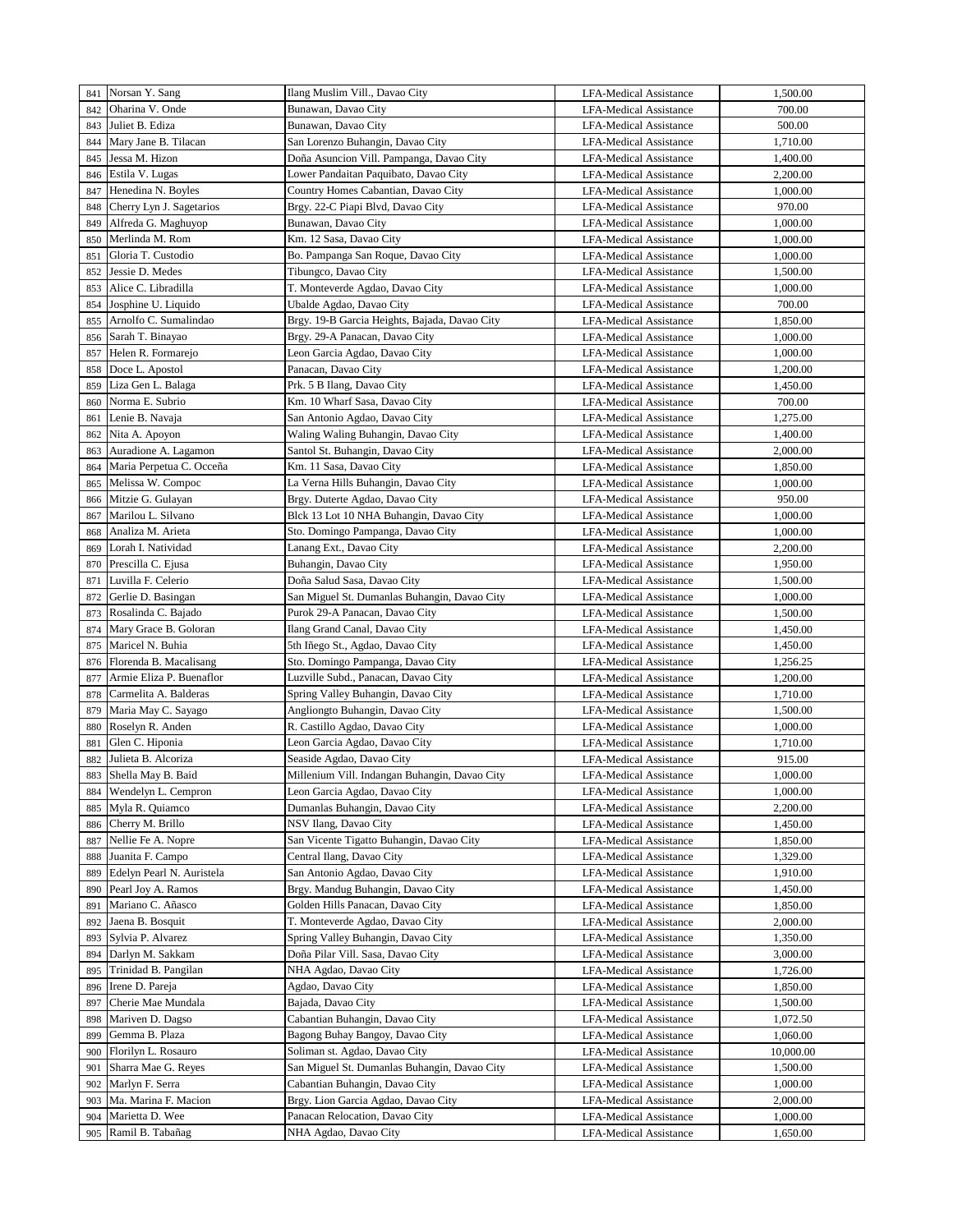| 841 | Norsan Y. Sang            | Ilang Muslim Vill., Davao City                | <b>LFA-Medical Assistance</b> | 1,500.00  |
|-----|---------------------------|-----------------------------------------------|-------------------------------|-----------|
| 842 | Oharina V. Onde           | Bunawan, Davao City                           | <b>LFA-Medical Assistance</b> | 700.00    |
| 843 | Juliet B. Ediza           | Bunawan, Davao City                           | <b>LFA-Medical Assistance</b> | 500.00    |
| 844 | Mary Jane B. Tilacan      | San Lorenzo Buhangin, Davao City              | <b>LFA-Medical Assistance</b> | 1,710.00  |
| 845 | Jessa M. Hizon            | Doña Asuncion Vill. Pampanga, Davao City      | <b>LFA-Medical Assistance</b> | 1,400.00  |
| 846 | Estila V. Lugas           | Lower Pandaitan Paquibato, Davao City         | <b>LFA-Medical Assistance</b> | 2,200.00  |
| 847 | Henedina N. Boyles        | Country Homes Cabantian, Davao City           | <b>LFA-Medical Assistance</b> | 1,000.00  |
| 848 | Cherry Lyn J. Sagetarios  | Brgy. 22-C Piapi Blvd, Davao City             | <b>LFA-Medical Assistance</b> | 970.00    |
| 849 | Alfreda G. Maghuyop       | Bunawan, Davao City                           | LFA-Medical Assistance        | 1,000.00  |
| 850 | Merlinda M. Rom           | Km. 12 Sasa, Davao City                       | <b>LFA-Medical Assistance</b> | 1,000.00  |
| 851 | Gloria T. Custodio        | Bo. Pampanga San Roque, Davao City            | LFA-Medical Assistance        | 1,000.00  |
| 852 | Jessie D. Medes           | Tibungco, Davao City                          | <b>LFA-Medical Assistance</b> | 1,500.00  |
| 853 | Alice C. Libradilla       | T. Monteverde Agdao, Davao City               | LFA-Medical Assistance        | 1,000.00  |
| 854 | Josphine U. Liquido       | Ubalde Agdao, Davao City                      | <b>LFA-Medical Assistance</b> | 700.00    |
| 855 | Arnolfo C. Sumalindao     | Brgy. 19-B Garcia Heights, Bajada, Davao City | <b>LFA-Medical Assistance</b> | 1,850.00  |
| 856 | Sarah T. Binayao          | Brgy. 29-A Panacan, Davao City                | <b>LFA-Medical Assistance</b> | 1,000.00  |
| 857 | Helen R. Formarejo        | Leon Garcia Agdao, Davao City                 | LFA-Medical Assistance        | 1,000.00  |
|     | Doce L. Apostol           | Panacan, Davao City                           |                               | 1,200.00  |
| 858 |                           | Prk. 5 B Ilang, Davao City                    | LFA-Medical Assistance        |           |
| 859 | Liza Gen L. Balaga        | Km. 10 Wharf Sasa, Davao City                 | <b>LFA-Medical Assistance</b> | 1,450.00  |
| 860 | Norma E. Subrio           |                                               | <b>LFA-Medical Assistance</b> | 700.00    |
| 861 | Lenie B. Navaja           | San Antonio Agdao, Davao City                 | <b>LFA-Medical Assistance</b> | 1,275.00  |
| 862 | Nita A. Apoyon            | Waling Waling Buhangin, Davao City            | <b>LFA-Medical Assistance</b> | 1,400.00  |
| 863 | Auradione A. Lagamon      | Santol St. Buhangin, Davao City               | <b>LFA-Medical Assistance</b> | 2,000.00  |
| 864 | Maria Perpetua C. Occeña  | Km. 11 Sasa, Davao City                       | <b>LFA-Medical Assistance</b> | 1,850.00  |
| 865 | Melissa W. Compoc         | La Verna Hills Buhangin, Davao City           | <b>LFA-Medical Assistance</b> | 1,000.00  |
| 866 | Mitzie G. Gulayan         | Brgy. Duterte Agdao, Davao City               | <b>LFA-Medical Assistance</b> | 950.00    |
| 867 | Marilou L. Silvano        | Blck 13 Lot 10 NHA Buhangin, Davao City       | <b>LFA-Medical Assistance</b> | 1,000.00  |
| 868 | Analiza M. Arieta         | Sto. Domingo Pampanga, Davao City             | <b>LFA-Medical Assistance</b> | 1,000.00  |
| 869 | Lorah I. Natividad        | Lanang Ext., Davao City                       | <b>LFA-Medical Assistance</b> | 2,200.00  |
| 870 | Prescilla C. Ejusa        | Buhangin, Davao City                          | <b>LFA-Medical Assistance</b> | 1,950.00  |
| 871 | Luvilla F. Celerio        | Doña Salud Sasa, Davao City                   | <b>LFA-Medical Assistance</b> | 1,500.00  |
| 872 | Gerlie D. Basingan        | San Miguel St. Dumanlas Buhangin, Davao City  | <b>LFA-Medical Assistance</b> | 1,000.00  |
| 873 | Rosalinda C. Bajado       | Purok 29-A Panacan, Davao City                | <b>LFA-Medical Assistance</b> | 1,500.00  |
| 874 | Mary Grace B. Goloran     | Ilang Grand Canal, Davao City                 | <b>LFA-Medical Assistance</b> | 1,450.00  |
| 875 | Maricel N. Buhia          | 5th Iñego St., Agdao, Davao City              | <b>LFA-Medical Assistance</b> | 1,450.00  |
| 876 | Florenda B. Macalisang    | Sto. Domingo Pampanga, Davao City             | LFA-Medical Assistance        | 1,256.25  |
| 877 | Armie Eliza P. Buenaflor  | Luzville Subd., Panacan, Davao City           | LFA-Medical Assistance        | 1,200.00  |
| 878 | Carmelita A. Balderas     | Spring Valley Buhangin, Davao City            | <b>LFA-Medical Assistance</b> | 1,710.00  |
| 879 | Maria May C. Sayago       | Angliongto Buhangin, Davao City               | <b>LFA-Medical Assistance</b> | 1,500.00  |
| 880 | Roselyn R. Anden          | R. Castillo Agdao, Davao City                 | <b>LFA-Medical Assistance</b> | 1,000.00  |
| 881 | Glen C. Hiponia           | Leon Garcia Agdao, Davao City                 | <b>LFA-Medical Assistance</b> | 1,710.00  |
| 882 | Julieta B. Alcoriza       | Seaside Agdao, Davao City                     | <b>LFA-Medical Assistance</b> | 915.00    |
| 883 | Shella May B. Baid        | Millenium Vill. Indangan Buhangin, Davao City | LFA-Medical Assistance        | 1,000.00  |
| 884 | Wendelyn L. Cempron       | Leon Garcia Agdao, Davao City                 | LFA-Medical Assistance        | 1,000.00  |
| 885 | Myla R. Quiamco           | Dumanlas Buhangin, Davao City                 | <b>LFA-Medical Assistance</b> | 2,200.00  |
| 886 | Cherry M. Brillo          | NSV Ilang, Davao City                         | <b>LFA-Medical Assistance</b> | 1,450.00  |
| 887 | Nellie Fe A. Nopre        | San Vicente Tigatto Buhangin, Davao City      | <b>LFA-Medical Assistance</b> | 1,850.00  |
| 888 | Juanita F. Campo          | Central Ilang, Davao City                     | <b>LFA-Medical Assistance</b> | 1,329.00  |
| 889 | Edelyn Pearl N. Auristela | San Antonio Agdao, Davao City                 | LFA-Medical Assistance        | 1,910.00  |
| 890 | Pearl Joy A. Ramos        | Brgy. Mandug Buhangin, Davao City             | LFA-Medical Assistance        | 1,450.00  |
| 891 | Mariano C. Añasco         | Golden Hills Panacan, Davao City              | LFA-Medical Assistance        | 1,850.00  |
| 892 | Jaena B. Bosquit          | T. Monteverde Agdao, Davao City               | LFA-Medical Assistance        | 2,000.00  |
| 893 | Sylvia P. Alvarez         | Spring Valley Buhangin, Davao City            | <b>LFA-Medical Assistance</b> | 1,350.00  |
| 894 | Darlyn M. Sakkam          | Doña Pilar Vill. Sasa, Davao City             | <b>LFA-Medical Assistance</b> | 3,000.00  |
| 895 | Trinidad B. Pangilan      | NHA Agdao, Davao City                         | LFA-Medical Assistance        | 1,726.00  |
| 896 | Irene D. Pareja           | Agdao, Davao City                             | LFA-Medical Assistance        | 1,850.00  |
| 897 | Cherie Mae Mundala        | Bajada, Davao City                            | LFA-Medical Assistance        | 1,500.00  |
| 898 | Mariven D. Dagso          | Cabantian Buhangin, Davao City                | LFA-Medical Assistance        | 1,072.50  |
| 899 | Gemma B. Plaza            | Bagong Buhay Bangoy, Davao City               | LFA-Medical Assistance        | 1,060.00  |
| 900 | Florilyn L. Rosauro       | Soliman st. Agdao, Davao City                 | LFA-Medical Assistance        | 10,000.00 |
| 901 | Sharra Mae G. Reyes       | San Miguel St. Dumanlas Buhangin, Davao City  | LFA-Medical Assistance        | 1,500.00  |
| 902 | Marlyn F. Serra           | Cabantian Buhangin, Davao City                | LFA-Medical Assistance        | 1,000.00  |
| 903 | Ma. Marina F. Macion      | Brgy. Lion Garcia Agdao, Davao City           | LFA-Medical Assistance        | 2,000.00  |
| 904 | Marietta D. Wee           | Panacan Relocation, Davao City                | <b>LFA-Medical Assistance</b> | 1,000.00  |
| 905 | Ramil B. Tabañag          | NHA Agdao, Davao City                         | LFA-Medical Assistance        | 1,650.00  |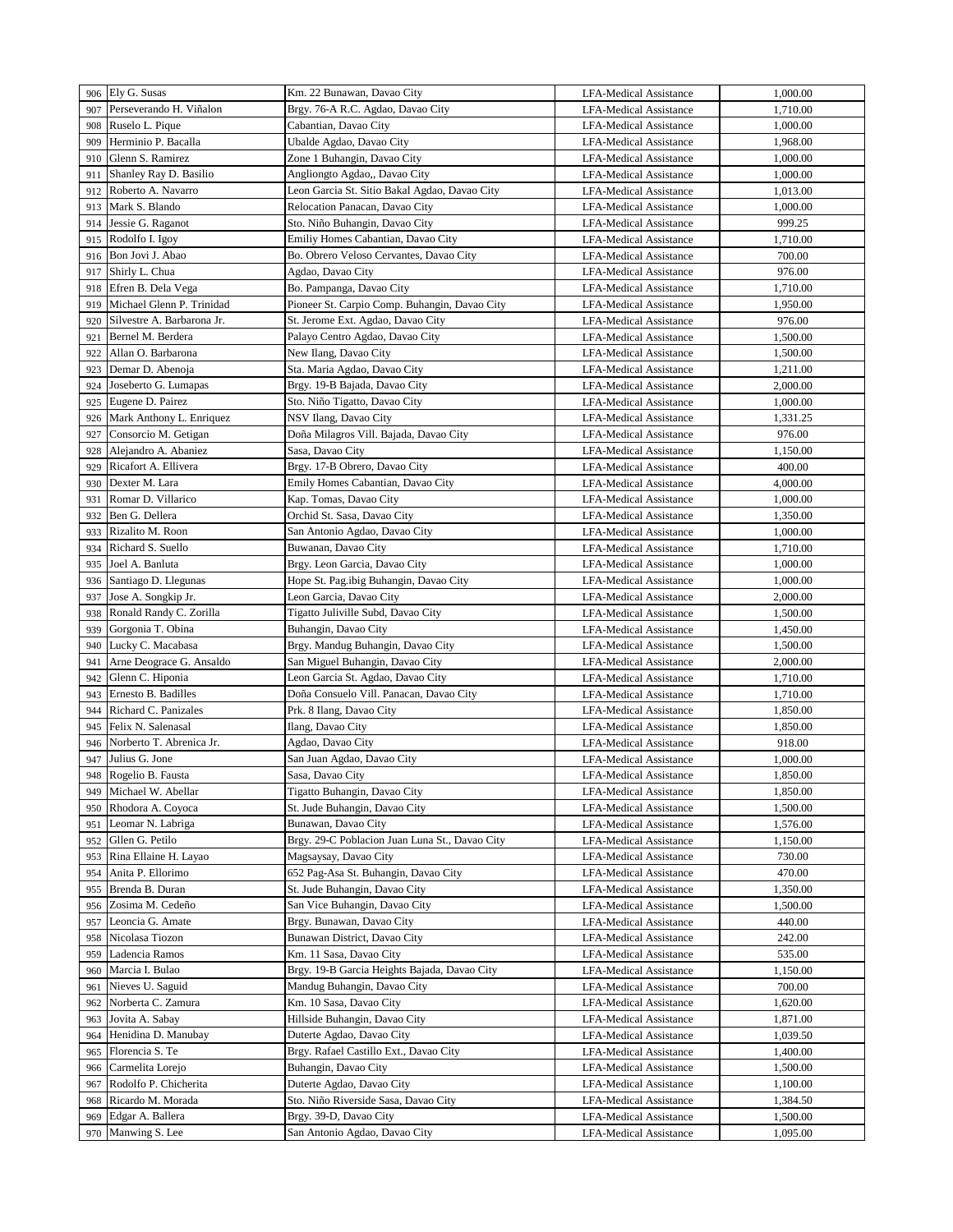|     | 906 Ely G. Susas           | Km. 22 Bunawan, Davao City                     | LFA-Medical Assistance        | 1,000.00 |
|-----|----------------------------|------------------------------------------------|-------------------------------|----------|
| 907 | Perseverando H. Viñalon    | Brgy. 76-A R.C. Agdao, Davao City              | <b>LFA-Medical Assistance</b> | 1,710.00 |
| 908 | Ruselo L. Pique            | Cabantian, Davao City                          | LFA-Medical Assistance        | 1,000.00 |
| 909 | Herminio P. Bacalla        | Ubalde Agdao, Davao City                       | <b>LFA-Medical Assistance</b> | 1,968.00 |
| 910 | Glenn S. Ramirez           | Zone 1 Buhangin, Davao City                    | <b>LFA-Medical Assistance</b> | 1,000.00 |
| 911 | Shanley Ray D. Basilio     | Angliongto Agdao,, Davao City                  | <b>LFA-Medical Assistance</b> | 1,000.00 |
| 912 | Roberto A. Navarro         | Leon Garcia St. Sitio Bakal Agdao, Davao City  | <b>LFA-Medical Assistance</b> | 1,013.00 |
| 913 | Mark S. Blando             | Relocation Panacan, Davao City                 | <b>LFA-Medical Assistance</b> | 1,000.00 |
| 914 | Jessie G. Raganot          | Sto. Niño Buhangin, Davao City                 | LFA-Medical Assistance        | 999.25   |
| 915 | Rodolfo I. Igov            | Emiliy Homes Cabantian, Davao City             | <b>LFA-Medical Assistance</b> | 1,710.00 |
| 916 | Bon Jovi J. Abao           | Bo. Obrero Veloso Cervantes, Davao City        | <b>LFA-Medical Assistance</b> | 700.00   |
| 917 | Shirly L. Chua             | Agdao, Davao City                              | <b>LFA-Medical Assistance</b> | 976.00   |
| 918 | Efren B. Dela Vega         | Bo. Pampanga, Davao City                       | LFA-Medical Assistance        | 1,710.00 |
| 919 | Michael Glenn P. Trinidad  | Pioneer St. Carpio Comp. Buhangin, Davao City  | <b>LFA-Medical Assistance</b> | 1,950.00 |
| 920 | Silvestre A. Barbarona Jr. | St. Jerome Ext. Agdao, Davao City              | <b>LFA-Medical Assistance</b> | 976.00   |
| 921 | Bernel M. Berdera          | Palayo Centro Agdao, Davao City                | LFA-Medical Assistance        | 1,500.00 |
| 922 | Allan O. Barbarona         | New Ilang, Davao City                          | LFA-Medical Assistance        | 1,500.00 |
| 923 | Demar D. Abenoja           | Sta. Maria Agdao, Davao City                   | LFA-Medical Assistance        | 1,211.00 |
| 924 | Joseberto G. Lumapas       | Brgy. 19-B Bajada, Davao City                  | LFA-Medical Assistance        | 2,000.00 |
| 925 | Eugene D. Pairez           | Sto. Niño Tigatto, Davao City                  | <b>LFA-Medical Assistance</b> | 1,000.00 |
| 926 | Mark Anthony L. Enriquez   | NSV Ilang, Davao City                          | LFA-Medical Assistance        | 1,331.25 |
| 927 | Consorcio M. Getigan       | Doña Milagros Vill. Bajada, Davao City         | LFA-Medical Assistance        | 976.00   |
| 928 | Alejandro A. Abaniez       | Sasa, Davao City                               | <b>LFA-Medical Assistance</b> | 1,150.00 |
| 929 | Ricafort A. Ellivera       | Brgy. 17-B Obrero, Davao City                  | LFA-Medical Assistance        | 400.00   |
| 930 | Dexter M. Lara             | Emily Homes Cabantian, Davao City              | <b>LFA-Medical Assistance</b> | 4,000.00 |
| 931 | Romar D. Villarico         | Kap. Tomas, Davao City                         | LFA-Medical Assistance        | 1,000.00 |
| 932 | Ben G. Dellera             | Orchid St. Sasa, Davao City                    | <b>LFA-Medical Assistance</b> | 1,350.00 |
| 933 | Rizalito M. Roon           | San Antonio Agdao, Davao City                  | LFA-Medical Assistance        | 1,000.00 |
| 934 | Richard S. Suello          | Buwanan, Davao City                            | <b>LFA-Medical Assistance</b> | 1,710.00 |
| 935 | Joel A. Banluta            | Brgy. Leon Garcia, Davao City                  | LFA-Medical Assistance        | 1,000.00 |
| 936 | Santiago D. Llegunas       | Hope St. Pag.ibig Buhangin, Davao City         | <b>LFA-Medical Assistance</b> | 1,000.00 |
| 937 | Jose A. Songkip Jr.        | Leon Garcia, Davao City                        | <b>LFA-Medical Assistance</b> | 2,000.00 |
| 938 | Ronald Randy C. Zorilla    | Tigatto Juliville Subd, Davao City             | <b>LFA-Medical Assistance</b> | 1,500.00 |
| 939 | Gorgonia T. Obina          | Buhangin, Davao City                           | <b>LFA-Medical Assistance</b> | 1,450.00 |
| 940 | Lucky C. Macabasa          | Brgy. Mandug Buhangin, Davao City              | <b>LFA-Medical Assistance</b> | 1,500.00 |
| 941 | Arne Deograce G. Ansaldo   | San Miguel Buhangin, Davao City                | LFA-Medical Assistance        | 2,000.00 |
| 942 | Glenn C. Hiponia           | Leon Garcia St. Agdao, Davao City              | <b>LFA-Medical Assistance</b> | 1,710.00 |
| 943 | Ernesto B. Badilles        | Doña Consuelo Vill. Panacan, Davao City        | <b>LFA-Medical Assistance</b> | 1,710.00 |
| 944 | Richard C. Panizales       | Prk. 8 Ilang, Davao City                       | <b>LFA-Medical Assistance</b> | 1,850.00 |
| 945 | Felix N. Salenasal         | Ilang, Davao City                              | <b>LFA-Medical Assistance</b> | 1,850.00 |
| 946 | Norberto T. Abrenica Jr.   | Agdao, Davao City                              | <b>LFA-Medical Assistance</b> | 918.00   |
| 947 | Julius G. Jone             | San Juan Agdao, Davao City                     | <b>LFA-Medical Assistance</b> | 1,000.00 |
| 948 | Rogelio B. Fausta          | Sasa, Davao City                               | LFA-Medical Assistance        | 1,850.00 |
| 949 | Michael W. Abellar         | Tigatto Buhangin, Davao City                   | LFA-Medical Assistance        | 1,850.00 |
| 950 | Rhodora A. Coyoca          | St. Jude Buhangin, Davao City                  | <b>LFA-Medical Assistance</b> | 1,500.00 |
| 951 | Leomar N. Labriga          | Bunawan, Davao City                            | LFA-Medical Assistance        | 1,576.00 |
| 952 | Gllen G. Petilo            | Brgy. 29-C Poblacion Juan Luna St., Davao City | <b>LFA-Medical Assistance</b> | 1,150.00 |
| 953 | Rina Ellaine H. Layao      | Magsaysay, Davao City                          | <b>LFA-Medical Assistance</b> | 730.00   |
| 954 | Anita P. Ellorimo          | 652 Pag-Asa St. Buhangin, Davao City           | LFA-Medical Assistance        | 470.00   |
| 955 | Brenda B. Duran            | St. Jude Buhangin, Davao City                  | <b>LFA-Medical Assistance</b> | 1,350.00 |
| 956 | Zosima M. Cedeño           | San Vice Buhangin, Davao City                  | LFA-Medical Assistance        | 1,500.00 |
| 957 | Leoncia G. Amate           | Brgy. Bunawan, Davao City                      | LFA-Medical Assistance        | 440.00   |
| 958 | Nicolasa Tiozon            | Bunawan District, Davao City                   | LFA-Medical Assistance        | 242.00   |
| 959 | Ladencia Ramos             | Km. 11 Sasa, Davao City                        | LFA-Medical Assistance        | 535.00   |
| 960 | Marcia I. Bulao            | Brgy. 19-B Garcia Heights Bajada, Davao City   | <b>LFA-Medical Assistance</b> | 1,150.00 |
| 961 | Nieves U. Saguid           | Mandug Buhangin, Davao City                    | LFA-Medical Assistance        | 700.00   |
| 962 | Norberta C. Zamura         | Km. 10 Sasa, Davao City                        | LFA-Medical Assistance        | 1,620.00 |
| 963 | Jovita A. Sabay            | Hillside Buhangin, Davao City                  | LFA-Medical Assistance        | 1,871.00 |
| 964 | Henidina D. Manubay        | Duterte Agdao, Davao City                      | LFA-Medical Assistance        | 1,039.50 |
| 965 | Florencia S. Te            | Brgy. Rafael Castillo Ext., Davao City         | <b>LFA-Medical Assistance</b> | 1,400.00 |
| 966 | Carmelita Lorejo           | Buhangin, Davao City                           | LFA-Medical Assistance        | 1,500.00 |
| 967 | Rodolfo P. Chicherita      | Duterte Agdao, Davao City                      | LFA-Medical Assistance        | 1,100.00 |
| 968 | Ricardo M. Morada          | Sto. Niño Riverside Sasa, Davao City           | LFA-Medical Assistance        | 1,384.50 |
| 969 | Edgar A. Ballera           | Brgy. 39-D, Davao City                         | <b>LFA-Medical Assistance</b> | 1,500.00 |
| 970 | Manwing S. Lee             | San Antonio Agdao, Davao City                  | LFA-Medical Assistance        | 1,095.00 |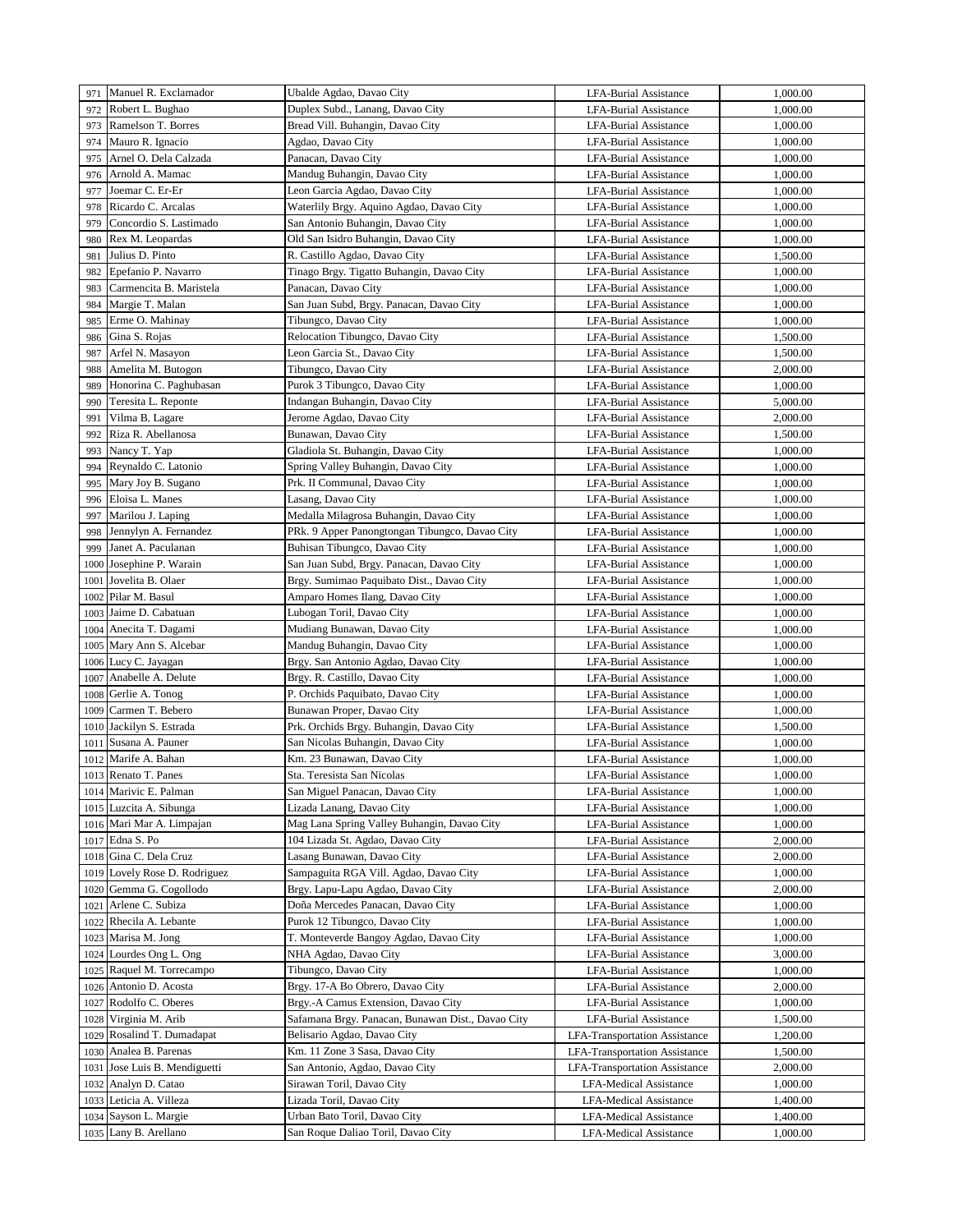| 971  | Manuel R. Exclamador     | Ubalde Agdao, Davao City                          | <b>LFA-Burial Assistance</b>         | 1,000.00 |
|------|--------------------------|---------------------------------------------------|--------------------------------------|----------|
| 972  | Robert L. Bughao         | Duplex Subd., Lanang, Davao City                  | LFA-Burial Assistance                | 1,000.00 |
| 973  | Ramelson T. Borres       | Bread Vill. Buhangin, Davao City                  | LFA-Burial Assistance                | 1,000.00 |
| 974  | Mauro R. Ignacio         | Agdao, Davao City                                 | LFA-Burial Assistance                | 1,000.00 |
| 975  | Arnel O. Dela Calzada    | Panacan, Davao City                               | <b>LFA-Burial Assistance</b>         | 1,000.00 |
|      | Arnold A. Mamac          | Mandug Buhangin, Davao City                       |                                      |          |
| 976  |                          |                                                   | LFA-Burial Assistance                | 1,000.00 |
| 977  | Joemar C. Er-Er          | Leon Garcia Agdao, Davao City                     | <b>LFA-Burial Assistance</b>         | 1,000.00 |
| 978  | Ricardo C. Arcalas       | Waterlily Brgy. Aquino Agdao, Davao City          | LFA-Burial Assistance                | 1,000.00 |
| 979  | Concordio S. Lastimado   | San Antonio Buhangin, Davao City                  | LFA-Burial Assistance                | 1,000.00 |
| 980  | Rex M. Leopardas         | Old San Isidro Buhangin, Davao City               | <b>LFA-Burial Assistance</b>         | 1,000.00 |
| 981  | Julius D. Pinto          | R. Castillo Agdao, Davao City                     | LFA-Burial Assistance                | 1,500.00 |
| 982  | Epefanio P. Navarro      | Tinago Brgy. Tigatto Buhangin, Davao City         | <b>LFA-Burial Assistance</b>         | 1,000.00 |
| 983  | Carmencita B. Maristela  | Panacan, Davao City                               | LFA-Burial Assistance                | 1,000.00 |
| 984  | Margie T. Malan          | San Juan Subd, Brgy. Panacan, Davao City          | LFA-Burial Assistance                | 1,000.00 |
| 985  | Erme O. Mahinay          | Tibungco, Davao City                              | LFA-Burial Assistance                | 1,000.00 |
| 986  | Gina S. Rojas            | Relocation Tibungco, Davao City                   | LFA-Burial Assistance                | 1,500.00 |
| 987  | Arfel N. Masayon         | Leon Garcia St., Davao City                       | LFA-Burial Assistance                | 1,500.00 |
| 988  | Amelita M. Butogon       | Tibungco, Davao City                              | LFA-Burial Assistance                | 2,000.00 |
|      |                          | Purok 3 Tibungco, Davao City                      |                                      |          |
| 989  | Honorina C. Paghubasan   |                                                   | LFA-Burial Assistance                | 1,000.00 |
| 990  | Teresita L. Reponte      | Indangan Buhangin, Davao City                     | LFA-Burial Assistance                | 5,000.00 |
| 991  | Vilma B. Lagare          | Jerome Agdao, Davao City                          | <b>LFA-Burial Assistance</b>         | 2,000.00 |
| 992  | Riza R. Abellanosa       | Bunawan, Davao City                               | <b>LFA-Burial Assistance</b>         | 1,500.00 |
| 993  | Nancy T. Yap             | Gladiola St. Buhangin, Davao City                 | <b>LFA-Burial Assistance</b>         | 1,000.00 |
| 994  | Reynaldo C. Latonio      | Spring Valley Buhangin, Davao City                | <b>LFA-Burial Assistance</b>         | 1,000.00 |
| 995  | Mary Joy B. Sugano       | Prk. II Communal, Davao City                      | <b>LFA-Burial Assistance</b>         | 1,000.00 |
| 996  | Eloisa L. Manes          | Lasang, Davao City                                | <b>LFA-Burial Assistance</b>         | 1,000.00 |
| 997  | Marilou J. Laping        | Medalla Milagrosa Buhangin, Davao City            | LFA-Burial Assistance                | 1,000.00 |
| 998  | Jennylyn A. Fernandez    | PRk. 9 Apper Panongtongan Tibungco, Davao City    | <b>LFA-Burial Assistance</b>         | 1,000.00 |
| 999  | Janet A. Paculanan       | Buhisan Tibungco, Davao City                      | <b>LFA-Burial Assistance</b>         | 1,000.00 |
| 1000 | Josephine P. Warain      | San Juan Subd, Brgy. Panacan, Davao City          | <b>LFA-Burial Assistance</b>         | 1,000.00 |
| 1001 | Jovelita B. Olaer        | Brgy. Sumimao Paquibato Dist., Davao City         | <b>LFA-Burial Assistance</b>         | 1,000.00 |
| 1002 | Pilar M. Basul           | Amparo Homes Ilang, Davao City                    | <b>LFA-Burial Assistance</b>         | 1,000.00 |
|      |                          |                                                   |                                      |          |
| 1003 | Jaime D. Cabatuan        | Lubogan Toril, Davao City                         | <b>LFA-Burial Assistance</b>         | 1,000.00 |
| 1004 | Anecita T. Dagami        | Mudiang Bunawan, Davao City                       | <b>LFA-Burial Assistance</b>         | 1,000.00 |
| 1005 | Mary Ann S. Alcebar      | Mandug Buhangin, Davao City                       | LFA-Burial Assistance                | 1,000.00 |
| 1006 | Lucy C. Jayagan          | Brgy. San Antonio Agdao, Davao City               | LFA-Burial Assistance                | 1,000.00 |
| 1007 | Anabelle A. Delute       | Brgy. R. Castillo, Davao City                     | LFA-Burial Assistance                | 1,000.00 |
| 1008 | Gerlie A. Tonog          | P. Orchids Paquibato, Davao City                  | LFA-Burial Assistance                | 1,000.00 |
| 1009 | Carmen T. Bebero         | Bunawan Proper, Davao City                        | LFA-Burial Assistance                | 1,000.00 |
| 1010 | Jackilyn S. Estrada      | Prk. Orchids Brgy. Buhangin, Davao City           | LFA-Burial Assistance                | 1,500.00 |
| 1011 | Susana A. Pauner         | San Nicolas Buhangin, Davao City                  | <b>LFA-Burial Assistance</b>         | 1,000.00 |
| 1012 | Marife A. Bahan          | Km. 23 Bunawan, Davao City                        | <b>LFA-Burial Assistance</b>         | 1,000.00 |
|      | 1013 Renato T. Panes     | Sta. Teresista San Nicolas                        | LFA-Burial Assistance                | 1,000.00 |
|      | 1014 Marivic E. Palman   | San Miguel Panacan, Davao City                    | LFA-Burial Assistance                | 1,000.00 |
| 1015 | Luzcita A. Sibunga       | Lizada Lanang, Davao City                         | <b>LFA-Burial Assistance</b>         | 1,000.00 |
| 1016 | Mari Mar A. Limpajan     | Mag Lana Spring Valley Buhangin, Davao City       | LFA-Burial Assistance                | 1,000.00 |
| 1017 | Edna S. Po               | 104 Lizada St. Agdao, Davao City                  | LFA-Burial Assistance                | 2,000.00 |
| 1018 | Gina C. Dela Cruz        | Lasang Bunawan, Davao City                        | LFA-Burial Assistance                | 2,000.00 |
|      |                          |                                                   |                                      |          |
| 1019 | Lovely Rose D. Rodriguez | Sampaguita RGA Vill. Agdao, Davao City            | LFA-Burial Assistance                | 1,000.00 |
| 1020 | Gemma G. Cogollodo       | Brgy. Lapu-Lapu Agdao, Davao City                 | LFA-Burial Assistance                | 2,000.00 |
| 1021 | Arlene C. Subiza         | Doña Mercedes Panacan, Davao City                 | LFA-Burial Assistance                | 1,000.00 |
| 1022 | Rhecila A. Lebante       | Purok 12 Tibungco, Davao City                     | LFA-Burial Assistance                | 1,000.00 |
| 1023 | Marisa M. Jong           | T. Monteverde Bangoy Agdao, Davao City            | LFA-Burial Assistance                | 1,000.00 |
| 1024 | Lourdes Ong L. Ong       | NHA Agdao, Davao City                             | LFA-Burial Assistance                | 3,000.00 |
| 1025 | Raquel M. Torrecampo     | Tibungco, Davao City                              | LFA-Burial Assistance                | 1,000.00 |
| 1026 | Antonio D. Acosta        | Brgy. 17-A Bo Obrero, Davao City                  | LFA-Burial Assistance                | 2,000.00 |
| 1027 | Rodolfo C. Oberes        | Brgy.-A Camus Extension, Davao City               | LFA-Burial Assistance                | 1,000.00 |
| 1028 | Virginia M. Arib         | Safamana Brgy. Panacan, Bunawan Dist., Davao City | LFA-Burial Assistance                | 1,500.00 |
| 1029 | Rosalind T. Dumadapat    | Belisario Agdao, Davao City                       | LFA-Transportation Assistance        | 1,200.00 |
| 1030 | Analea B. Parenas        | Km. 11 Zone 3 Sasa, Davao City                    | LFA-Transportation Assistance        | 1,500.00 |
| 1031 | Jose Luis B. Mendiguetti | San Antonio, Agdao, Davao City                    | <b>LFA-Transportation Assistance</b> | 2,000.00 |
| 1032 | Analyn D. Catao          | Sirawan Toril, Davao City                         | LFA-Medical Assistance               | 1,000.00 |
| 1033 | Leticia A. Villeza       | Lizada Toril, Davao City                          | LFA-Medical Assistance               | 1,400.00 |
|      | Sayson L. Margie         | Urban Bato Toril, Davao City                      |                                      | 1,400.00 |
| 1034 |                          |                                                   | <b>LFA-Medical Assistance</b>        |          |
|      | 1035 Lany B. Arellano    | San Roque Daliao Toril, Davao City                | LFA-Medical Assistance               | 1,000.00 |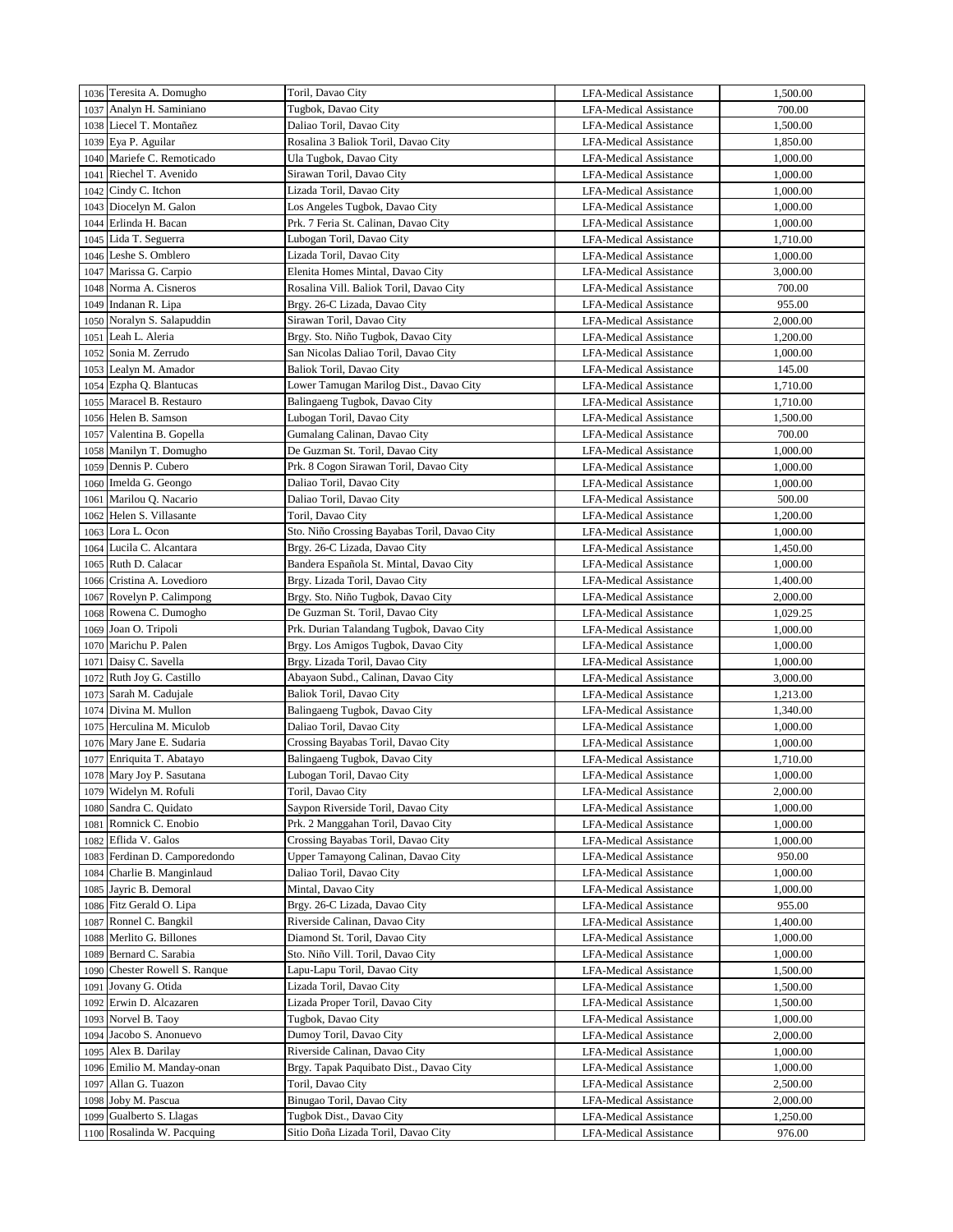|      | 1036 Teresita A. Domugho   | Toril, Davao City                            | <b>LFA-Medical Assistance</b> | 1,500.00 |
|------|----------------------------|----------------------------------------------|-------------------------------|----------|
|      | 1037 Analyn H. Saminiano   | Tugbok, Davao City                           | <b>LFA-Medical Assistance</b> | 700.00   |
|      | 1038 Liecel T. Montañez    | Daliao Toril, Davao City                     | LFA-Medical Assistance        | 1,500.00 |
|      |                            |                                              |                               |          |
| 1039 | Eya P. Aguilar             | Rosalina 3 Baliok Toril, Davao City          | LFA-Medical Assistance        | 1,850.00 |
|      | 1040 Mariefe C. Remoticado | Ula Tugbok, Davao City                       | LFA-Medical Assistance        | 1,000.00 |
| 1041 | Riechel T. Avenido         | Sirawan Toril, Davao City                    | <b>LFA-Medical Assistance</b> | 1,000.00 |
|      | 1042 Cindy C. Itchon       | Lizada Toril, Davao City                     | <b>LFA-Medical Assistance</b> | 1,000.00 |
|      | 1043 Diocelyn M. Galon     | Los Angeles Tugbok, Davao City               | LFA-Medical Assistance        | 1,000.00 |
|      | 1044 Erlinda H. Bacan      | Prk. 7 Feria St. Calinan, Davao City         | <b>LFA-Medical Assistance</b> | 1,000.00 |
|      | 1045 Lida T. Seguerra      | Lubogan Toril, Davao City                    | <b>LFA-Medical Assistance</b> | 1,710.00 |
|      | 1046 Leshe S. Omblero      | Lizada Toril, Davao City                     | <b>LFA-Medical Assistance</b> | 1,000.00 |
| 1047 | Marissa G. Carpio          | Elenita Homes Mintal, Davao City             | <b>LFA-Medical Assistance</b> | 3,000.00 |
|      | 1048 Norma A. Cisneros     | Rosalina Vill. Baliok Toril, Davao City      | LFA-Medical Assistance        | 700.00   |
|      | 1049 Indanan R. Lipa       | Brgy. 26-C Lizada, Davao City                | <b>LFA-Medical Assistance</b> | 955.00   |
|      | 1050 Noralyn S. Salapuddin | Sirawan Toril, Davao City                    | <b>LFA-Medical Assistance</b> | 2,000.00 |
| 1051 | Leah L. Aleria             | Brgy. Sto. Niño Tugbok, Davao City           | <b>LFA-Medical Assistance</b> | 1,200.00 |
|      | 1052 Sonia M. Zerrudo      |                                              |                               | 1,000.00 |
|      |                            | San Nicolas Daliao Toril, Davao City         | LFA-Medical Assistance        |          |
|      | 1053 Lealyn M. Amador      | Baliok Toril, Davao City                     | <b>LFA-Medical Assistance</b> | 145.00   |
| 1054 | Ezpha Q. Blantucas         | Lower Tamugan Marilog Dist., Davao City      | LFA-Medical Assistance        | 1,710.00 |
|      | 1055 Maracel B. Restauro   | Balingaeng Tugbok, Davao City                | <b>LFA-Medical Assistance</b> | 1,710.00 |
|      | 1056 Helen B. Samson       | Lubogan Toril, Davao City                    | LFA-Medical Assistance        | 1,500.00 |
|      | 1057 Valentina B. Gopella  | Gumalang Calinan, Davao City                 | LFA-Medical Assistance        | 700.00   |
|      | 1058 Manilyn T. Domugho    | De Guzman St. Toril, Davao City              | LFA-Medical Assistance        | 1,000.00 |
|      | 1059 Dennis P. Cubero      | Prk. 8 Cogon Sirawan Toril, Davao City       | LFA-Medical Assistance        | 1,000.00 |
|      | 1060 Imelda G. Geongo      | Daliao Toril, Davao City                     | LFA-Medical Assistance        | 1,000.00 |
| 1061 | Marilou Q. Nacario         | Daliao Toril, Davao City                     | <b>LFA-Medical Assistance</b> | 500.00   |
| 1062 | Helen S. Villasante        | Toril, Davao City                            | LFA-Medical Assistance        | 1,200.00 |
| 1063 | Lora L. Ocon               | Sto. Niño Crossing Bayabas Toril, Davao City | <b>LFA-Medical Assistance</b> | 1,000.00 |
|      | 1064 Lucila C. Alcantara   | Brgy. 26-C Lizada, Davao City                | <b>LFA-Medical Assistance</b> | 1,450.00 |
|      | 1065 Ruth D. Calacar       |                                              | <b>LFA-Medical Assistance</b> | 1,000.00 |
|      |                            | Bandera Española St. Mintal, Davao City      |                               |          |
|      | 1066 Cristina A. Lovedioro | Brgy. Lizada Toril, Davao City               | LFA-Medical Assistance        | 1,400.00 |
|      | 1067 Rovelyn P. Calimpong  | Brgy. Sto. Niño Tugbok, Davao City           | <b>LFA-Medical Assistance</b> | 2,000.00 |
|      | 1068 Rowena C. Dumogho     | De Guzman St. Toril, Davao City              | <b>LFA-Medical Assistance</b> | 1,029.25 |
|      | 1069 Joan O. Tripoli       | Prk. Durian Talandang Tugbok, Davao City     | <b>LFA-Medical Assistance</b> | 1,000.00 |
| 1070 | Marichu P. Palen           | Brgy. Los Amigos Tugbok, Davao City          | <b>LFA-Medical Assistance</b> | 1,000.00 |
| 1071 | Daisy C. Savella           | Brgy. Lizada Toril, Davao City               | <b>LFA-Medical Assistance</b> | 1,000.00 |
| 1072 | Ruth Joy G. Castillo       | Abayaon Subd., Calinan, Davao City           | <b>LFA-Medical Assistance</b> | 3,000.00 |
| 1073 | Sarah M. Cadujale          | Baliok Toril, Davao City                     | <b>LFA-Medical Assistance</b> | 1,213.00 |
| 1074 | Divina M. Mullon           | Balingaeng Tugbok, Davao City                | <b>LFA-Medical Assistance</b> | 1,340.00 |
|      | 1075 Herculina M. Miculob  | Daliao Toril, Davao City                     | <b>LFA-Medical Assistance</b> | 1,000.00 |
|      | 1076 Mary Jane E. Sudaria  | Crossing Bayabas Toril, Davao City           | <b>LFA-Medical Assistance</b> | 1,000.00 |
|      | 1077 Enriquita T. Abatayo  | Balingaeng Tugbok, Davao City                | <b>LFA-Medical Assistance</b> | 1,710.00 |
|      | 1078 Mary Joy P. Sasutana  | Lubogan Toril, Davao City                    | <b>LFA-Medical Assistance</b> | 1,000.00 |
|      | 1079 Widelyn M. Rofuli     | Toril, Davao City                            | LFA-Medical Assistance        | 2,000.00 |
|      | Sandra C. Quidato          | Saypon Riverside Toril, Davao City           | <b>LFA-Medical Assistance</b> | 1,000.00 |
| 1080 |                            |                                              |                               |          |
| 1081 | Romnick C. Enobio          | Prk. 2 Manggahan Toril, Davao City           | LFA-Medical Assistance        | 1,000.00 |
| 1082 | Eflida V. Galos            | Crossing Bayabas Toril, Davao City           | <b>LFA-Medical Assistance</b> | 1,000.00 |
| 1083 | Ferdinan D. Camporedondo   | Upper Tamayong Calinan, Davao City           | LFA-Medical Assistance        | 950.00   |
| 1084 | Charlie B. Manginlaud      | Daliao Toril, Davao City                     | <b>LFA-Medical Assistance</b> | 1,000.00 |
| 1085 | Jayric B. Demoral          | Mintal, Davao City                           | <b>LFA-Medical Assistance</b> | 1,000.00 |
| 1086 | Fitz Gerald O. Lipa        | Brgy. 26-C Lizada, Davao City                | <b>LFA-Medical Assistance</b> | 955.00   |
| 1087 | Ronnel C. Bangkil          | Riverside Calinan, Davao City                | LFA-Medical Assistance        | 1,400.00 |
| 1088 | Merlito G. Billones        | Diamond St. Toril, Davao City                | LFA-Medical Assistance        | 1,000.00 |
| 1089 | Bernard C. Sarabia         | Sto. Niño Vill. Toril, Davao City            | <b>LFA-Medical Assistance</b> | 1,000.00 |
| 1090 | Chester Rowell S. Ranque   | Lapu-Lapu Toril, Davao City                  | LFA-Medical Assistance        | 1,500.00 |
| 1091 | Jovany G. Otida            | Lizada Toril, Davao City                     | LFA-Medical Assistance        | 1,500.00 |
| 1092 | Erwin D. Alcazaren         | Lizada Proper Toril, Davao City              | LFA-Medical Assistance        | 1,500.00 |
| 1093 | Norvel B. Taoy             | Tugbok, Davao City                           | LFA-Medical Assistance        | 1,000.00 |
| 1094 | Jacobo S. Anonuevo         | Dumoy Toril, Davao City                      | <b>LFA-Medical Assistance</b> | 2,000.00 |
|      | Alex B. Darilay            | Riverside Calinan, Davao City                | <b>LFA-Medical Assistance</b> | 1,000.00 |
| 1095 |                            |                                              |                               |          |
| 1096 | Emilio M. Manday-onan      | Brgy. Tapak Paquibato Dist., Davao City      | LFA-Medical Assistance        | 1,000.00 |
| 1097 | Allan G. Tuazon            | Toril, Davao City                            | LFA-Medical Assistance        | 2,500.00 |
| 1098 | Joby M. Pascua             | Binugao Toril, Davao City                    | LFA-Medical Assistance        | 2,000.00 |
| 1099 | Gualberto S. Llagas        | Tugbok Dist., Davao City                     | LFA-Medical Assistance        | 1,250.00 |
|      | 1100 Rosalinda W. Pacquing | Sitio Doña Lizada Toril, Davao City          | LFA-Medical Assistance        | 976.00   |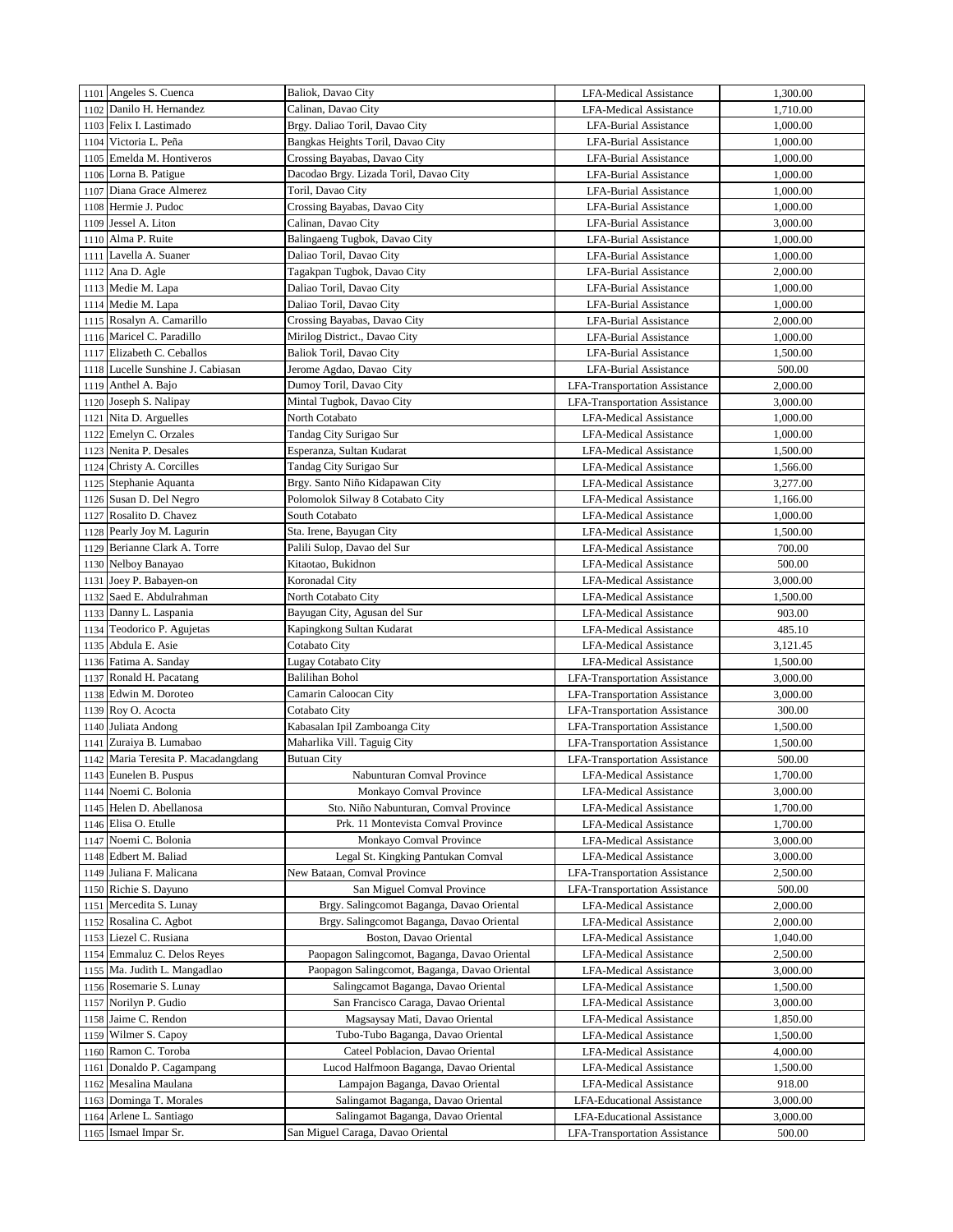|      | 1101 Angeles S. Cuenca              | Baliok, Davao City                            | <b>LFA-Medical Assistance</b>        | 1,300.00 |
|------|-------------------------------------|-----------------------------------------------|--------------------------------------|----------|
|      | 1102 Danilo H. Hernandez            | Calinan, Davao City                           | <b>LFA-Medical Assistance</b>        | 1,710.00 |
|      | 1103 Felix I. Lastimado             | Brgy. Daliao Toril, Davao City                | LFA-Burial Assistance                | 1,000.00 |
|      | 1104 Victoria L. Peña               | Bangkas Heights Toril, Davao City             | LFA-Burial Assistance                | 1,000.00 |
|      | 1105 Emelda M. Hontiveros           | Crossing Bayabas, Davao City                  | <b>LFA-Burial Assistance</b>         | 1,000.00 |
|      | 1106 Lorna B. Patigue               | Dacodao Brgy. Lizada Toril, Davao City        | <b>LFA-Burial Assistance</b>         | 1,000.00 |
|      | 1107 Diana Grace Almerez            | Toril, Davao City                             | <b>LFA-Burial Assistance</b>         | 1,000.00 |
|      | 1108 Hermie J. Pudoc                | Crossing Bayabas, Davao City                  | LFA-Burial Assistance                | 1,000.00 |
|      | 1109 Jessel A. Liton                | Calinan, Davao City                           | <b>LFA-Burial Assistance</b>         | 3,000.00 |
|      | 1110 Alma P. Ruite                  | Balingaeng Tugbok, Davao City                 | <b>LFA-Burial Assistance</b>         | 1,000.00 |
| 1111 | Lavella A. Suaner                   | Daliao Toril, Davao City                      | <b>LFA-Burial Assistance</b>         | 1,000.00 |
| 1112 | Ana D. Agle                         | Tagakpan Tugbok, Davao City                   | <b>LFA-Burial Assistance</b>         | 2,000.00 |
|      | 1113 Medie M. Lapa                  | Daliao Toril, Davao City                      | <b>LFA-Burial Assistance</b>         | 1,000.00 |
| 1114 | Medie M. Lapa                       | Daliao Toril, Davao City                      | <b>LFA-Burial Assistance</b>         | 1,000.00 |
|      | 1115 Rosalyn A. Camarillo           | Crossing Bayabas, Davao City                  | <b>LFA-Burial Assistance</b>         | 2,000.00 |
| 1116 | Maricel C. Paradillo                | Mirilog District., Davao City                 | <b>LFA-Burial Assistance</b>         | 1,000.00 |
|      | Elizabeth C. Ceballos               |                                               |                                      | 1,500.00 |
| 1117 | 1118 Lucelle Sunshine J. Cabiasan   | Baliok Toril, Davao City                      | LFA-Burial Assistance                | 500.00   |
|      | Anthel A. Bajo                      | Jerome Agdao, Davao City                      | <b>LFA-Burial Assistance</b>         |          |
| 1119 |                                     | Dumoy Toril, Davao City                       | <b>LFA-Transportation Assistance</b> | 2,000.00 |
| 1120 | Joseph S. Nalipay                   | Mintal Tugbok, Davao City                     | <b>LFA-Transportation Assistance</b> | 3,000.00 |
| 1121 | Nita D. Arguelles                   | North Cotabato                                | <b>LFA-Medical Assistance</b>        | 1,000.00 |
| 1122 | Emelyn C. Orzales                   | Tandag City Surigao Sur                       | LFA-Medical Assistance               | 1,000.00 |
| 1123 | Nenita P. Desales                   | Esperanza, Sultan Kudarat                     | <b>LFA-Medical Assistance</b>        | 1,500.00 |
| 1124 | Christy A. Corcilles                | Tandag City Surigao Sur                       | <b>LFA-Medical Assistance</b>        | 1,566.00 |
| 1125 | Stephanie Aquanta                   | Brgy. Santo Niño Kidapawan City               | <b>LFA-Medical Assistance</b>        | 3,277.00 |
| 1126 | Susan D. Del Negro                  | Polomolok Silway 8 Cotabato City              | <b>LFA-Medical Assistance</b>        | 1,166.00 |
| 1127 | Rosalito D. Chavez                  | South Cotabato                                | <b>LFA-Medical Assistance</b>        | 1,000.00 |
|      | 1128 Pearly Joy M. Lagurin          | Sta. Irene, Bayugan City                      | <b>LFA-Medical Assistance</b>        | 1,500.00 |
| 1129 | Berianne Clark A. Torre             | Palili Sulop, Davao del Sur                   | <b>LFA-Medical Assistance</b>        | 700.00   |
|      | 1130 Nelboy Banayao                 | Kitaotao, Bukidnon                            | <b>LFA-Medical Assistance</b>        | 500.00   |
| 1131 | Joey P. Babayen-on                  | Koronadal City                                | <b>LFA-Medical Assistance</b>        | 3,000.00 |
| 1132 | Saed E. Abdulrahman                 | North Cotabato City                           | <b>LFA-Medical Assistance</b>        | 1,500.00 |
|      | 1133 Danny L. Laspania              | Bayugan City, Agusan del Sur                  | <b>LFA-Medical Assistance</b>        | 903.00   |
|      | 1134 Teodorico P. Agujetas          | Kapingkong Sultan Kudarat                     | <b>LFA-Medical Assistance</b>        | 485.10   |
| 1135 | Abdula E. Asie                      | Cotabato City                                 | <b>LFA-Medical Assistance</b>        | 3,121.45 |
|      | 1136 Fatima A. Sanday               | Lugay Cotabato City                           | <b>LFA-Medical Assistance</b>        | 1,500.00 |
| 1137 | Ronald H. Pacatang                  | <b>Balilihan Bohol</b>                        | <b>LFA-Transportation Assistance</b> | 3,000.00 |
| 1138 | Edwin M. Doroteo                    | Camarin Caloocan City                         | <b>LFA-Transportation Assistance</b> | 3,000.00 |
| 1139 | Roy O. Acocta                       | Cotabato City                                 | <b>LFA-Transportation Assistance</b> | 300.00   |
| 1140 | Juliata Andong                      | Kabasalan Ipil Zamboanga City                 | <b>LFA-Transportation Assistance</b> | 1,500.00 |
| 1141 | Zuraiya B. Lumabao                  | Maharlika Vill. Taguig City                   | <b>LFA-Transportation Assistance</b> | 1,500.00 |
|      | 1142 Maria Teresita P. Macadangdang | <b>Butuan City</b>                            | <b>LFA-Transportation Assistance</b> | 500.00   |
|      | 1143 Eunelen B. Puspus              | Nabunturan Comval Province                    | LFA-Medical Assistance               | 1,700.00 |
| 1144 | Noemi C. Bolonia                    | Monkayo Comval Province                       | <b>LFA-Medical Assistance</b>        | 3,000.00 |
| 1145 | Helen D. Abellanosa                 | Sto. Niño Nabunturan, Comval Province         | <b>LFA-Medical Assistance</b>        | 1,700.00 |
| 1146 | Elisa O. Etulle                     | Prk. 11 Montevista Comval Province            | <b>LFA-Medical Assistance</b>        | 1,700.00 |
| 1147 | Noemi C. Bolonia                    | Monkayo Comval Province                       | <b>LFA-Medical Assistance</b>        | 3,000.00 |
| 1148 | Edbert M. Baliad                    | Legal St. Kingking Pantukan Comval            | <b>LFA-Medical Assistance</b>        | 3,000.00 |
| 1149 | Juliana F. Malicana                 | New Bataan, Comval Province                   | LFA-Transportation Assistance        | 2,500.00 |
| 1150 | Richie S. Dayuno                    | San Miguel Comval Province                    | <b>LFA-Transportation Assistance</b> | 500.00   |
| 1151 | Mercedita S. Lunay                  | Brgy. Salingcomot Baganga, Davao Oriental     | LFA-Medical Assistance               | 2,000.00 |
| 1152 | Rosalina C. Agbot                   | Brgy. Salingcomot Baganga, Davao Oriental     | <b>LFA-Medical Assistance</b>        | 2,000.00 |
| 1153 | Liezel C. Rusiana                   | Boston, Davao Oriental                        | <b>LFA-Medical Assistance</b>        | 1,040.00 |
| 1154 | Emmaluz C. Delos Reyes              | Paopagon Salingcomot, Baganga, Davao Oriental | <b>LFA-Medical Assistance</b>        | 2,500.00 |
| 1155 | Ma. Judith L. Mangadlao             | Paopagon Salingcomot, Baganga, Davao Oriental | <b>LFA-Medical Assistance</b>        | 3,000.00 |
| 1156 | Rosemarie S. Lunay                  | Salingcamot Baganga, Davao Oriental           | <b>LFA-Medical Assistance</b>        | 1,500.00 |
| 1157 | Norilyn P. Gudio                    | San Francisco Caraga, Davao Oriental          | <b>LFA-Medical Assistance</b>        | 3,000.00 |
| 1158 | Jaime C. Rendon                     | Magsaysay Mati, Davao Oriental                | <b>LFA-Medical Assistance</b>        | 1,850.00 |
| 1159 | Wilmer S. Capoy                     | Tubo-Tubo Baganga, Davao Oriental             | <b>LFA-Medical Assistance</b>        | 1,500.00 |
| 1160 | Ramon C. Toroba                     | Cateel Poblacion, Davao Oriental              | LFA-Medical Assistance               | 4,000.00 |
| 1161 | Donaldo P. Cagampang                | Lucod Halfmoon Baganga, Davao Oriental        | <b>LFA-Medical Assistance</b>        | 1,500.00 |
| 1162 | Mesalina Maulana                    | Lampajon Baganga, Davao Oriental              | LFA-Medical Assistance               | 918.00   |
| 1163 | Dominga T. Morales                  | Salingamot Baganga, Davao Oriental            | LFA-Educational Assistance           | 3,000.00 |
| 1164 | Arlene L. Santiago                  | Salingamot Baganga, Davao Oriental            | LFA-Educational Assistance           | 3,000.00 |
| 1165 | Ismael Impar Sr.                    | San Miguel Caraga, Davao Oriental             | <b>LFA-Transportation Assistance</b> | 500.00   |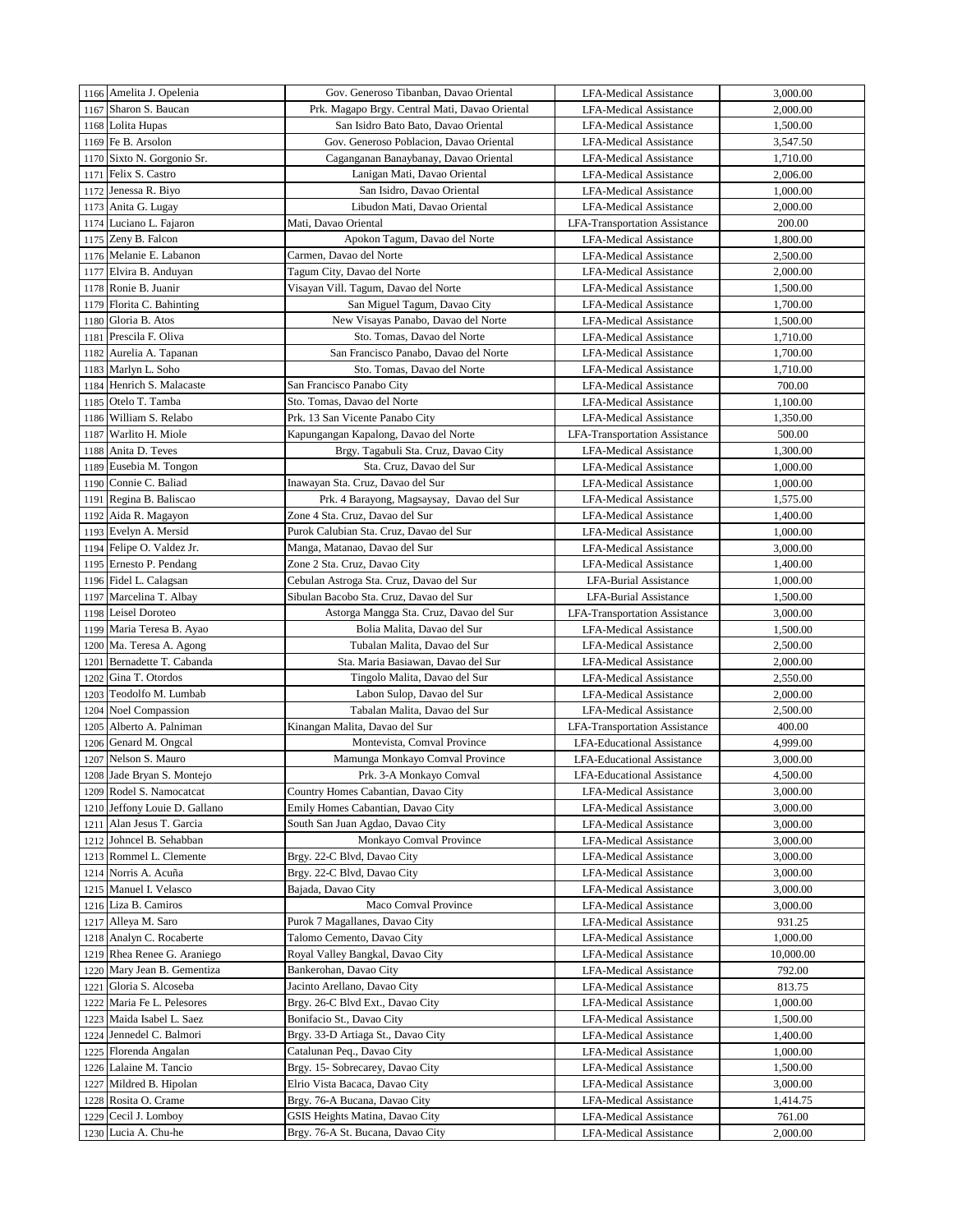|      | 1166 Amelita J. Opelenia                     | Gov. Generoso Tibanban, Davao Oriental         | <b>LFA-Medical Assistance</b>        | 3,000.00  |
|------|----------------------------------------------|------------------------------------------------|--------------------------------------|-----------|
|      | 1167 Sharon S. Baucan                        | Prk. Magapo Brgy. Central Mati, Davao Oriental | <b>LFA-Medical Assistance</b>        | 2,000.00  |
|      | 1168 Lolita Hupas                            | San Isidro Bato Bato, Davao Oriental           | <b>LFA-Medical Assistance</b>        | 1,500.00  |
| 1169 | Fe B. Arsolon                                | Gov. Generoso Poblacion, Davao Oriental        | <b>LFA-Medical Assistance</b>        | 3,547.50  |
|      | 1170 Sixto N. Gorgonio Sr.                   | Caganganan Banaybanay, Davao Oriental          | <b>LFA-Medical Assistance</b>        | 1,710.00  |
| 1171 | Felix S. Castro                              | Lanigan Mati, Davao Oriental                   | <b>LFA-Medical Assistance</b>        | 2,006.00  |
| 1172 | Jenessa R. Biyo                              | San Isidro, Davao Oriental                     | <b>LFA-Medical Assistance</b>        | 1,000.00  |
|      | 1173 Anita G. Lugay                          | Libudon Mati, Davao Oriental                   | <b>LFA-Medical Assistance</b>        | 2,000.00  |
|      | 1174 Luciano L. Fajaron                      | Mati, Davao Oriental                           | <b>LFA-Transportation Assistance</b> | 200.00    |
|      | 1175 Zeny B. Falcon                          | Apokon Tagum, Davao del Norte                  | LFA-Medical Assistance               | 1,800.00  |
| 1176 | Melanie E. Labanon                           | Carmen, Davao del Norte                        | <b>LFA-Medical Assistance</b>        | 2,500.00  |
|      | 1177 Elvira B. Anduyan                       | Tagum City, Davao del Norte                    | <b>LFA-Medical Assistance</b>        | 2,000.00  |
|      | 1178 Ronie B. Juanir                         | Visayan Vill. Tagum, Davao del Norte           | <b>LFA-Medical Assistance</b>        | 1,500.00  |
|      | 1179 Florita C. Bahinting                    | San Miguel Tagum, Davao City                   | <b>LFA-Medical Assistance</b>        | 1,700.00  |
| 1180 | Gloria B. Atos                               | New Visayas Panabo, Davao del Norte            | <b>LFA-Medical Assistance</b>        | 1,500.00  |
|      | 1181 Prescila F. Oliva                       | Sto. Tomas, Davao del Norte                    | <b>LFA-Medical Assistance</b>        | 1,710.00  |
|      | 1182 Aurelia A. Tapanan                      | San Francisco Panabo, Davao del Norte          | <b>LFA-Medical Assistance</b>        | 1,700.00  |
|      | 1183 Marlyn L. Soho                          | Sto. Tomas, Davao del Norte                    | <b>LFA-Medical Assistance</b>        | 1,710.00  |
| 1184 | Henrich S. Malacaste                         | San Francisco Panabo City                      | <b>LFA-Medical Assistance</b>        | 700.00    |
|      | 1185 Otelo T. Tamba                          | Sto. Tomas, Davao del Norte                    |                                      |           |
|      | 1186 William S. Relabo                       | Prk. 13 San Vicente Panabo City                | <b>LFA-Medical Assistance</b>        | 1,100.00  |
|      |                                              |                                                | <b>LFA-Medical Assistance</b>        | 1,350.00  |
|      | 1187 Warlito H. Miole<br>1188 Anita D. Teves | Kapungangan Kapalong, Davao del Norte          | <b>LFA-Transportation Assistance</b> | 500.00    |
|      |                                              | Brgy. Tagabuli Sta. Cruz, Davao City           | <b>LFA-Medical Assistance</b>        | 1,300.00  |
|      | 1189 Eusebia M. Tongon                       | Sta. Cruz, Davao del Sur                       | <b>LFA-Medical Assistance</b>        | 1,000.00  |
| 1190 | Connie C. Baliad                             | Inawayan Sta. Cruz, Davao del Sur              | <b>LFA-Medical Assistance</b>        | 1,000.00  |
| 1191 | Regina B. Baliscao                           | Prk. 4 Barayong, Magsaysay, Davao del Sur      | <b>LFA-Medical Assistance</b>        | 1,575.00  |
| 1192 | Aida R. Magayon                              | Zone 4 Sta. Cruz, Davao del Sur                | <b>LFA-Medical Assistance</b>        | 1,400.00  |
| 1193 | Evelyn A. Mersid                             | Purok Calubian Sta. Cruz, Davao del Sur        | <b>LFA-Medical Assistance</b>        | 1,000.00  |
| 1194 | Felipe O. Valdez Jr.                         | Manga, Matanao, Davao del Sur                  | <b>LFA-Medical Assistance</b>        | 3,000.00  |
| 1195 | Ernesto P. Pendang                           | Zone 2 Sta. Cruz, Davao City                   | <b>LFA-Medical Assistance</b>        | 1,400.00  |
| 1196 | Fidel L. Calagsan                            | Cebulan Astroga Sta. Cruz, Davao del Sur       | <b>LFA-Burial Assistance</b>         | 1,000.00  |
|      | 1197 Marcelina T. Albay                      | Sibulan Bacobo Sta. Cruz, Davao del Sur        | LFA-Burial Assistance                | 1,500.00  |
|      | 1198 Leisel Doroteo                          | Astorga Mangga Sta. Cruz, Davao del Sur        | <b>LFA-Transportation Assistance</b> | 3,000.00  |
|      | 1199 Maria Teresa B. Ayao                    | Bolia Malita, Davao del Sur                    | <b>LFA-Medical Assistance</b>        | 1,500.00  |
| 1200 | Ma. Teresa A. Agong                          | Tubalan Malita, Davao del Sur                  | <b>LFA-Medical Assistance</b>        | 2,500.00  |
|      | 1201 Bernadette T. Cabanda                   | Sta. Maria Basiawan, Davao del Sur             | LFA-Medical Assistance               | 2,000.00  |
| 1202 | Gina T. Otordos                              | Tingolo Malita, Davao del Sur                  | <b>LFA-Medical Assistance</b>        | 2,550.00  |
| 1203 | Teodolfo M. Lumbab                           | Labon Sulop, Davao del Sur                     | <b>LFA-Medical Assistance</b>        | 2,000.00  |
| 1204 | <b>Noel Compassion</b>                       | Tabalan Malita, Davao del Sur                  | <b>LFA-Medical Assistance</b>        | 2,500.00  |
|      | 1205 Alberto A. Palniman                     | Kinangan Malita, Davao del Sur                 | <b>LFA-Transportation Assistance</b> | 400.00    |
| 1206 | Genard M. Ongcal                             | Montevista, Comval Province                    | <b>LFA-Educational Assistance</b>    | 4,999.00  |
| 1207 | Nelson S. Mauro                              | Mamunga Monkayo Comval Province                | <b>LFA-Educational Assistance</b>    | 3,000.00  |
|      | 1208 Jade Brvan S. Montejo                   | Prk. 3-A Monkayo Comval                        | <b>LFA-Educational Assistance</b>    | 4,500.00  |
|      | 1209 Rodel S. Namocatcat                     | Country Homes Cabantian, Davao City            | <b>LFA-Medical Assistance</b>        | 3,000.00  |
| 1210 | Jeffony Louie D. Gallano                     | Emily Homes Cabantian, Davao City              | <b>LFA-Medical Assistance</b>        | 3,000.00  |
| 1211 | Alan Jesus T. Garcia                         | South San Juan Agdao, Davao City               | LFA-Medical Assistance               | 3,000.00  |
| 1212 | Johncel B. Sehabban                          | Monkayo Comval Province                        | <b>LFA-Medical Assistance</b>        | 3,000.00  |
| 1213 | Rommel L. Clemente                           | Brgy. 22-C Blvd, Davao City                    | <b>LFA-Medical Assistance</b>        | 3,000.00  |
| 1214 | Norris A. Acuña                              | Brgy. 22-C Blvd, Davao City                    | LFA-Medical Assistance               | 3,000.00  |
| 1215 | Manuel I. Velasco                            | Bajada, Davao City                             | LFA-Medical Assistance               | 3,000.00  |
| 1216 | Liza B. Camiros                              | Maco Comval Province                           | <b>LFA-Medical Assistance</b>        | 3,000.00  |
| 1217 | Alleya M. Saro                               | Purok 7 Magallanes, Davao City                 | <b>LFA-Medical Assistance</b>        | 931.25    |
| 1218 | Analyn C. Rocaberte                          | Talomo Cemento, Davao City                     | LFA-Medical Assistance               | 1,000.00  |
| 1219 | Rhea Renee G. Araniego                       | Royal Valley Bangkal, Davao City               | LFA-Medical Assistance               | 10,000.00 |
| 1220 | Mary Jean B. Gementiza                       | Bankerohan, Davao City                         | LFA-Medical Assistance               | 792.00    |
| 1221 | Gloria S. Alcoseba                           | Jacinto Arellano, Davao City                   | LFA-Medical Assistance               | 813.75    |
| 1222 | Maria Fe L. Pelesores                        | Brgy. 26-C Blvd Ext., Davao City               | LFA-Medical Assistance               | 1,000.00  |
| 1223 | Maida Isabel L. Saez                         | Bonifacio St., Davao City                      | LFA-Medical Assistance               | 1,500.00  |
| 1224 | Jennedel C. Balmori                          | Brgy. 33-D Artiaga St., Davao City             | LFA-Medical Assistance               | 1,400.00  |
| 1225 | Florenda Angalan                             | Catalunan Peq., Davao City                     | <b>LFA-Medical Assistance</b>        | 1,000.00  |
| 1226 | Lalaine M. Tancio                            | Brgy. 15- Sobrecarey, Davao City               | LFA-Medical Assistance               | 1,500.00  |
| 1227 | Mildred B. Hipolan                           | Elrio Vista Bacaca, Davao City                 | LFA-Medical Assistance               | 3,000.00  |
| 1228 | Rosita O. Crame                              | Brgy. 76-A Bucana, Davao City                  | LFA-Medical Assistance               | 1,414.75  |
| 1229 | Cecil J. Lomboy                              | GSIS Heights Matina, Davao City                | LFA-Medical Assistance               | 761.00    |
|      | 1230 Lucia A. Chu-he                         | Brgy. 76-A St. Bucana, Davao City              | <b>LFA-Medical Assistance</b>        | 2,000.00  |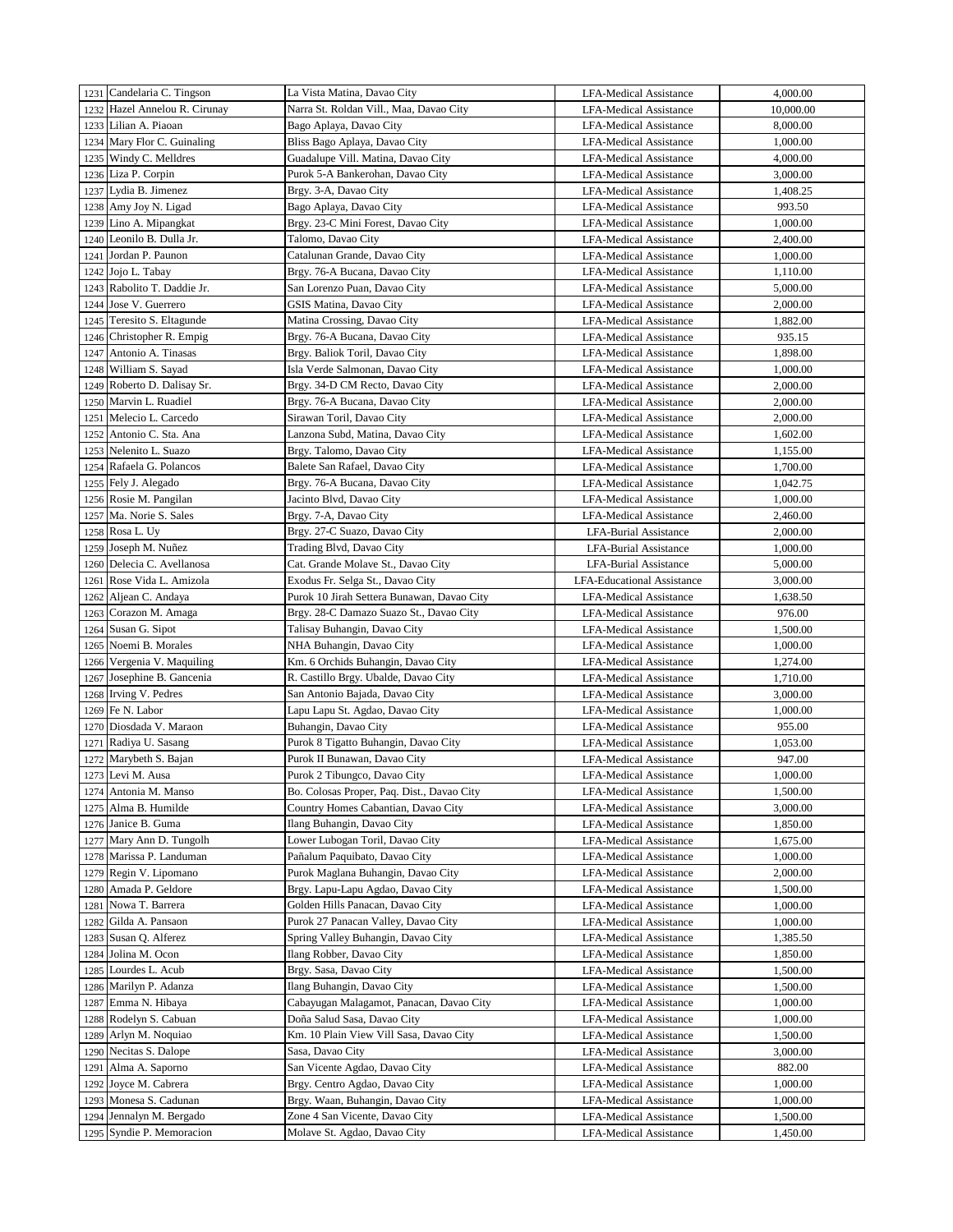|      | 1231 Candelaria C. Tingson  | La Vista Matina, Davao City                | <b>LFA-Medical Assistance</b>     | 4,000.00  |
|------|-----------------------------|--------------------------------------------|-----------------------------------|-----------|
| 1232 | Hazel Annelou R. Cirunay    | Narra St. Roldan Vill., Maa, Davao City    | <b>LFA-Medical Assistance</b>     | 10,000.00 |
| 1233 | Lilian A. Piaoan            | Bago Aplaya, Davao City                    | <b>LFA-Medical Assistance</b>     | 8,000.00  |
| 1234 | Mary Flor C. Guinaling      | Bliss Bago Aplaya, Davao City              | <b>LFA-Medical Assistance</b>     | 1,000.00  |
| 1235 | Windy C. Melldres           | Guadalupe Vill. Matina, Davao City         | <b>LFA-Medical Assistance</b>     | 4,000.00  |
| 1236 | Liza P. Corpin              | Purok 5-A Bankerohan, Davao City           | <b>LFA-Medical Assistance</b>     | 3,000.00  |
| 1237 | Lydia B. Jimenez            | Brgy. 3-A, Davao City                      | <b>LFA-Medical Assistance</b>     | 1,408.25  |
| 1238 | Amy Joy N. Ligad            | Bago Aplaya, Davao City                    | LFA-Medical Assistance            | 993.50    |
| 1239 | Lino A. Mipangkat           | Brgy. 23-C Mini Forest, Davao City         | <b>LFA-Medical Assistance</b>     | 1,000.00  |
| 1240 | Leonilo B. Dulla Jr.        | Talomo, Davao City                         | LFA-Medical Assistance            | 2,400.00  |
| 1241 | Jordan P. Paunon            | Catalunan Grande, Davao City               | <b>LFA-Medical Assistance</b>     | 1,000.00  |
| 1242 | Jojo L. Tabay               | Brgy. 76-A Bucana, Davao City              | <b>LFA-Medical Assistance</b>     | 1,110.00  |
|      | 1243 Rabolito T. Daddie Jr. | San Lorenzo Puan, Davao City               | <b>LFA-Medical Assistance</b>     | 5,000.00  |
| 1244 | Jose V. Guerrero            | GSIS Matina, Davao City                    | LFA-Medical Assistance            | 2,000.00  |
|      | 1245 Teresito S. Eltagunde  | Matina Crossing, Davao City                | LFA-Medical Assistance            | 1,882.00  |
| 1246 | Christopher R. Empig        | Brgy. 76-A Bucana, Davao City              | <b>LFA-Medical Assistance</b>     | 935.15    |
| 1247 | Antonio A. Tinasas          | Brgy. Baliok Toril, Davao City             | <b>LFA-Medical Assistance</b>     | 1,898.00  |
|      | 1248 William S. Sayad       | Isla Verde Salmonan, Davao City            | <b>LFA-Medical Assistance</b>     | 1,000.00  |
| 1249 | Roberto D. Dalisay Sr.      | Brgy. 34-D CM Recto, Davao City            | <b>LFA-Medical Assistance</b>     | 2,000.00  |
|      | 1250 Marvin L. Ruadiel      | Brgy. 76-A Bucana, Davao City              | <b>LFA-Medical Assistance</b>     | 2,000.00  |
| 1251 | Melecio L. Carcedo          | Sirawan Toril, Davao City                  | <b>LFA-Medical Assistance</b>     | 2,000.00  |
| 1252 | Antonio C. Sta. Ana         | Lanzona Subd, Matina, Davao City           | <b>LFA-Medical Assistance</b>     | 1,602.00  |
| 1253 | Nelenito L. Suazo           | Brgy. Talomo, Davao City                   | <b>LFA-Medical Assistance</b>     | 1,155.00  |
| 1254 | Rafaela G. Polancos         | Balete San Rafael, Davao City              | <b>LFA-Medical Assistance</b>     | 1,700.00  |
| 1255 | Fely J. Alegado             | Brgy. 76-A Bucana, Davao City              | <b>LFA-Medical Assistance</b>     | 1,042.75  |
|      | 1256 Rosie M. Pangilan      | Jacinto Blvd, Davao City                   | <b>LFA-Medical Assistance</b>     | 1,000.00  |
| 1257 | Ma. Norie S. Sales          | Brgy. 7-A, Davao City                      | <b>LFA-Medical Assistance</b>     | 2,460.00  |
|      | 1258 Rosa L. Uy             | Brgy. 27-C Suazo, Davao City               | <b>LFA-Burial Assistance</b>      | 2,000.00  |
| 1259 | Joseph M. Nuñez             | Trading Blvd, Davao City                   | <b>LFA-Burial Assistance</b>      | 1,000.00  |
| 1260 | Delecia C. Avellanosa       | Cat. Grande Molave St., Davao City         | <b>LFA-Burial Assistance</b>      | 5,000.00  |
| 1261 | Rose Vida L. Amizola        | Exodus Fr. Selga St., Davao City           | <b>LFA-Educational Assistance</b> | 3,000.00  |
| 1262 | Aljean C. Andaya            | Purok 10 Jirah Settera Bunawan, Davao City | <b>LFA-Medical Assistance</b>     | 1,638.50  |
| 1263 | Corazon M. Amaga            | Brgy. 28-C Damazo Suazo St., Davao City    | <b>LFA-Medical Assistance</b>     | 976.00    |
| 1264 | Susan G. Sipot              | Talisay Buhangin, Davao City               | <b>LFA-Medical Assistance</b>     | 1,500.00  |
| 1265 | Noemi B. Morales            | NHA Buhangin, Davao City                   | LFA-Medical Assistance            | 1,000.00  |
|      | 1266 Vergenia V. Maquiling  | Km. 6 Orchids Buhangin, Davao City         | LFA-Medical Assistance            | 1,274.00  |
| 1267 | Josephine B. Gancenia       | R. Castillo Brgy. Ubalde, Davao City       | LFA-Medical Assistance            | 1,710.00  |
| 1268 | Irving V. Pedres            | San Antonio Bajada, Davao City             | LFA-Medical Assistance            | 3,000.00  |
| 1269 | Fe N. Labor                 | Lapu Lapu St. Agdao, Davao City            | <b>LFA-Medical Assistance</b>     | 1,000.00  |
| 1270 | Diosdada V. Maraon          | Buhangin, Davao City                       | <b>LFA-Medical Assistance</b>     | 955.00    |
| 1271 | Radiya U. Sasang            | Purok 8 Tigatto Buhangin, Davao City       | <b>LFA-Medical Assistance</b>     | 1,053.00  |
| 1272 | Marybeth S. Bajan           | Purok II Bunawan, Davao City               | LFA-Medical Assistance            | 947.00    |
|      | 1273 Levi M. Ausa           | Purok 2 Tibungco, Davao City               | <b>LFA-Medical Assistance</b>     | 1,000.00  |
| 1274 | Antonia M. Manso            | Bo. Colosas Proper, Paq. Dist., Davao City | <b>LFA-Medical Assistance</b>     | 1,500.00  |
| 1275 | Alma B. Humilde             | Country Homes Cabantian, Davao City        | <b>LFA-Medical Assistance</b>     | 3,000.00  |
| 1276 | Janice B. Guma              | Ilang Buhangin, Davao City                 | LFA-Medical Assistance            | 1,850.00  |
| 1277 | Mary Ann D. Tungolh         | Lower Lubogan Toril, Davao City            | LFA-Medical Assistance            | 1,675.00  |
| 1278 | Marissa P. Landuman         | Pañalum Paquibato, Davao City              | <b>LFA-Medical Assistance</b>     | 1,000.00  |
| 1279 | Regin V. Lipomano           | Purok Maglana Buhangin, Davao City         | <b>LFA-Medical Assistance</b>     | 2,000.00  |
| 1280 | Amada P. Geldore            | Brgy. Lapu-Lapu Agdao, Davao City          | LFA-Medical Assistance            | 1,500.00  |
| 1281 | Nowa T. Barrera             | Golden Hills Panacan, Davao City           | <b>LFA-Medical Assistance</b>     | 1,000.00  |
| 1282 | Gilda A. Pansaon            | Purok 27 Panacan Valley, Davao City        | LFA-Medical Assistance            | 1,000.00  |
| 1283 | Susan Q. Alferez            | Spring Valley Buhangin, Davao City         | <b>LFA-Medical Assistance</b>     | 1,385.50  |
| 1284 | Jolina M. Ocon              | Ilang Robber, Davao City                   | <b>LFA-Medical Assistance</b>     | 1,850.00  |
| 1285 | Lourdes L. Acub             | Brgy. Sasa, Davao City                     | LFA-Medical Assistance            | 1,500.00  |
| 1286 | Marilyn P. Adanza           | Ilang Buhangin, Davao City                 | LFA-Medical Assistance            | 1,500.00  |
| 1287 | Emma N. Hibaya              | Cabayugan Malagamot, Panacan, Davao City   | LFA-Medical Assistance            | 1,000.00  |
| 1288 | Rodelyn S. Cabuan           | Doña Salud Sasa, Davao City                | LFA-Medical Assistance            | 1,000.00  |
| 1289 | Arlyn M. Noquiao            | Km. 10 Plain View Vill Sasa, Davao City    | LFA-Medical Assistance            | 1,500.00  |
| 1290 | Necitas S. Dalope           | Sasa, Davao City                           | <b>LFA-Medical Assistance</b>     | 3,000.00  |
| 1291 | Alma A. Saporno             | San Vicente Agdao, Davao City              | LFA-Medical Assistance            | 882.00    |
| 1292 | Joyce M. Cabrera            | Brgy. Centro Agdao, Davao City             | LFA-Medical Assistance            | 1,000.00  |
| 1293 | Monesa S. Cadunan           | Brgy. Waan, Buhangin, Davao City           | LFA-Medical Assistance            | 1,000.00  |
| 1294 | Jennalyn M. Bergado         | Zone 4 San Vicente, Davao City             | LFA-Medical Assistance            | 1,500.00  |
| 1295 | Syndie P. Memoracion        | Molave St. Agdao, Davao City               | <b>LFA-Medical Assistance</b>     | 1,450.00  |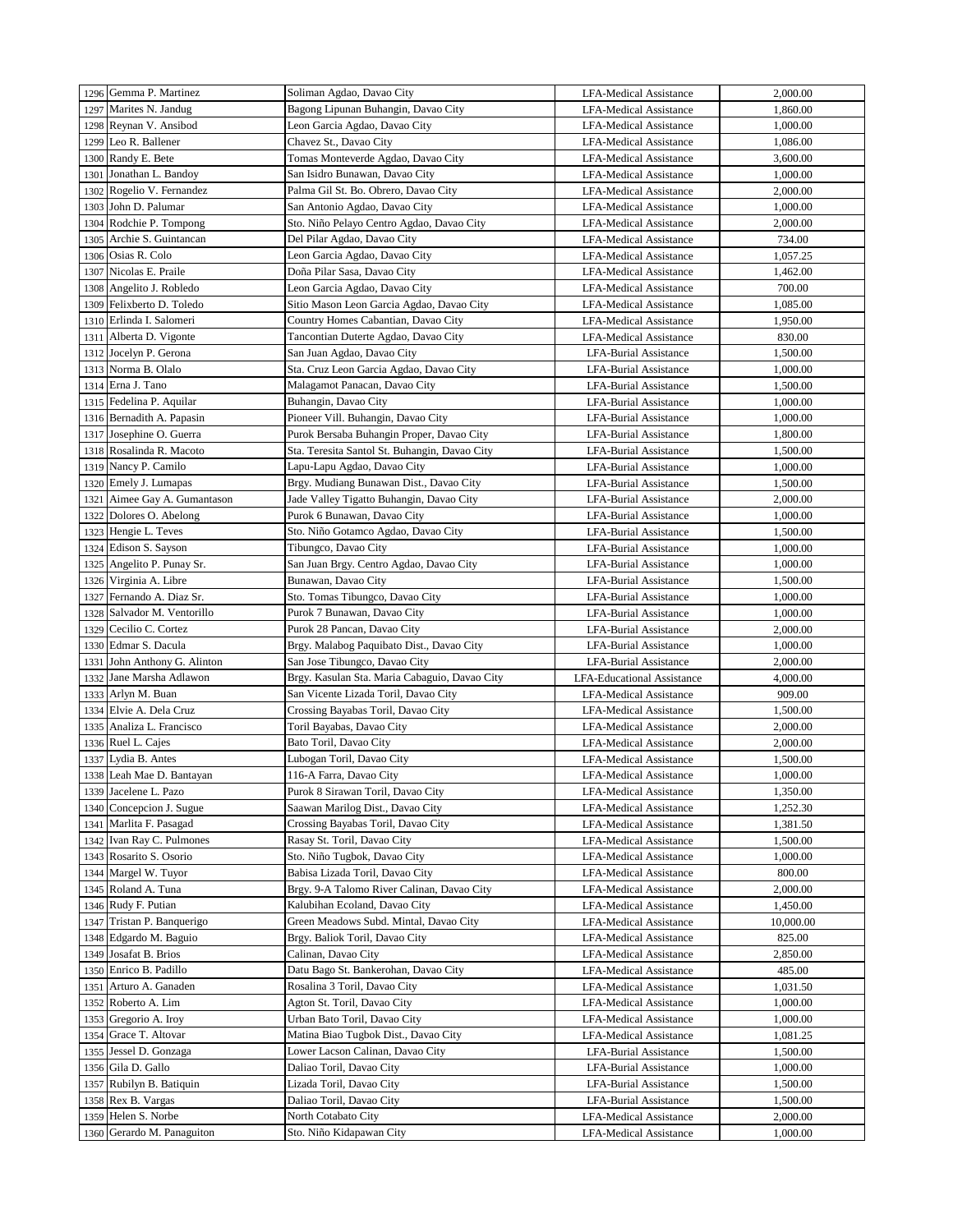|      | 1296 Gemma P. Martinez      | Soliman Agdao, Davao City                                    | <b>LFA-Medical Assistance</b>                           | 2,000.00  |
|------|-----------------------------|--------------------------------------------------------------|---------------------------------------------------------|-----------|
| 1297 | Marites N. Jandug           | Bagong Lipunan Buhangin, Davao City                          | <b>LFA-Medical Assistance</b>                           | 1,860.00  |
|      | 1298 Reynan V. Ansibod      | Leon Garcia Agdao, Davao City                                | <b>LFA-Medical Assistance</b>                           | 1,000.00  |
| 1299 | Leo R. Ballener             | Chavez St., Davao City                                       | <b>LFA-Medical Assistance</b>                           | 1,086.00  |
|      | 1300 Randy E. Bete          | Tomas Monteverde Agdao, Davao City                           | <b>LFA-Medical Assistance</b>                           | 3,600.00  |
| 1301 | Jonathan L. Bandoy          | San Isidro Bunawan, Davao City                               | <b>LFA-Medical Assistance</b>                           | 1,000.00  |
| 1302 | Rogelio V. Fernandez        | Palma Gil St. Bo. Obrero, Davao City                         | <b>LFA-Medical Assistance</b>                           | 2,000.00  |
| 1303 | John D. Palumar             | San Antonio Agdao, Davao City                                | <b>LFA-Medical Assistance</b>                           | 1,000.00  |
|      | 1304 Rodchie P. Tompong     | Sto. Niño Pelayo Centro Agdao, Davao City                    | <b>LFA-Medical Assistance</b>                           | 2,000.00  |
| 1305 | Archie S. Guintancan        | Del Pilar Agdao, Davao City                                  | <b>LFA-Medical Assistance</b>                           | 734.00    |
| 1306 | Osias R. Colo               | Leon Garcia Agdao, Davao City                                | <b>LFA-Medical Assistance</b>                           | 1,057.25  |
| 1307 | Nicolas E. Praile           | Doña Pilar Sasa, Davao City                                  | <b>LFA-Medical Assistance</b>                           | 1,462.00  |
|      | Angelito J. Robledo         | Leon Garcia Agdao, Davao City                                |                                                         | 700.00    |
| 1308 | Felixberto D. Toledo        | Sitio Mason Leon Garcia Agdao, Davao City                    | LFA-Medical Assistance<br><b>LFA-Medical Assistance</b> |           |
| 1309 | 1310 Erlinda I. Salomeri    |                                                              |                                                         | 1,085.00  |
|      |                             | Country Homes Cabantian, Davao City                          | <b>LFA-Medical Assistance</b>                           | 1,950.00  |
| 1311 | Alberta D. Vigonte          | Tancontian Duterte Agdao, Davao City                         | <b>LFA-Medical Assistance</b>                           | 830.00    |
|      | 1312 Jocelyn P. Gerona      | San Juan Agdao, Davao City                                   | LFA-Burial Assistance                                   | 1,500.00  |
| 1313 | Norma B. Olalo              | Sta. Cruz Leon Garcia Agdao, Davao City                      | LFA-Burial Assistance                                   | 1,000.00  |
| 1314 | Erna J. Tano                | Malagamot Panacan, Davao City                                | <b>LFA-Burial Assistance</b>                            | 1,500.00  |
|      | 1315 Fedelina P. Aquilar    | Buhangin, Davao City                                         | <b>LFA-Burial Assistance</b>                            | 1,000.00  |
|      | 1316 Bernadith A. Papasin   | Pioneer Vill. Buhangin, Davao City                           | <b>LFA-Burial Assistance</b>                            | 1,000.00  |
|      | 1317 Josephine O. Guerra    | Purok Bersaba Buhangin Proper, Davao City                    | <b>LFA-Burial Assistance</b>                            | 1,800.00  |
| 1318 | Rosalinda R. Macoto         | Sta. Teresita Santol St. Buhangin, Davao City                | <b>LFA-Burial Assistance</b>                            | 1,500.00  |
| 1319 | Nancy P. Camilo             | Lapu-Lapu Agdao, Davao City                                  | <b>LFA-Burial Assistance</b>                            | 1,000.00  |
|      | 1320 Emely J. Lumapas       | Brgy. Mudiang Bunawan Dist., Davao City                      | <b>LFA-Burial Assistance</b>                            | 1,500.00  |
| 1321 | Aimee Gay A. Gumantason     | Jade Valley Tigatto Buhangin, Davao City                     | <b>LFA-Burial Assistance</b>                            | 2,000.00  |
| 1322 | Dolores O. Abelong          | Purok 6 Bunawan, Davao City                                  | <b>LFA-Burial Assistance</b>                            | 1,000.00  |
|      | 1323 Hengie L. Teves        | Sto. Niño Gotamco Agdao, Davao City                          | <b>LFA-Burial Assistance</b>                            | 1,500.00  |
| 1324 | Edison S. Sayson            | Tibungco, Davao City                                         | <b>LFA-Burial Assistance</b>                            | 1,000.00  |
| 1325 | Angelito P. Punay Sr.       | San Juan Brgy. Centro Agdao, Davao City                      | <b>LFA-Burial Assistance</b>                            | 1,000.00  |
| 1326 | Virginia A. Libre           | Bunawan, Davao City                                          | <b>LFA-Burial Assistance</b>                            | 1,500.00  |
| 1327 | Fernando A. Diaz Sr.        | Sto. Tomas Tibungco, Davao City                              | <b>LFA-Burial Assistance</b>                            | 1,000.00  |
|      | 1328 Salvador M. Ventorillo | Purok 7 Bunawan, Davao City                                  | <b>LFA-Burial Assistance</b>                            | 1,000.00  |
| 1329 | Cecilio C. Cortez           | Purok 28 Pancan, Davao City                                  | <b>LFA-Burial Assistance</b>                            | 2,000.00  |
| 1330 | Edmar S. Dacula             | Brgy. Malabog Paquibato Dist., Davao City                    | <b>LFA-Burial Assistance</b>                            | 1,000.00  |
| 1331 | John Anthony G. Alinton     | San Jose Tibungco, Davao City                                | <b>LFA-Burial Assistance</b>                            | 2,000.00  |
| 1332 | Jane Marsha Adlawon         | Brgy. Kasulan Sta. Maria Cabaguio, Davao City                | <b>LFA-Educational Assistance</b>                       | 4,000.00  |
|      | 1333 Arlyn M. Buan          | San Vicente Lizada Toril, Davao City                         | <b>LFA-Medical Assistance</b>                           | 909.00    |
| 1334 | Elvie A. Dela Cruz          | Crossing Bayabas Toril, Davao City                           | <b>LFA-Medical Assistance</b>                           | 1,500.00  |
|      | 1335 Analiza L. Francisco   | Toril Bayabas, Davao City                                    | <b>LFA-Medical Assistance</b>                           | 2,000.00  |
|      | 1336 Ruel L. Cajes          | Bato Toril, Davao City                                       | <b>LFA-Medical Assistance</b>                           | 2,000.00  |
|      | 1337 Lydia B. Antes         | Lubogan Toril, Davao City                                    | <b>LFA-Medical Assistance</b>                           | 1,500.00  |
|      | 1338 Leah Mae D. Bantayan   |                                                              |                                                         | 1,000.00  |
|      | 1339 Jacelene L. Pazo       | 116-A Farra, Davao City<br>Purok 8 Sirawan Toril, Davao City | LFA-Medical Assistance                                  |           |
|      |                             |                                                              | LFA-Medical Assistance                                  | 1,350.00  |
| 1340 | Concepcion J. Sugue         | Saawan Marilog Dist., Davao City                             | <b>LFA-Medical Assistance</b>                           | 1,252.30  |
| 1341 | Marlita F. Pasagad          | Crossing Bayabas Toril, Davao City                           | LFA-Medical Assistance                                  | 1,381.50  |
| 1342 | Ivan Ray C. Pulmones        | Rasay St. Toril, Davao City                                  | <b>LFA-Medical Assistance</b>                           | 1,500.00  |
| 1343 | Rosarito S. Osorio          | Sto. Niño Tugbok, Davao City                                 | LFA-Medical Assistance                                  | 1,000.00  |
| 1344 | Margel W. Tuyor             | Babisa Lizada Toril, Davao City                              | <b>LFA-Medical Assistance</b>                           | 800.00    |
| 1345 | Roland A. Tuna              | Brgy. 9-A Talomo River Calinan, Davao City                   | LFA-Medical Assistance                                  | 2,000.00  |
| 1346 | Rudy F. Putian              | Kalubihan Ecoland, Davao City                                | <b>LFA-Medical Assistance</b>                           | 1,450.00  |
| 1347 | Tristan P. Banquerigo       | Green Meadows Subd. Mintal, Davao City                       | LFA-Medical Assistance                                  | 10,000.00 |
| 1348 | Edgardo M. Baguio           | Brgy. Baliok Toril, Davao City                               | <b>LFA-Medical Assistance</b>                           | 825.00    |
| 1349 | Josafat B. Brios            | Calinan, Davao City                                          | <b>LFA-Medical Assistance</b>                           | 2,850.00  |
|      | 1350 Enrico B. Padillo      | Datu Bago St. Bankerohan, Davao City                         | <b>LFA-Medical Assistance</b>                           | 485.00    |
| 1351 | Arturo A. Ganaden           | Rosalina 3 Toril, Davao City                                 | <b>LFA-Medical Assistance</b>                           | 1,031.50  |
| 1352 | Roberto A. Lim              | Agton St. Toril, Davao City                                  | <b>LFA-Medical Assistance</b>                           | 1,000.00  |
| 1353 | Gregorio A. Iroy            | Urban Bato Toril, Davao City                                 | LFA-Medical Assistance                                  | 1,000.00  |
| 1354 | Grace T. Altovar            | Matina Biao Tugbok Dist., Davao City                         | <b>LFA-Medical Assistance</b>                           | 1,081.25  |
| 1355 | Jessel D. Gonzaga           | Lower Lacson Calinan, Davao City                             | LFA-Burial Assistance                                   | 1,500.00  |
| 1356 | Gila D. Gallo               | Daliao Toril, Davao City                                     | LFA-Burial Assistance                                   | 1,000.00  |
| 1357 | Rubilyn B. Batiquin         | Lizada Toril, Davao City                                     | LFA-Burial Assistance                                   | 1,500.00  |
| 1358 | Rex B. Vargas               | Daliao Toril, Davao City                                     | LFA-Burial Assistance                                   | 1,500.00  |
| 1359 | Helen S. Norbe              | North Cotabato City                                          | <b>LFA-Medical Assistance</b>                           | 2,000.00  |
|      | 1360 Gerardo M. Panaguiton  | Sto. Niño Kidapawan City                                     | <b>LFA-Medical Assistance</b>                           | 1,000.00  |